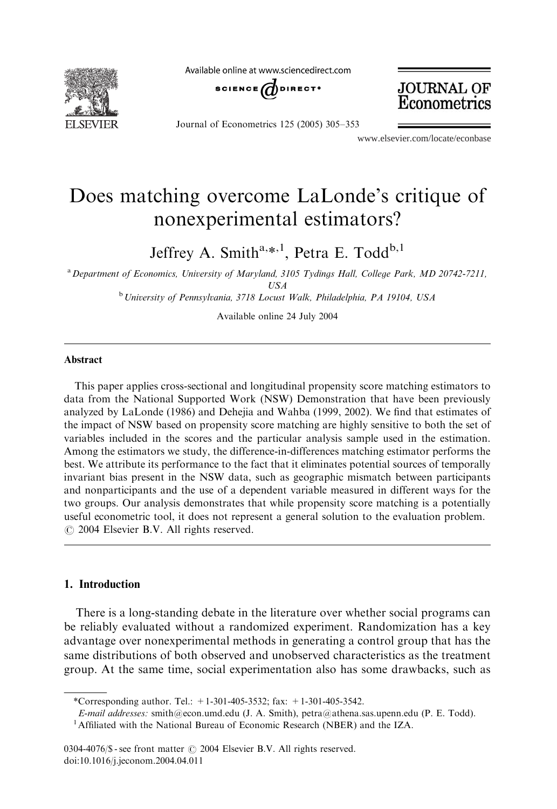

Available online at www.sciencedirect.com



Journal of Econometrics 125 (2005) 305–353

**JOURNAL OF**<br>Econometrics

www.elsevier.com/locate/econbase

# Does matching overcome LaLonde's critique of nonexperimental estimators?

Jeffrey A. Smith $a_{k+1}$ , Petra E. Todd $b_{k}$ <sup>b,1</sup>

<sup>a</sup> Department of Economics, University of Maryland, 3105 Tydings Hall, College Park, MD 20742-7211,

USA

<sup>b</sup> University of Pennsylvania, 3718 Locust Walk, Philadelphia, PA 19104, USA

Available online 24 July 2004

#### Abstract

This paper applies cross-sectional and longitudinal propensity score matching estimators to data from the National Supported Work (NSW) Demonstration that have been previously analyzed by LaLonde (1986) and Dehejia and Wahba (1999, 2002). We find that estimates of the impact of NSW based on propensity score matching are highly sensitive to both the set of variables included in the scores and the particular analysis sample used in the estimation. Among the estimators we study, the difference-in-differences matching estimator performs the best. We attribute its performance to the fact that it eliminates potential sources of temporally invariant bias present in the NSW data, such as geographic mismatch between participants and nonparticipants and the use of a dependent variable measured in different ways for the two groups. Our analysis demonstrates that while propensity score matching is a potentially useful econometric tool, it does not represent a general solution to the evaluation problem.  $O$  2004 Elsevier B.V. All rights reserved.

# 1. Introduction

There is a long-standing debate in the literature over whether social programs can be reliably evaluated without a randomized experiment. Randomization has a key advantage over nonexperimental methods in generating a control group that has the same distributions of both observed and unobserved characteristics as the treatment group. At the same time, social experimentation also has some drawbacks, such as

<sup>\*</sup>Corresponding author. Tel.:  $+1-301-405-3532$ ; fax:  $+1-301-405-3542$ .

E-mail addresses: smith@econ.umd.edu (J. A. Smith), petra@athena.sas.upenn.edu (P. E. Todd).<br><sup>1</sup>Affiliated with the National Bureau of Economic Research (NBER) and the IZA.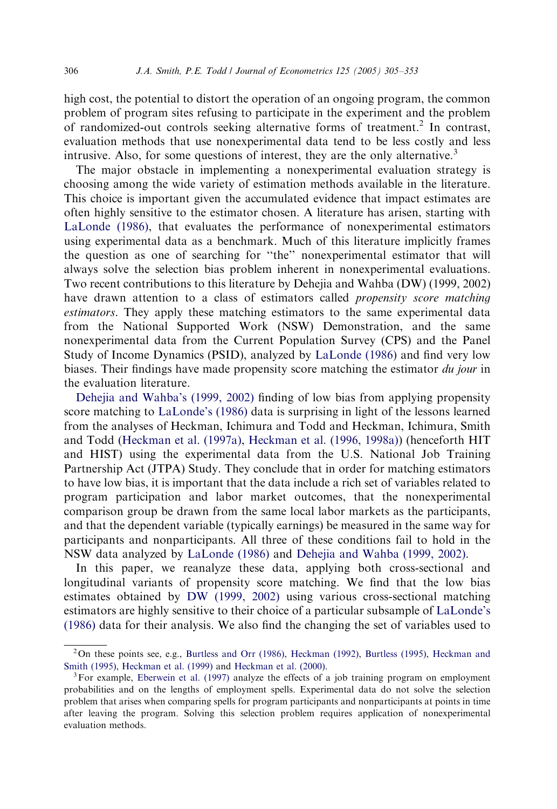high cost, the potential to distort the operation of an ongoing program, the common problem of program sites refusing to participate in the experiment and the problem of randomized-out controls seeking alternative forms of treatment.2 In contrast, evaluation methods that use nonexperimental data tend to be less costly and less [intrusive. Also, f](#page-47-0)or some questions of interest, they are the only alternative.<sup>3</sup>

The major obstacle in implementing a nonexperimental evaluation strategy is choosing among the wide variety of estimation methods available in the literature. This choice is important given the accumulated evidence that impact estimates are often highly sensitive to the estimator chosen. A literature has arisen, starting with LaLonde (1986), that evaluates the performance of nonexperimental estimators using experimental data as a benchmark. Much of this literature implicitly frames the question as one of searching for ''the'' nonexperimental estimator that will always solve the selection bias problem inherent in nonexperimental evaluations. Two recent contributions to this literature by Deh[ejia and Wahba \(](#page-47-0)DW) (1999, 2002) have drawn attention to a class of estimators called *propensity score matching* estimators. They apply these matching estimators to the same experimental data fr[om the National Supported Wo](#page-46-0)rk (NSW) Demonstration, and the same nonexperimental [data from the Cu](#page-47-0)rrent Population Survey (CPS) and the Panel Study of Income Dynamics (PSID), analyzed by LaLonde (1986) and find very low biases. The[ir findings have made propensity score matching the es](#page-47-0)timator du jour in the evaluation literature.

Dehejia and Wahba's (1999, 2002) finding of low bias from applying propensity score matching to LaLonde's (1986) data is surprising in light of the lessons learned from the analyses of Heckman, Ichimura and Todd and Heckman, Ichimura, Smith and Todd (Heckman et al. (1997a), Heckman et al. (1996, 1998a)) (henceforth HIT and HIST) using the experimental data from the U.S. National Job Training Partnership Act (JTPA) Study. They conclude that in order for matching estimators to have low bias, it is im[portant that the d](#page-47-0)ata [include a rich set of variables relate](#page-46-0)d to program participation and labor market outcomes, that the nonexperimental comparison group be drawn from the same local labor markets as the participants, and that the dependent [variable \(typically e](#page-46-0)arnings) be measured in the same way for participants and nonparticipants. All three of these conditions fail to [hold in the](#page-47-0) [NSW](#page-47-0) data analyzed by LaLonde (1986) and Dehejia and Wahba (1999, 2002).

In this paper, we reanalyze these data, applying both cross-sectional and longitudinal variants [of propensity score](#page-46-0) [matching. We](#page-47-0) [find that t](#page-46-0)[he low bias](#page-47-0) [estimates](#page-47-0) [obtained](#page-47-0) [by](#page-47-0) DW (19[99,](#page-47-0) [2002\)](#page-47-0) using various cross-sectional matching estimators are [highly](#page-46-0) [sensitive](#page-46-0) [to](#page-46-0) their choice of a particular subsample of LaLonde's (1986) data for their analysis. We also find the changing the set of variables used to

<sup>2</sup>On these points see, e.g., Burtless and Orr (1986), Heckman (1992), Burtless (1995), Heckman and Smith (1995), Heckman et al. (1999) and Heckman et al. (2000).<br><sup>3</sup>For example, Eberwein et al. (1997) analyze the effects of a job training program on employment

probabilities and on the lengths of employment spells. Experimental data do not solve the selection problem that arises when comparing spells for program participants and nonparticipants at points in time after leaving the program. Solving this selection problem requires application of nonexperimental evaluation methods.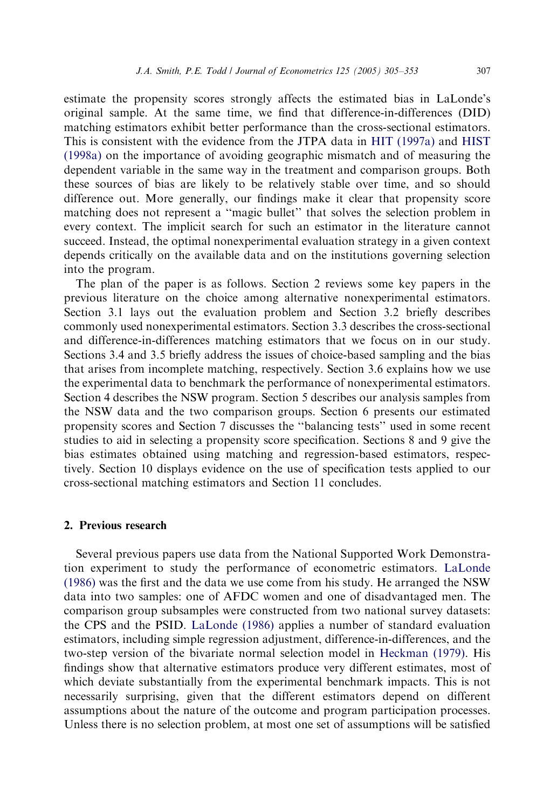estimate the propensity scores strongly affects the estimated bias in LaLonde's original sample. At the same time, we find that difference-in-differences (DID) matching estimators exhibit better performance than the cross-sectional estimators. This is consistent with the evidence from the JTPA data in HIT (1997a) and HIST (1998a) on the importance of avoiding geographic mismatch and of measuring the dependent variable in the same way in the treatment and comparison groups. Both these sources of bias are likely to be relatively stable over time, and so should difference out. More generally, our findings make it clear that propensity score matching does not represent a ''magic bullet'' that solves the selection problem in every context. The implicit search for such an estimator in the literature cannot succeed. Instead, the optimal nonexperimental evaluation strategy in a given context depends critically on the available data and on the institutions governing selection into the program.

The plan of the paper is as follows. Section 2 reviews some key papers in the previous literature on the choice among alternative nonexperimental estimators. Section 3.1 lays out the evaluation problem and Section 3.2 briefly describes commonly used nonexperimental estimators. Section 3.3 describes the cross-sectional and difference-in-differences matching estimators that we focus on in our study. Sections 3.4 and 3.5 briefly address the issues of choice-based sampling and the bias that arises from incomplete matching, respectively. Section 3.6 explains how we use the experimental data to benchmark the performance of nonexperimental estimators. Section 4 describes the NSW program. Section 5 describes our analysis samples from the NSW data and the two comparison groups. Section 6 presents our estimated propensity scores and Section 7 discusses the ''balancing tests'' used in some recent studies to aid in selecting a propensity score specification. Sections 8 and 9 give the bias estimates obtained using matching and regression-based estimators, respectively. Section 10 displays evidence on the use of specification tests applied to our cross-sectional matching estimators and Section 11 concludes.

# 2. Previous research

Several previous paper[s use data from t](#page-47-0)he National Supported Work Demonstration experiment to study the performance of econometric estimators. LaLonde (1986) was the first and the data we use come from his study. [He arranged the N](#page-46-0)SW data into two samples: one of AFDC women and one of disadvantaged men. The comparison group subsamples were constructed from two national survey datasets: the CPS and the PSID. LaLonde (1986) applies a number of standard evaluation estimators, including simple regression adjustment, difference-in-differences, and the two-step version of the bivariate normal selection model in Heckman (1979). His findings show that alternative estimators produce very different estimates, most of which deviate substantially from the experimental benchmark impacts. This is not necessarily surprising, given that the different estimators depend on different assumptions about the nature of the outcome and program participation processes. Unless there is no selection problem, at most one set of assumptions will be satisfied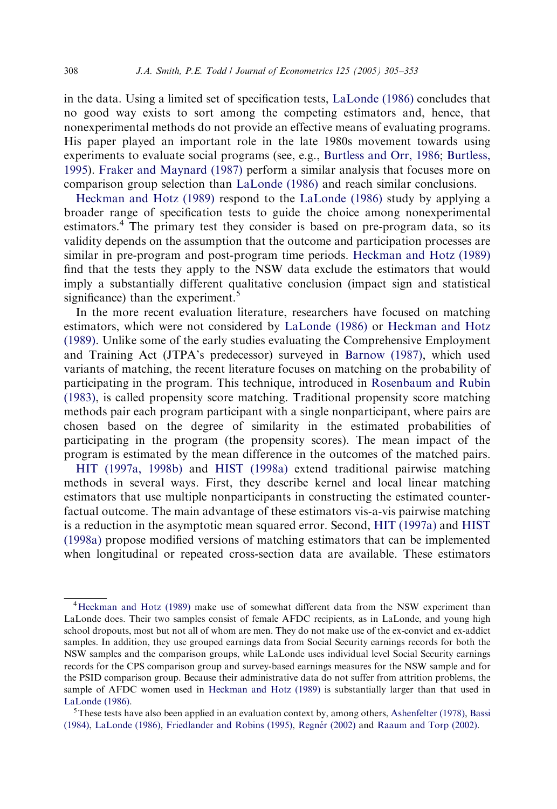[in the](#page-46-0) [data. Using a limited set of sp](#page-46-0)ecification tests, LaLonde (1986) concludes that no good way exists to sort a[mong the compet](#page-47-0)ing estimators and, hence, that n[onexperimental methods do n](#page-47-0)ot provide an e[ffective means of](#page-47-0) evaluating programs. His paper played an important role in the late 1980s movement towards using experiments to evaluate social programs (see, e.g., Burtless and Orr, 1986; Burtless, 1995). Fraker and Maynard (1987) perform a similar analysis that focuses more on comparison group selection than LaLonde (1986) and r[each similar conclusions.](#page-47-0)

Heckman and Hotz (1989) respond to the LaLonde (1986) study by applying a broader range of specification tests to guide the choice among nonexperimental estimators.<sup>4</sup> The primary test they consider is based on pre-program data, so its validity depends on the assumption that the outcome and participation processes are similar in pre-program and post-program [time periods.](#page-47-0) Heck[man and Hotz \(1989\)](#page-47-0) [find th](#page-47-0)at the tests they apply to the NSW data exclude the estimators that would imply a substantially different qualitative conclusion [\(impact sign a](#page-46-0)nd statistical significance) than the experiment.<sup>5</sup>

In the more recent evaluation literature, researchers ha[ve focused on matching](#page-48-0) [estima](#page-48-0)tors, which were not considered by LaLonde (1986) or Heckman and Hotz (1989). Unlike some of the early studies evaluating the Comprehensive Employment and Training Act (JTPA's predecessor) surveyed in Barnow (1987), which used variants of matching, the recent literature focuses on matching on the probability of participating in the program. This technique, introduced in Rosenbaum and Rubin (1[983\), is called propen](#page-47-0)sity s[core matching.](#page-47-0) Traditional propensity score matching methods pair each program participant with a single nonparticipant, where pairs are chosen based on the degree of similarity in the estimated probabilities of participating in the program (the propensity scores). The mean impact of the program is estimated by the mean difference in the outcome[s of the matc](#page-47-0)hed [pairs.](#page-47-0) [HIT](#page-47-0) (1997a, 1998b) and HIST (1998a) extend traditional pairwise matching methods in several ways. First, they describe kernel and local linear matching estimators that use multiple nonparticipants in constructing the estimated counter-

factual outcome. The main advantage of these estimators vis-a-vis pairwise matching is a reduction in the asymptotic mean squared error. Second, HIT (1997a) and HIST (1998a) [propose](#page-47-0) [modified](#page-47-0) versions of matching estimators that can be implemented when longitudinal or repeated cross-section data are available. These estimators

<sup>4</sup>Heckman and Hotz (1989) make use of somewhat different data from the NSW experiment than LaLonde does. Their two samples [consist of female AFDC re](#page-47-0)cipients, as in LaLonde, and young high [school dropouts,](#page-47-0) most but not all of whom are men. They do not make use of the ex-convict and ex-addict samples. In addition, they use grouped earnings data from Social Security earni[ngs records for bo](#page-46-0)t[h the](#page-46-0) [NSW](#page-46-0) s[amples and the c](#page-47-0)[omparison groups, while LaLon](#page-46-0)[de uses individ](#page-48-0)ual l[evel Social Security earni](#page-48-0)ngs records for the CPS comparison group and survey-based earnings measures for the NSW sample and for the PSID comparison group. Because their administrative data do not suffer from attrition problems, the sample of AFDC women used in Heckman and Hotz (1989) is substantially larger than that used in LaLonde (1986).

These tests have also been applied in an evaluation context by, among others, Ashenfelter (1978), Bassi (1984), LaLonde (1986), Friedlander and Robins (1995), Regnér (2002) and Raaum and Torp (2002).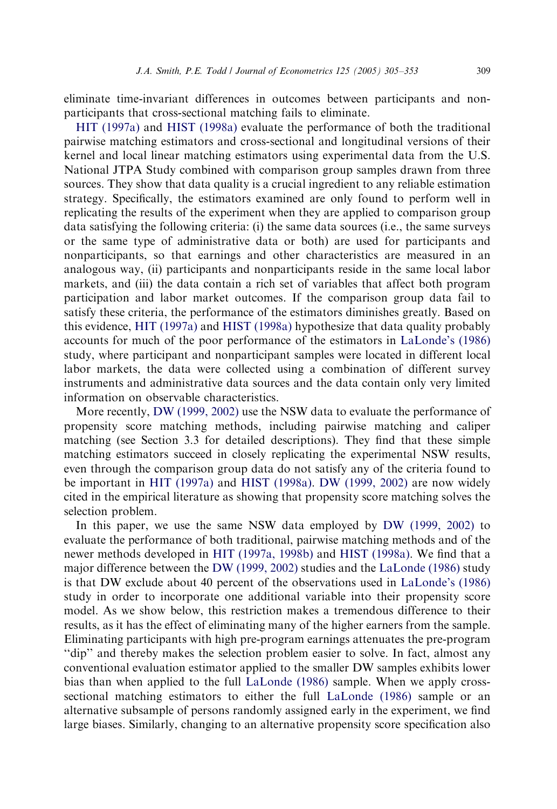eliminate time-invariant differences in outcomes between participants and nonparticipants that cross-sectional matching fails to eliminate.

HIT (1997a) and HIST (1998a) evaluate the performance of both the traditional pairwise matching estimators and cross-sectional and longitudinal versions of their kernel and local linear matching estimators using experimental data from the U.S. National JTPA Study combined with comparison group samples drawn from three sources. They show that data quality is a crucial ingredient to any reliable estimation strategy. Specifically, the estimators examined are only found to perform well in replicating the results of the experiment when they are applied to comparison group data satisfying the following criteria: (i) the same data sources (i.e., the same surveys or the same type of administrative data or both) are used for participants and nonparticipa[nts, so that](#page-47-0) earn[ings and othe](#page-47-0)r characteristics are measured in an analogous way, (ii) participants and nonparticipants reside in th[e same local labor](#page-47-0) markets, and (iii) the data contain a rich set of variables that affect both program participation and labor market outcomes. If the comparison group data fail to satisfy these criteria, the performance of the estimators diminishes greatly. Based on this evidence, HIT (1997a) and HIST (1998a) hypothesize that data quality probably accounts for muc[h of the poor per](#page-46-0)formance of the estimators in LaLonde's (1986) study, where participant and nonparticipant samples were located in different local labor markets, the data were collected using a combination of different survey instruments and administrative data sources and the data contain only very limited information on observable characteristics.

More recently, [DW \(1999, 2](#page-47-0)002) [use the NSW d](#page-47-0)[ata to evaluate the](#page-46-0) performance of propensity score matching methods, including pairwise matching and caliper matching (see Section 3.3 for detailed descriptions). They find that these simple matching estimators succeed in closely replicating the experi[mental NSW resu](#page-46-0)lts, even through the comparison group data do not satisfy any of the criteria found to be important in HIT (1997a) and [HIST \(1998a\).](#page-47-0) D[W \(1999, 2002\)](#page-47-0) are now widely cited in the empirical literatu[re as showing that](#page-46-0) propensity sco[re matching solves](#page-47-0) [the](#page-47-0) selection problem.

In this paper, we use the same NSW data employed by DW (1999, 2002) to evaluate the performance of both traditional, pairwise matching methods and of the newer methods developed in HIT (1997a, 1998b) and HIST (1998a). We find that a major difference between the DW (1999, 2002) studies and the LaLonde (1986) study is that DW exclude about 40 percent of the observations used in LaLonde's (1986) study in order to incorporate one additional variable into their propensity score model. As we show below, this res[triction makes a](#page-47-0) tremendous difference to their results, as it has the effect of eliminating many of th[e higher earners fr](#page-47-0)om the sample. Eliminating participants with high pre-program earnings attenuates the pre-program ''dip'' and thereby makes the selection problem easier to solve. In fact, almost any conventional evaluation estimator applied to the smaller DW samples exhibits lower bias than when applied to the full LaLonde (1986) sample. When we apply crosssectional matching estimators to either the full LaLonde (1986) sample or an alternative subsample of persons randomly assigned early in the experiment, we find large biases. Similarly, changing to an alternative propensity score specification also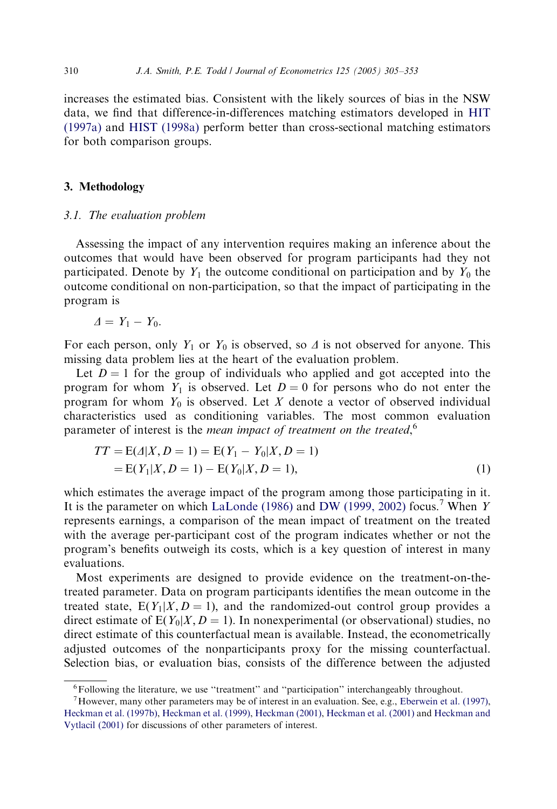increases the estimated bias. Consistent with the likely sources of bias in the NSW data, we find that difference-in-differences matching estimators developed in HIT (1997a) and HIST (1998a) perform better than cross-sectional matching estimators for both comparison groups.

# 3. Methodology

#### 3.1. The evaluation problem

Assessing the impact of any intervention requires making an inference about the outcomes that would have been observed for program participants had they not participated. Denote by  $Y_1$  the outcome conditional on participation and by  $Y_0$  the outcome conditional on non-participation, so that the impact of participating in the program is

$$
\Delta = Y_1 - Y_0.
$$

For each person, only  $Y_1$  or  $Y_0$  is observed, so  $\Delta$  is not observed for anyone. This missing data problem lies at the heart of the evaluation problem.

Let  $D = 1$  for the group of individuals who applied and got accepted into the program for whom  $Y_1$  is observed. Let  $D = 0$  for persons who do not enter the program for whom  $Y_0$  is observed. Let X denote a vector of observed individual characteristics used as conditioning variables. The most common evaluation parameter of interest is the [mean impact of tr](#page-47-0)eat[ment on the treated](#page-46-0),<sup>6</sup>

$$
TT = E(\Delta|X, D = 1) = E(Y_1 - Y_0|X, D = 1)
$$
  
= E(Y<sub>1</sub>|X, D = 1) - E(Y<sub>0</sub>|X, D = 1), (1)

which estimates the average impact of the program among those participating in it. It is the parameter on which LaLonde (1986) and DW (1999, 2002) focus.<sup>7</sup> When Y represents earnings, a comparison of the mean impact of treatment on the treated with the average per-participant cost of the program indicates whether or not the program's benefits outweigh its costs, which is a key question of interest in many evaluations.

Most experiments are designed to provide evidence on the treatment-on-thetreated parameter. Data on program participants identifies the mean outcome in the treated state,  $E(Y_1|X, D = 1)$ , and the randomized-out control group provides a direct estimate of  $E(Y_0|X,D=1)$ . In nonexperimental (or observational) studies, no [direct estimate of this counterfactual mean is available. Instead, the e](#page-47-0)[con](#page-46-0)[ometrically](#page-47-0) [adjusted ou](#page-47-0)tcomes of the nonparticipants proxy for the missing counterfactual. Selection bias, or evaluation bias, consists of the difference between the adjusted

<sup>&</sup>lt;sup>6</sup>Following the literature, we use "treatment" and "participation" interchangeably throughout.

<sup>&</sup>lt;sup>7</sup> However, many other parameters may be of interest in an evaluation. See, e.g., Eberwein et al. (1997), Heckman et al. (1997b), Heckman et al. (1999), Heckman (2001), Heckman et al. (2001) and Heckman and Vytlacil (2001) for discussions of other parameters of interest.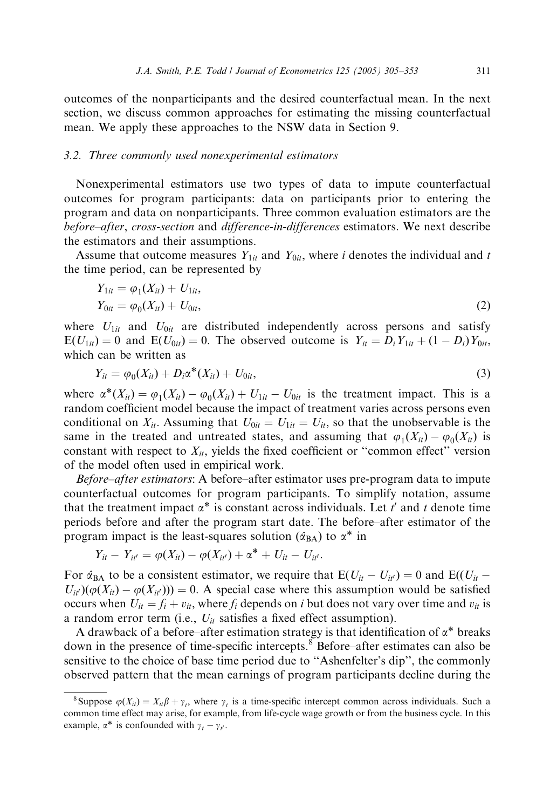outcomes of the nonparticipants and the desired counterfactual mean. In the next section, we discuss common approaches for estimating the missing counterfactual mean. We apply these approaches to the NSW data in Section 9.

#### 3.2. Three commonly used nonexperimental estimators

Nonexperimental estimators use two types of data to impute counterfactual outcomes for program participants: data on participants prior to entering the program and data on nonparticipants. Three common evaluation estimators are the before–after, cross-section and difference-in-differences estimators. We next describe the estimators and their assumptions.

Assume that outcome measures  $Y_{1it}$  and  $Y_{0it}$ , where i denotes the individual and t the time period, can be represented by

$$
Y_{1it} = \varphi_1(X_{it}) + U_{1it},
$$
  
\n
$$
Y_{0it} = \varphi_0(X_{it}) + U_{0it},
$$
\n(2)

where  $U_{1it}$  and  $U_{0it}$  are distributed independently across persons and satisfy  $E(U_{1it}) = 0$  and  $E(U_{0it}) = 0$ . The observed outcome is  $Y_{it} = D_i Y_{1it} + (1 - D_i) Y_{0it}$ , which can be written as

$$
Y_{it} = \varphi_0(X_{it}) + D_i \alpha^*(X_{it}) + U_{0it}, \qquad (3)
$$

where  $\alpha^*(X_{it}) = \varphi_1(X_{it}) - \varphi_0(X_{it}) + U_{1it} - U_{0it}$  is the treatment impact. This is a random coefficient model because the impact of treatment varies across persons even conditional on  $X_{ii}$ . Assuming that  $U_{0ii} = U_{1ii} = U_{ii}$ , so that the unobservable is the same in the treated and untreated states, and assuming that  $\varphi_1(X_{it}) - \varphi_0(X_{it})$  is constant with respect to  $X_{it}$ , yields the fixed coefficient or "common effect" version of the model often used in empirical work.

Before–after estimators: A before–after estimator uses pre-program data to impute counterfactual outcomes for program participants. To simplify notation, assume that the treatment impact  $\alpha^*$  is constant across individuals. Let t' and t denote time periods before and after the program start date. The before–after estimator of the program impact is the least-squares solution ( $\hat{\alpha}_{BA}$ ) to  $\alpha^*$  in

$$
Y_{it} - Y_{it'} = \varphi(X_{it}) - \varphi(X_{it'}) + \alpha^* + U_{it} - U_{it'}.
$$

For  $\hat{\alpha}_{BA}$  to be a consistent estimator, we require that  $E(U_{it} - U_{it'}) = 0$  and  $E(U_{it} - U_{it'})$  $U_{it}(\varphi(X_{it}) - \varphi(X_{it'})) = 0$ . A special case where this assumption would be satisfied occurs when  $U_{it} = f_i + v_{it}$ , where  $f_i$  depends on i but does not vary over time and  $v_{it}$  is a random error term (i.e.,  $U_{it}$  satisfies a fixed effect assumption).

A drawback of a before–after estimation strategy is that identification of  $\alpha^*$  breaks down in the presence of time-specific intercepts.<sup>8</sup> Before–after estimates can also be sensitive to the choice of base time period due to ''Ashenfelter's dip'', the commonly observed pattern that the mean earnings of program participants decline during the

<sup>&</sup>lt;sup>8</sup>Suppose  $\varphi(X_{it}) = X_{it}\beta + \gamma_t$ , where  $\gamma_t$  is a time-specific intercept common across individuals. Such a common time effect may arise, for example, from life-cycle wage growth or from the business cycle. In this example,  $\alpha^*$  is confounded with  $\gamma_t - \gamma_{t'}$ .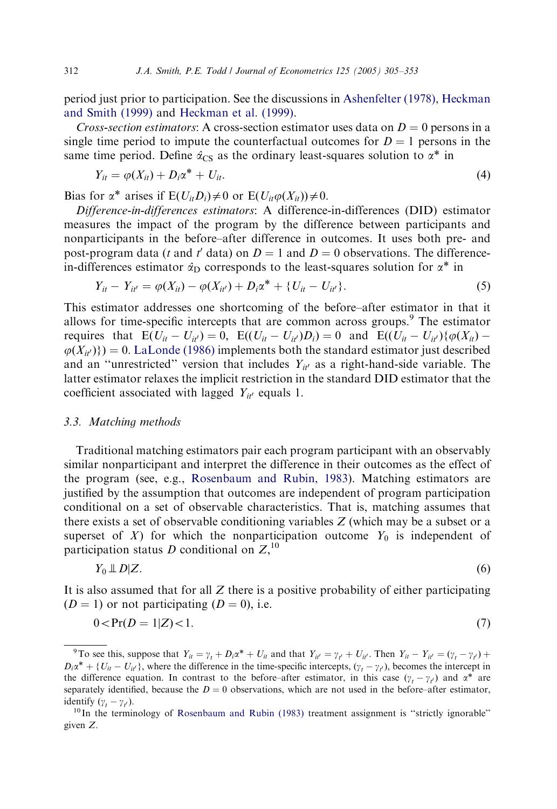period just prior to participation. See the discussions in Ashenfelter (1978), Heckman and Smith (1999) and Heckman et al. (1999).

Cross-section estimators: A cross-section estimator uses data on  $D = 0$  persons in a single time period to impute the counterfactual outcomes for  $D = 1$  persons in the same time period. Define  $\hat{\alpha}_{CS}$  as the ordinary least-squares solution to  $\alpha^*$  in

$$
Y_{it} = \varphi(X_{it}) + D_i \alpha^* + U_{it}.
$$
\n<sup>(4)</sup>

Bias for  $\alpha^*$  arises if  $E(U_{it}D_i) \neq 0$  or  $E(U_{it}\varphi(X_{it})) \neq 0$ .

Difference-in-differences estimators: A difference-in-differences (DID) estimator measures the impact of the program by the difference between participants and nonparticipants in the before–after difference in outcomes. It uses both pre- and post-program data (*t* and *t'* data) on  $D = 1$  and  $D = 0$  observations. The differencein-differences [estimator](#page-47-0)  $\hat{\alpha}_D$  corresponds to the least-squares solution for  $\alpha^*$  in

$$
Y_{it} - Y_{it'} = \varphi(X_{it}) - \varphi(X_{it'}) + D_i \alpha^* + \{U_{it} - U_{it'}\}.
$$
\n(5)

This estimator addresses one shortcoming of the before–after estimator in that it allows for time-specific intercepts that are common across groups.<sup>9</sup> The estimator requires that  $E(U_{it} - U_{it'}) = 0$ ,  $E((U_{it} - U_{it'})D_i) = 0$  and  $E((U_{it} - U_{it'})\{\varphi(X_{it}) \varphi(X_{it'})\}$ ) = 0. LaLonde (1986) implements both the standard estimator just described and an "unrestricted" version that includes  $Y_{it'}$  as a right-hand-side variable. The latter estimator relaxes the implicit restriction in the standard DID estimator that the coefficient associated w[it](#page-48-0)h lagged  $Y_{it'}$  equals 1.

#### 3.3. Matching methods

Traditional matching estimators pair each program participant with an observably similar nonparticipant and interpret the difference in their outcomes as the effect of the program (see, e.g., Rosenbaum and Rubin, 1983). Matching estimators are justified by the assumption that outcomes are independent of program participation conditional on a set of observable characteristics. That is, matching assumes that there exists a set of observable conditioning variables Z (which may be a subset or a superset of X) for which the nonparticipation outcome  $Y_0$  is independent of participation status D conditional on  $Z$ <sup>10</sup>,

$$
Y_0 \perp\!\!\!\perp D|Z. \tag{6}
$$

It is also assumed that for all  $Z$  there is a positive probability of either participating  $(D = 1)$  or not participating  $(D = 0)$ , i.e.

$$
0 < \Pr(D = 1|Z) < 1. \tag{7}
$$

<sup>&</sup>lt;sup>9</sup>To see this, suppose that  $Y_{it} = \gamma_t + D_i \alpha^* + U_{it}$  and that  $Y_{it'} = \gamma_{t'} + U_{it'}$ . Then  $Y_{it} - Y_{it'} = (\gamma_t - \gamma_{t'}) +$  $D_i\alpha^* + \{U_{it} - U_{it'}\}$ , where the difference in the time-specific intercepts,  $(\gamma_t - \gamma_{t'})$ , becomes the intercept in the difference equation. In contrast to the before–after estimator, in this case  $(\gamma_t - \gamma_{t'})$  and  $\alpha^*$  are separately identified, because the  $D = 0$  observations, which are not used in the before–after estimator, identify  $(\gamma_t - \gamma_{t})$ .

<sup>&</sup>lt;sup>10</sup> In the terminology of Rosenbaum and Rubin (1983) treatment assignment is "strictly ignorable" given Z: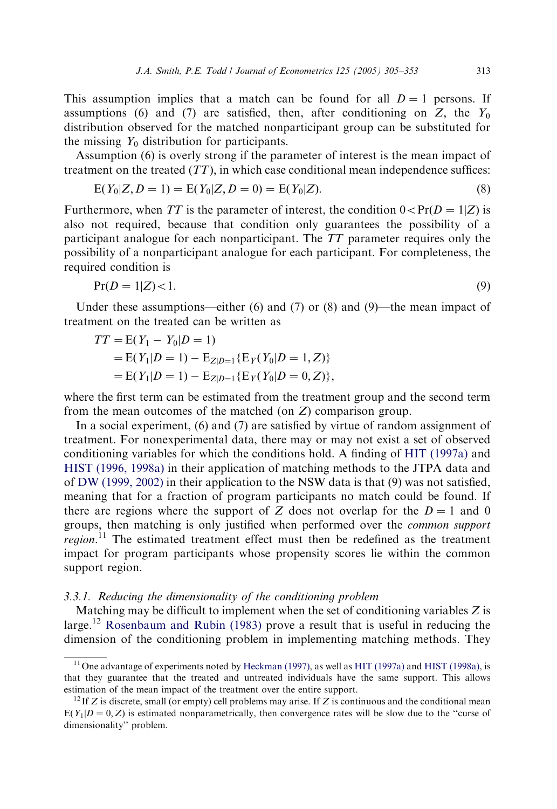This assumption implies that a match can be found for all  $D = 1$  persons. If assumptions (6) and (7) are satisfied, then, after conditioning on  $Z$ , the  $Y_0$ distribution observed for the matched nonparticipant group can be substituted for the missing  $Y_0$  distribution for participants.

Assumption (6) is overly strong if the parameter of interest is the mean impact of treatment on the treated  $(TT)$ , in which case conditional mean independence suffices:

$$
E(Y_0|Z, D = 1) = E(Y_0|Z, D = 0) = E(Y_0|Z).
$$
\n(8)

Furthermore, when TT is the parameter of interest, the condition  $0 < Pr(D = 1|Z)$  is also not required, because that condition only guarantees the possibility of a participant analogue for each nonparticipant. The TT parameter requires only the possibility of a nonparticipant analogue for each participant. For completeness, the required condition is

$$
Pr(D = 1|Z) < 1. \tag{9}
$$

Under these assumptions—either (6) and (7) or (8) and (9)—the mean impact of treatment on the treated can be written as

$$
TT = E(Y_1 - Y_0|D = 1)
$$
  
= E(Y<sub>1</sub>|D = 1) - E<sub>Z|D=1</sub> {E<sub>Y</sub>(Y<sub>0</sub>|D = 1, Z)}  
= E(Y<sub>1</sub>|D = 1) - E<sub>Z|D=1</sub> {E<sub>Y</sub>(Y<sub>0</sub>|D = 0, Z)},

[where the first term](#page-47-0) can be estimated from the treatment group and the second term fr[om the mean outc](#page-46-0)omes of the matched (on Z) comparison group.

In a social experiment, (6) and (7) are satisfied by virtue of random assignment of treatment. For nonexperimental data, there may or may not exist a set of observed conditioning variables for which the conditions hold. A finding of HIT (1997a) and HIST (1996, 1998a) in their application of matching methods to the JTPA data and of DW (1999, 2002) in their application to the NSW data is that (9) was not satisfied, meaning that for a fraction of program participants no match could be found. If there are regions where the support of Z does not overlap for the  $D = 1$  and 0 groups, then matching is only justified when performed over the common support region.<sup>11</sup> The estimated treatment effect must then be redefined as the treatment impact [for program participants whos](#page-48-0)e propensity scores lie within the common support region.

# 3.3.1. Reducing the dimensionality [of](#page-47-0) [the](#page-47-0) [conditio](#page-47-0)ning pr[oblem](#page-47-0)

Matching may be difficult to implement when the set of conditioning variables  $Z$  is large.12 Rosenbaum and Rubin (1983) prove a result that is useful in reducing the dimension of the conditioning problem in implementing matching methods. They

<sup>&</sup>lt;sup>11</sup> One advantage of experiments noted by Heckman (1997), as well as HIT (1997a) and HIST (1998a), is that they guarantee that the treated and untreated individuals have the same support. This allows estimation of the mean impact of the treatment over the entire support.<br><sup>12</sup> If Z is discrete, small (or empty) cell problems may arise. If Z is continuous and the conditional mean

 $E(Y_1|D = 0, Z)$  is estimated nonparametrically, then convergence rates will be slow due to the "curse of dimensionality'' problem.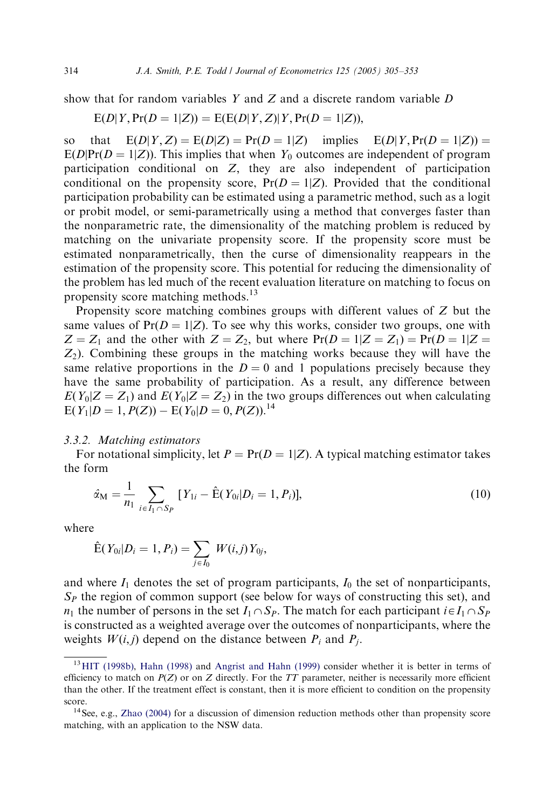show that for random variables Y and Z and a discrete random variable  $D$ 

$$
E(D|Y, Pr(D = 1|Z)) = E(E(D|Y, Z)|Y, Pr(D = 1|Z)),
$$

so that  $E(D|Y, Z) = E(D|Z) = Pr(D = 1|Z)$  implies  $E(D|Y, Pr(D = 1|Z)) =$  $E(D|Pr(D = 1|Z))$ . This implies that when Y<sub>0</sub> outcomes are independent of program participation conditional on  $Z$ , they are also independent of participation conditional on the propensity score,  $Pr(D = 1|Z)$ . Provided that the conditional participation probability can be estimated using a parametric method, such as a logit or probit model, or semi-parametrically using a method that converges faster than the nonparametric rate, the dimensionality of the matching problem is reduced by matching on the univariate propensity score. If the propensity score must be estimated nonparametrically, then the curse of dimensionality reappears in the estimation of the propensity score. This potential for reducing the dimensionality of the problem has led much of the recent evaluation literature on matching to focus on propensity score matching methods.<sup>13</sup>

Propensity score matching combines groups with different values of Z but the same values of  $Pr(D = 1|Z)$ . To see why this works, consider two groups, one with  $Z = Z_1$  and the other with  $Z = Z_2$ , but where  $Pr(D = 1|Z = Z_1) = Pr(D = 1|Z =$  $Z_2$ ). Combining these groups in the matching works because they will have the same relative proportions in the  $D = 0$  and 1 populations precisely because they have the same probability of participation. As a result, any difference between  $E(Y_0|Z = Z_1)$  and  $E(Y_0|Z = Z_2)$  in the two groups differences out when calculating  $E(Y_1|D=1, P(Z)) - E(Y_0|D=0, P(Z)).$ <sup>14</sup>

### 3.3.2. Matching estimators

For notational simplicity, let  $P = Pr(D = 1|Z)$ . A typical matching estimator takes the form

$$
\hat{\alpha}_{\mathbf{M}} = \frac{1}{n_1} \sum_{i \in I_1 \cap S_P} [Y_{1i} - \hat{\mathbf{E}}(Y_{0i} | D_i = 1, P_i)], \tag{10}
$$

where

$$
\hat{E}(Y_{0i}|D_i=1,P_i)=\sum_{j\in I_0} W(i,j)Y_{0j},
$$

and where  $I_1$  denotes the set of program participants,  $I_0$  the set of nonparticipants,  $S_p$  [the](#page-47-0) [region](#page-47-0) [of](#page-46-0) [common](#page-46-0) su[pport](#page-46-0) [\(see](#page-46-0) [below](#page-46-0) [for](#page-46-0) [w](#page-46-0)ays of constructing this set), and  $n_1$  the number of persons in the set  $I_1 \cap S_P$ . The match for each participant  $i \in I_1 \cap S_P$ is constructed as a weighted average over the outcomes of nonparticipants, where the weights  $W(i, j)$  [depen](#page-48-0)d on the distance between  $P_i$  and  $P_j$ .

<sup>&</sup>lt;sup>13</sup>HIT (1998b), Hahn (1998) and Angrist and Hahn (1999) consider whether it is better in terms of efficiency to match on  $P(Z)$  or on Z directly. For the TT parameter, neither is necessarily more efficient than the other. If the treatment effect is constant, then it is more efficient to condition on the propensity

score.<br><sup>14</sup>See, e.g., Zhao (2004) for a discussion of dimension reduction methods other than propensity score matching, with an application to the NSW data.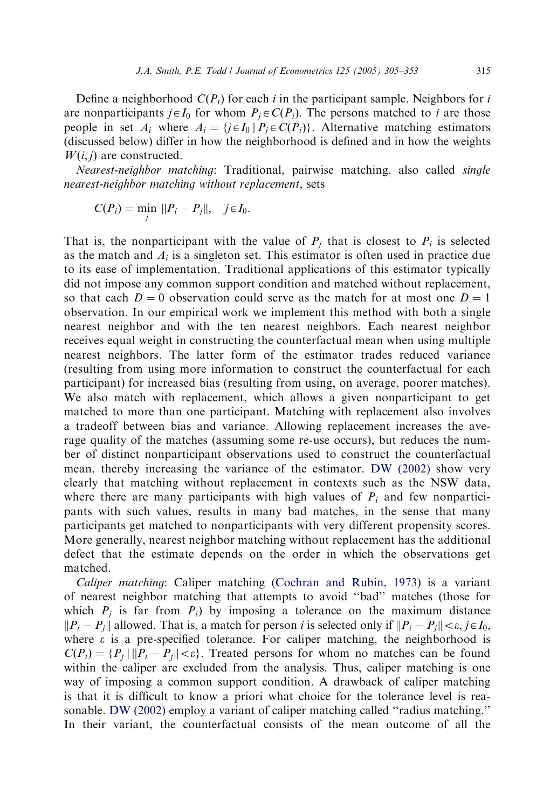Define a neighborhood  $C(P_i)$  for each i in the participant sample. Neighbors for i are nonparticipants  $j \in I_0$  for whom  $P_i \in C(P_i)$ . The persons matched to i are those people in set  $A_i$  where  $A_i = \{i \in I_0 \mid P_i \in C(P_i)\}\$ . Alternative matching estimators (discussed below) differ in how the neighborhood is defined and in how the weights  $W(i, j)$  are constructed.

Nearest-neighbor matching: Traditional, pairwise matching, also called single nearest-neighbor matching without replacement, sets

$$
C(P_i) = \min_j \|P_i - P_j\|, \quad j \in I_0.
$$

That is, the nonparticipant with the value of  $P_i$  that is closest to  $P_i$  is selected as the match and  $A_i$  is a singleton set. This estimator is often used in practice due to its ease of implementation. Traditional applications of this estimator typically did not impose any common support condition and matched without replacement, so that each  $D = 0$  observation could serve as the match for at most one  $D = 1$ observation. In our empirical work we implement this method with both a single nearest neighbor and with the ten nearest neighbors. Each nearest neighbor receives equal weight in constructing the counterfactual mean when using multiple nearest neighbors. The latter form of the estimator trades reduced variance (resulting from using more information to construct the counterfactual for each participant) for increased bias (resulting from using, on average, poorer matches). We also match with replacement, which allows a given [nonparticip](#page-46-0)ant to get matched to more than one participant. Matching with replacement also involves a tradeoff between bias and variance. Allowing replacement increases the average quality of the matches (assuming some re-use occurs), but reduces the number of distinct nonparticipant observations used to construct the counterfactual mean, thereby increasing the variance of the estimator. DW (2002) show very clearly that matching without replacement in contexts such as the NSW data, where there are many participants with high values of  $P_i$  and few nonparticipants with such values, results in man[y bad matches, in the sen](#page-46-0)se that many participants get matched to nonparticipants with very different propensity scores. More generally, nearest neighbor matching without replacement has the additional defect that the estimate depends on the order in which the observations get matched.

Caliper matching: Caliper matching (Cochran and Rubin, 1973) is a variant of nearest neighbor matching that attempts to avoid ''bad'' matches (those for which  $P_i$  is far from  $P_i$ ) by imposing a tolerance on the maximum distance  $||P_i - P_j||$  allowed. That is, a match for person *i* is selected only if  $||P_i - P_j|| < \varepsilon, j \in I_0$ , where  $\varepsilon$  [is a pre-sp](#page-46-0)ecified tolerance. For caliper matching, the neighborhood is  $C(P_i) = \{P_j | ||P_i - P_j|| < \varepsilon\}$ . Treated persons for whom no matches can be found within the caliper are excluded from the analysis. Thus, caliper matching is one way of imposing a common support condition. A drawback of caliper matching is that it is difficult to know a priori what choice for the tolerance level is reasonable. DW (2002) employ a variant of caliper matching called ''radius matching.'' In their variant, the counterfactual consists of the mean outcome of all the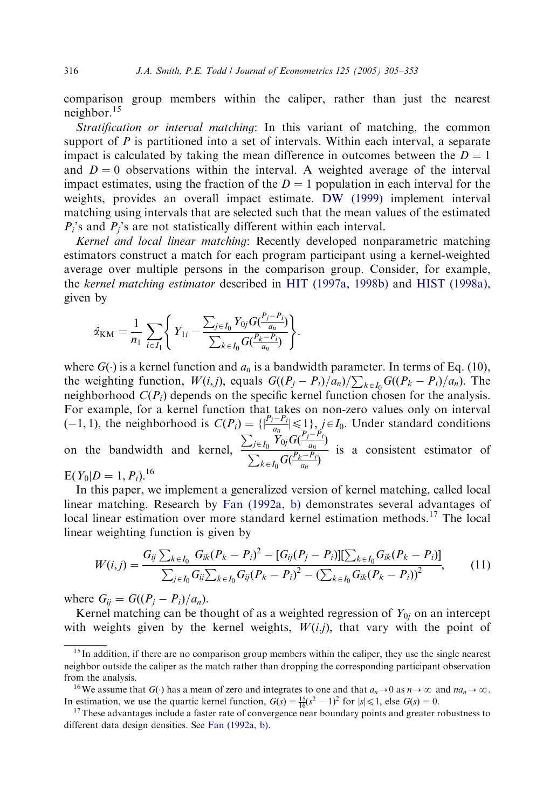comparison group members within the caliper, rather than just the nearest neighbor.15

Stratification or interval matching: In this va[riant of mat](#page-46-0)ching, the common support of  $P$  is partitioned into a set of intervals. Within each interval, a separate impact is calculated by taking the mean difference in outcomes between the  $D = 1$ and  $D = 0$  observations within the interval. A weighted average of the interval impact estimates, using the fraction of the  $D = 1$  population in each interval for the weights, provides an overall impact estimate. DW (1999) implement interval matching using intervals that are selected s[uch that the mean val](#page-47-0)ues o[f the estimated](#page-47-0)  $P_i$ 's and  $P_i$ 's are not statistically different within each interval.

Kernel and local linear matching: Recently developed nonparametric matching estimators construct a match for each program participant using a kernel-weighted average over multiple persons in the comparison group. Consider, for example, the kernel matching estimator described in HIT (1997a, 1998b) and HIST (1998a), given by

:

$$
\hat{\alpha}_{\text{KM}} = \frac{1}{n_1} \sum_{i \in I_1} \left\{ Y_{1i} - \frac{\sum_{j \in I_0} Y_{0j} G(\frac{P_j - P_i}{a_n})}{\sum_{k \in I_0} G(\frac{P_k - P_i}{a_n})} \right\}
$$

where  $G(\cdot)$  is a kernel function and  $a_n$  is a bandwidth parameter. In terms of Eq. (10), the weighting function,  $W(i,j)$ , equals  $G((P_j - P_i)/a_n)/\sum$  $_{k\in I_0} G((P_k - P_i)/a_n)$ . The neighborhood  $C(P_i)$  depends on the specific kernel function chosen for the analysis. For example, for a kernel function that takes on non-zero values only on interval  $(-1, 1)$ , the neighborhood is  $C(P_i) = \{ \left| \frac{P_i - P_j}{a_n} \right| \leq 1 \}, \, j \in I_0$ . Under standard conditions on the bandwidth and kernel,  $\sum_{j\in I_0} \frac{a_n}{Y_{0j}} G\left(\frac{P_j-P_i}{a_n}\right)$  $\sum_{j\in I_0} \frac{a_n}{Y_{0j}} G\left(\frac{P_j-P_i}{a_n}\right)$  $\sum_{j\in I_0} \frac{a_n}{Y_{0j}} G\left(\frac{P_j-P_i}{a_n}\right)$  $\frac{1}{\sqrt{2}}$  $k \in I_0$   $G(\frac{P_k-P_i}{a_n})$ is a consistent estimator of

 $E(Y_0|D=1, P_i).^{16}$ 

In this paper, we implement a generalized version of kernel matching, called local linear matching. Research by Fan (1992a, b) demonstrates several advantages of local linear estimation over more standard kernel estimation methods.<sup>17</sup> The local linear weighting function is given by

$$
W(i,j) = \frac{G_{ij} \sum_{k \in I_0} G_{ik} (P_k - P_i)^2 - [G_{ij}(P_j - P_i)][\sum_{k \in I_0} G_{ik} (P_k - P_i)]}{\sum_{j \in I_0} G_{ij} \sum_{k \in I_0} G_{ij} (P_k - P_i)^2 - (\sum_{k \in I_0} G_{ik} (P_k - P_i))^2},
$$
(11)

where  $G_{ij} = G((P_j - P_i)/a_n)$ .

Kernel matching can be thought of as a weighted regression of  $Y_{0i}$  on an intercept with weights given by the kernel weights,  $W(i,j)$ , that vary with the point of

<sup>&</sup>lt;sup>15</sup> In addition, if there are no co[mparison group](#page-46-0) members within the caliper, they use the single nearest neighbor outside the caliper as the match rather than dropping the corresponding participant observation from the analysis.

<sup>&</sup>lt;sup>16</sup>We assume that  $G(\cdot)$  has a mean of zero and integrates to one and that  $a_n \to 0$  as  $n \to \infty$  and  $na_n \to \infty$ . In estimation, we use the quartic kernel function,  $G(s) = \frac{15}{16}(s^2 - 1)$ 

<sup>&</sup>lt;sup>17</sup>These advantages include a faster rate of convergence near boundary points and greater robustness to different data design densities. See Fan (1992a, b).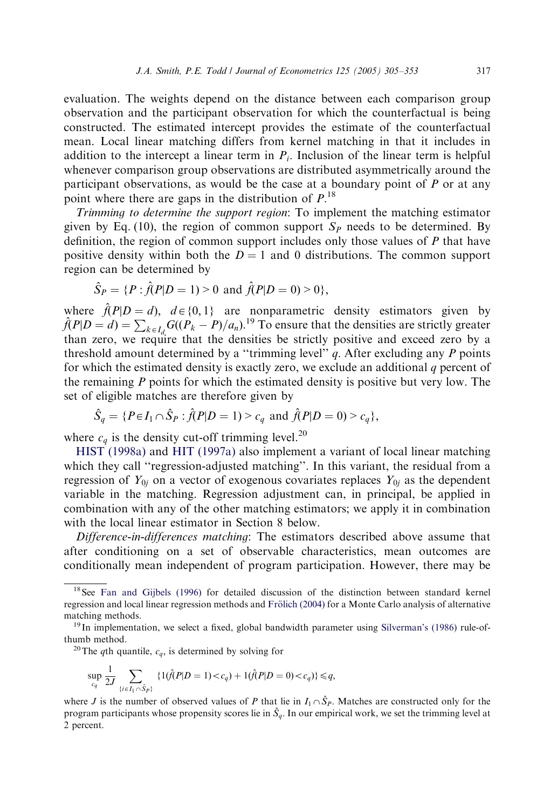evaluation. The weights depend on the distance between each comparison group observation and the participant observation for which the counterfactual is being constructed. The estimated intercept provides the estimate of the counterfactual mean. Local linear matching differs from kernel matching in that it includes in addition to the intercept a linear term in  $P_i$ . Inclusion of the linear term is helpful whenever comparison group observations are distributed asymmetrically around the participant observations, as would be the case at a boundary point of  $P$  or at any point where there are gaps in the distribution of  $P^{18}$ .

Trimming to determine the support region: To implement the matching estimator given by Eq. (10), the region of common support  $S_p$  needs to be determined. By definition, the region of common support includes only those values of  $P$  that have positive density within both the  $D = 1$  and 0 distributions. The common support region can be determined by

$$
\hat{S}_P = \{P : \hat{f}(P|D=1) > 0 \text{ and } \hat{f}(P|D=0) > 0\},\
$$

where  $\hat{f}(P|D = d)$ ,  $d \in \{0, 1\}$  are nonparametric density estimators given by  $\hat{f}(P|D = d) = \sum_{k \in I_d} G((P_k - P)/a_n)^{19}$  To ensure that the densities are strictly greater than zero, we require that the densities be strictly positive and exceed zero by a threshold amount determined by a "trimming level"  $q$ . After excluding any P points for which the estimated density is exactly zero, we exclude an additional  $q$  percent of th[e](#page-47-0) [remaining](#page-47-0) P poin[ts](#page-47-0) [for](#page-47-0) [which](#page-47-0) the estimated density is positive but very low. The set of eligible matches are therefore given by

$$
\hat{S}_q = \{ P \in I_1 \cap \hat{S}_P : \hat{f}(P|D=1) > c_q \text{ and } \hat{f}(P|D=0) > c_q \},
$$

where  $c_q$  is the density cut-off trimming level.<sup>20</sup>

HIST (1998a) and HIT (1997a) also implement a variant of local linear matching which they call "regression-adjusted matching". In this variant, the residual from a regression of  $Y_{0j}$  on a vector of exogenous covariates replaces  $Y_{0j}$  as the dependent variable in the matching. Regression adjustment can, in principal, be applied in combination with any of the other matching estimators; we apply it in combination with t[he](#page-46-0) [local](#page-46-0) [linear](#page-46-0) [estima](#page-46-0)tor in Section 8 below.

Difference-in-differences matching: T[he](#page-46-0) [estimato](#page-46-0)rs described above assume that after conditioning on a set of observable characteristics, [mean outcom](#page-48-0)es are conditionally mean independent of program participation. However, there may be

$$
\sup_{c_q} \frac{1}{2J} \sum_{\{i \in I_1 \cap \hat{S}_P\}} \{1(\hat{f}(P|D=1) < c_q) + 1(\hat{f}(P|D=0) < c_q)\} \leq q,
$$

<sup>&</sup>lt;sup>18</sup> See Fan and Gijbels (1996) for detailed discussion of the distinction between standard kernel regression and local linear regression methods and Frölich (2004) for a Monte Carlo analysis of alternative matching methods.

 $19$  In implementation, we select a fixed, global bandwidth parameter using Silverman's (1986) rule-ofthumb method.<br><sup>20</sup>The *q*th quantile,  $c_q$ , is determined by solving for

where *J* is the number of observed values of *P* that lie in  $I_1 \cap \hat{S}_P$ . Matches are constructed only for the program participants whose propensity scores lie in  $\hat{S}_q$ . In our empirical work, we set the trimming level at 2 percent.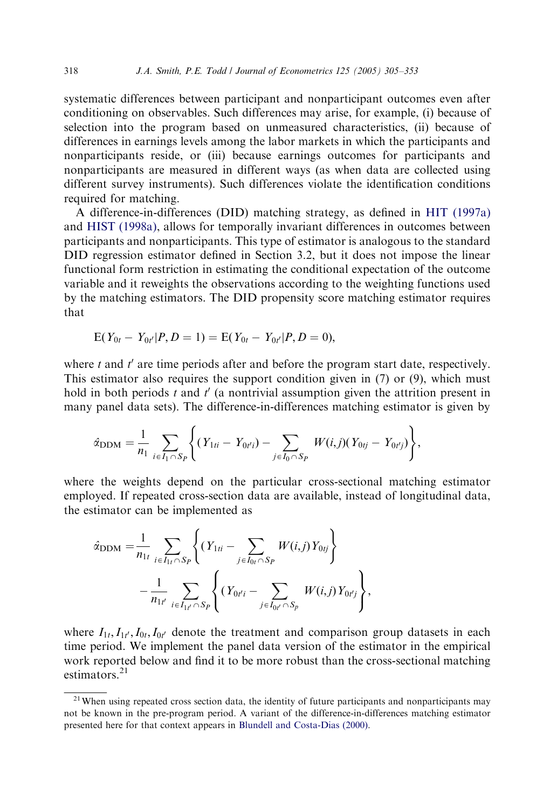systematic differences between participant and nonparticipant outcomes even after conditioning on observables. Such differences may arise, for example, (i) because of selection into the program based on unmeasured characteristics, (ii) because of differences in earnings levels among the labor markets in which the par[ticipants and](#page-47-0) non[participants re](#page-47-0)side, or (iii) because earnings outcomes for participants and nonparticipants are measured in different ways (as when data are collected using different survey instruments). Such differences violate the identification conditions required for matching.

A difference-in-differences (DID) matching strategy, as defined in HIT (1997a) and HIST (1998a), allows for temporally invariant differences in outcomes between participants and nonparticipants. This type of estimator is analogous to the standard DID regression estimator defined in Section 3.2, but it does not impose the linear functional form restriction in estimating the conditional expectation of the outcome variable and it reweights the observations according to the weighting functions used by the matching estimators. The DID propensity score matching estimator requires that

$$
E(Y_{0t} - Y_{0t'}|P, D = 1) = E(Y_{0t} - Y_{0t'}|P, D = 0),
$$

where  $t$  and  $t'$  are time periods after and before the program start date, respectively. This estimator also requires the support condition given in (7) or (9), which must hold in both periods  $t$  and  $t'$  (a nontrivial assumption given the attrition present in many panel data sets). The difference-in-differences matching estimator is given by

$$
\hat{\alpha}_{\text{DDM}} = \frac{1}{n_1} \sum_{i \in I_1 \cap S_P} \left\{ (Y_{1ti} - Y_{0ti}) - \sum_{j \in I_0 \cap S_P} W(i,j) (Y_{0ti} - Y_{0ti}) \right\},\,
$$

where the weights depend on the particular cross-sectional matching estimator employed. If repeated cross-section data are available, instead of longitudinal data, the estimator can be implemented as

$$
\hat{\alpha}_{\text{DDM}} = \frac{1}{n_{1t}} \sum_{i \in I_{1t} \cap S_P} \left\{ (Y_{1ti} - \sum_{j \in I_{0t} \cap S_P} W(i,j) Y_{0tj} \right\} \n- \frac{1}{n_{1t'}} \sum_{i \in I_{1t'} \cap S_P} \left\{ (Y_{0t'i} - \sum_{j \in I_{0t'} \cap S_P} W(i,j) Y_{0t'j} \right\},
$$

where  $I_{1t}, I_{1t'}, I_{0t}, I_{0t'}$  denote the treatment and comparison group datasets in each time period. We implement the p[anel data version of the es](#page-46-0)timator in the empirical work reported below and find it to be more robust than the cross-sectional matching estimators.<sup>21</sup>

<sup>&</sup>lt;sup>21</sup> When using repeated cross section data, the identity of future participants and nonparticipants may not be known in the pre-program period. A variant of the difference-in-differences matching estimator presented here for that context appears in Blundell and Costa-Dias (2000).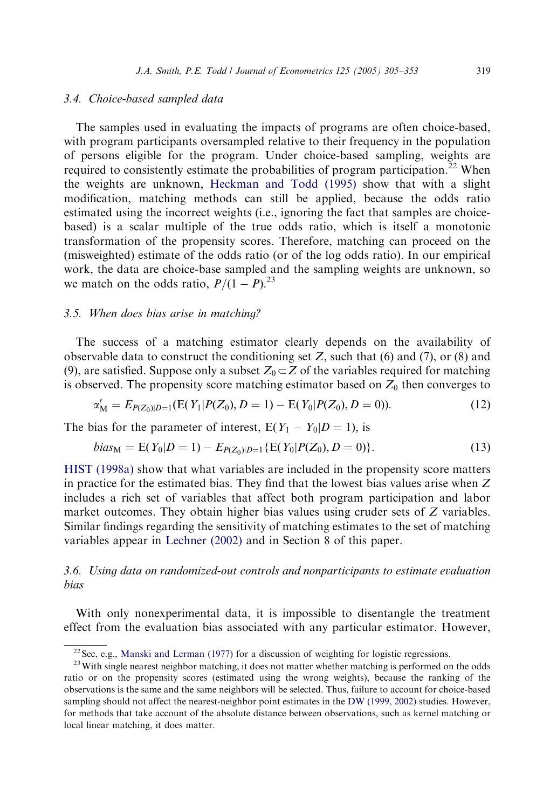#### 3.4. Choice-based sampled data

The samples used in evaluating the impacts of programs are often choice-based, with program participants oversampled relative to their frequency in the population of persons eligible for the program. Under choice-based sampling, weights are required to consistently estimate the probabilities of program participation.<sup>22</sup> When the weights are unknown, Heckman and Todd (1995) show that with a slight modification, matching methods can still be applied, because the odds ratio estimated using the incorrect weights (i.e., ignoring the fact that samples are choicebased) is a scalar multiple of the true odds ratio, which is itself a monotonic transformation of the propensity scores. Therefore, matching can proceed on the (misweighted) estimate of the odds ratio (or of the log odds ratio). In our empirical work, the data are choice-base sampled and the sampling weights are unknown, so we match on the odds ratio,  $P/(1 - P)^{23}$ 

# 3.5. When does bias arise in matching?

The success of a matching estimator clearly depends on the availability of observable data to construct the conditioning set  $Z$ , such that (6) and (7), or (8) and (9), are satisfied. Suppose only a subset  $Z_0 \subset Z$  of the variables required for matching [is observed. T](#page-47-0)he propensity score matching estimator based on  $Z_0$  then converges to

$$
\alpha'_{\mathbf{M}} = E_{P(Z_0)|D=1}(\mathbf{E}(Y_1|P(Z_0), D=1) - \mathbf{E}(Y_0|P(Z_0), D=0)).
$$
\n(12)

The bias for the parameter of interest,  $E(Y_1 - Y_0 | D = 1)$ , is

$$
bias_{\mathcal{M}} = \mathcal{E}(Y_0|D=1) - E_{P(Z_0)|D=1} \{ \mathcal{E}(Y_0|P(Z_0), D=0) \}.
$$
 (13)

HIST (1998a) show [that what varia](#page-47-0)bles are included in the propensity score matters in practice for the estimated bias. They find that the lowest bias values arise when Z includes a rich set of variables that affect both program participation and labor market outcomes. They obtain higher bias values using cruder sets of Z variables. Similar findings regarding the sensitivity of matching estimates to the set of matching variables appear in Lechner (2002) and in Section 8 of this paper.

# 3.6. Using [data](#page-48-0) [on](#page-48-0) [randomized-out](#page-48-0) controls and nonparticipants to estimate evaluation bias

With only nonexperimental data, it is impossible to disentangle the treatment effect from the evaluation bias associated with any pa[rticular estima](#page-46-0)tor. However,

<sup>&</sup>lt;sup>22</sup> See, e.g., Manski and Lerman (1977) for a discussion of weighting for logistic regressions. <sup>23</sup> With single nearest neighbor matching, it does not matter whether matching is performed on the odds ratio or on the propensity scores (estimated using the wrong weights), because the ranking of the observations is the same and the same neighbors will be selected. Thus, failure to account for choice-based sampling should not affect the nearest-neighbor point estimates in the DW (1999, 2002) studies. However, for methods that take account of the absolute distance between observations, such as kernel matching or local linear matching, it does matter.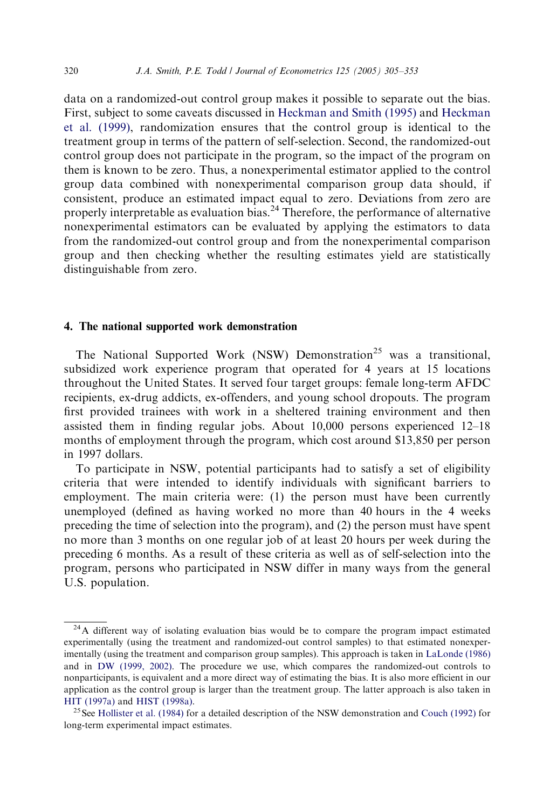#### 320 J.A. Smith, P.E. Todd / Journal of Econometrics 125 (2005) 305–353

data on a randomized-out control group makes it possible to separate out the bias. First, subject to some caveats discussed in Heckman and Smith (1995) and Heckman et al. (1999), randomization ensures that the control group is identical to the treatment group in terms of the pattern of self-selection. Second, the randomized-out control group does not participate in the program, so the impact of the program on them is known to be zero. Thus, a nonexperimental estimator applied to the control group data combined with nonexperimental comparison group data should, if consistent, produce an estimated impact equal to zero. Deviations from zero are properly interpretable as evaluation bias. $^{24}$  Therefore, the performance of alternative nonexperimental estimators can be evaluated by applying the estimators to data from the randomized-out control group and from the nonexperimental comparison group and then checking whether the resulting estimates yield are statistically distinguishable from zero.

#### 4. The national supported work demonstration

The National Supported Work (NSW) Demonstration<sup>25</sup> was a transitional, subsidized work experience program that operated for 4 years at 15 locations throughout the United States. It served four target groups: female long-term AFDC recipients, ex-drug addicts, ex-offenders, and young school dropouts. The program first provided trainees with work in a sheltered training environment and then assisted them in finding regular jobs. About 10,000 persons experienced 12–18 months of employment through the program, which cost around \$13,850 per person in 1997 dollars.

To participate in NSW, potential participants had to satisfy a set of eligibility criteria that were intended to identify individuals with significant barriers to employment. The main criteria were: (1) the person must have been currently unemployed (defined as having worked no more than 40 hours in the 4 weeks preceding the time of selection into the program), and (2) the person must have spent no more than 3 months on one regular job of at least 20 hours per week during the preceding 6 months. As a result of these criteria as well as of self-selection into the program, persons who participated in NSW differ in many ways from the general U.S. p[opulation.](#page-46-0)

 $^{24}$ A different [way of isolatin](#page-47-0)g evaluation bias would be to compare the program impact estimated experim[entally \(using the trea](#page-47-0)tment and randomized-out control samples) to that esti[mated nonexp](#page-46-0)erimentally (using the treatment and comparison group samples). This approach is taken in LaLonde (1986) and in DW (1999, 2002). The procedure we use, which compares the randomized-out controls to nonparticipants, is equivalent and a more direct way of estimating the bias. It is also more efficient in our application as the control group is larger than the treatment group. The latter approach is also taken in HIT (1997a) and HIST (1998a).<br><sup>25</sup>See Hollister et al. (1984) for a detailed description of the NSW demonstration and Couch (1992) for

long-term experimental impact estimates.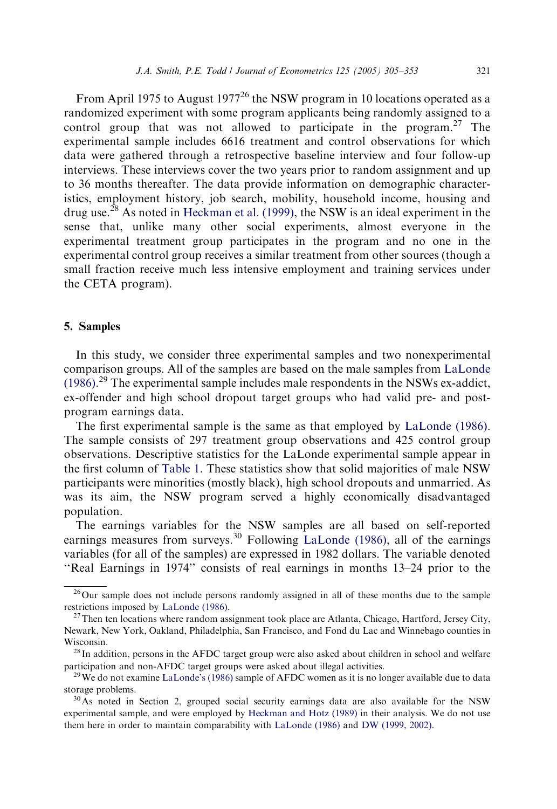From April 1975 to August 1977<sup>26</sup> the NSW program in 10 locations operated as a randomized experiment with some program applicants being randomly assigned to a control group that was not allowed to participate in the program.<sup>27</sup> The experimental sample i[ncludes 6616 treatmen](#page-47-0)t and control observations for which data were gathered through a retrospective baseline interview and four follow-up interviews. These interviews cover the two years prior to random assignment and up to 36 months thereafter. The data provide information on demographic characteristics, employment history, job search, mobility, household income, housing and drug use.<sup>28</sup> As noted in Heckman et al. (1999), the NSW is an ideal experiment in the sense that, unlike many other social experiments, almost everyone in the experimental treatment group participates in the program and no one in the experimental control group receives a similar treatment from other sources (though a small fraction receive much less intensive employment and training services under the CETA program).

#### 5. Samples

In this study, we consider three experimental samples and two [nonexperimental](#page-47-0) comparison groups. All of the samples are based on the male samples from LaLonde (1986). <sup>29</sup> The experimental sample includes male respondents in the NSWs ex-addict, ex-offender and hi[gh scho](#page-17-0)ol dropout target groups who had valid pre- and postprogram earnings data.

The first experimental sample is the same as that employed by LaLonde (1986). The sample consists of 297 treatment group observations and 425 control group observations. Descriptive statistics for the LaLonde experimental sample appear in the first column of Table 1. These statistics sh[ow that solid majo](#page-47-0)rities of male NSW participants were minorities (mostly black), high school dropouts and unmarried. As was its aim, the NSW program served a highly economically disadvantaged population.

The earnings variables for the NSW samples are all based on self-reported earnings measures [from](#page-47-0) [surveys](#page-47-0).<sup>30</sup> Following LaLonde (1986), all of the earnings variables (for all of the samples) are expressed in 1982 dollars. The variable denoted ''Real Earnings in 1974'' consists of real earnings in months 13–24 prior to the

<sup>&</sup>lt;sup>26</sup>Our sample does not include persons randomly assigned in all of these months due to the sample restrictions imposed by [LaLonde \(1986\).](#page-47-0)<br><sup>27</sup>Then ten locations where random assignment took place are Atlanta, Chicago, Hartford, Jersey City,

Newark, New York, Oakland, Philadelphia, [San](#page-47-0) [Francisco,](#page-47-0) [and](#page-47-0) [Fond](#page-47-0) [du](#page-47-0) Lac and Winnebago counties in Wisconsin.

 $^{28}$  In addition, persons in the AFDC target group [were also asked](#page-47-0) abo[ut children in scho](#page-46-0)ol and welfare participation and non-AFDC target groups were asked about illegal activities.

 $29$  We do not examine LaLonde's (1986) sample of AFDC women as it is no longer available due to data storage problems.<br> $30$ As noted in Section 2, grouped social security earnings data are also available for the NSW

experimental sample, and were employed by Heckman and Hotz (1989) in their analysis. We do not use them here in order to maintain comparability with LaLonde (1986) and DW (1999, 2002).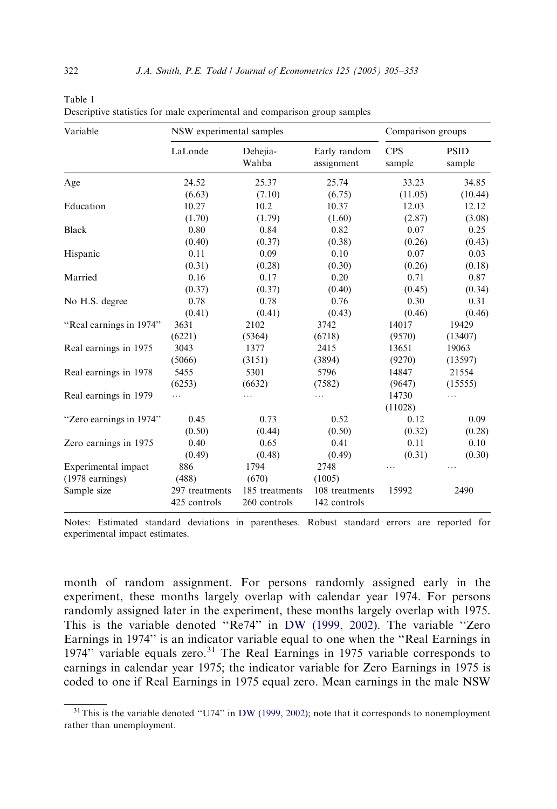| Table 1                                                                   |  |  |  |
|---------------------------------------------------------------------------|--|--|--|
| Descriptive statistics for male experimental and comparison group samples |  |  |  |

| Variable                | NSW experimental samples       |                                | Comparison groups              |                      |                       |
|-------------------------|--------------------------------|--------------------------------|--------------------------------|----------------------|-----------------------|
|                         | LaLonde                        | Dehejia-<br>Wahba              | Early random<br>assignment     | <b>CPS</b><br>sample | <b>PSID</b><br>sample |
| Age                     | 24.52                          | 25.37                          | 25.74                          | 33.23                | 34.85                 |
|                         | (6.63)                         | (7.10)                         | (6.75)                         | (11.05)              | (10.44)               |
| Education               | 10.27                          | 10.2                           | 10.37                          | 12.03                | 12.12                 |
|                         | (1.70)                         | (1.79)                         | (1.60)                         | (2.87)               | (3.08)                |
| Black                   | 0.80                           | 0.84                           | 0.82                           | 0.07                 | 0.25                  |
|                         | (0.40)                         | (0.37)                         | (0.38)                         | (0.26)               | (0.43)                |
| Hispanic                | 0.11                           | 0.09                           | 0.10                           | 0.07                 | 0.03                  |
|                         | (0.31)                         | (0.28)                         | (0.30)                         | (0.26)               | (0.18)                |
| Married                 | 0.16                           | 0.17                           | 0.20                           | 0.71                 | 0.87                  |
|                         | (0.37)                         | (0.37)                         | (0.40)                         | (0.45)               | (0.34)                |
| No H.S. degree          | 0.78                           | 0.78                           | 0.76                           | 0.30                 | 0.31                  |
|                         | (0.41)                         | (0.41)                         | (0.43)                         | (0.46)               | (0.46)                |
| "Real earnings in 1974" | 3631                           | 2102                           | 3742                           | 14017                | 19429                 |
|                         | (6221)                         | (5364)                         | (6718)                         | (9570)               | (13407)               |
| Real earnings in 1975   | 3043                           | 1377                           | 2415                           | 13651                | 19063                 |
|                         | (5066)                         | (3151)                         | (3894)                         | (9270)               | (13597)               |
| Real earnings in 1978   | 5455                           | 5301                           | 5796                           | 14847                | 21554                 |
|                         | (6253)                         | (6632)                         | (7582)                         | (9647)               | (15555)               |
| Real earnings in 1979   | .                              | .                              | .                              | 14730                | .                     |
|                         |                                |                                |                                | (11028)              |                       |
| "Zero earnings in 1974" | 0.45                           | 0.73                           | 0.52                           | 0.12                 | 0.09                  |
|                         | (0.50)                         | (0.44)                         | (0.50)                         | (0.32)               | (0.28)                |
| Zero earnings in 1975   | 0.40                           | 0.65                           | 0.41                           | 0.11                 | 0.10                  |
|                         | (0.49)                         | (0.48)                         | (0.49)                         | (0.31)               | (0.30)                |
| Experimental impact     | 886                            | 1794                           | 2748                           | .                    | .                     |
| (1978 earnings)         | (488)                          | (670)                          | (1005)                         |                      |                       |
| Sample size             | 297 treatments<br>425 controls | 185 treatments<br>260 controls | 108 treatments<br>142 controls | 15992                | 2490                  |

Notes: Estimated standard deviations in parentheses. Robust standard errors are reported for experimental impact estimates.

month of random assignment. For persons randomly assigned early in the experiment, these months largely overlap with calendar year 1974. For persons randomly assigned later in the experiment, these months largely overlap with 1975. This is the variable denoted ''Re74'' in DW (1999, 2002). The variable ''Zero Earnings in 1974'' is an indicator [variable equal](#page-46-0) to one when the ''Real Earnings in 1974" variable equals zero.<sup>31</sup> The Real Earnings in 1975 variable corresponds to earnings in calendar year 1975; the indicator variable for Zero Earnings in 1975 is coded to one if Real Earnings in 1975 equal zero. Mean earnings in the male NSW

<span id="page-17-0"></span>

<sup>&</sup>lt;sup>31</sup>This is the variable denoted "U74" in DW (1999, 2002); note that it corresponds to nonemployment rather than unemployment.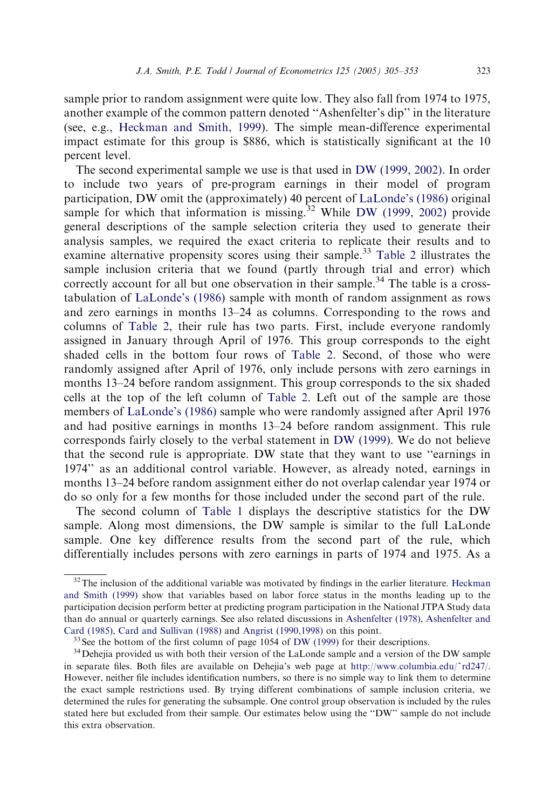sample prior to random assignment were quite low. They [also fall from 1974](#page-46-0) to 1975, another example of the common pattern denoted ''Ashenfelter's dip'' in the literature (see, e.g., Heckman and Smith, 1999). The simple me[an-difference exper](#page-47-0)imental impact estimate for this group is \$886, which is statist[ically significant a](#page-46-0)t the 10 percent level.

The second experimental sample we use is that used in DW (1999, 2002). In order to include two years of pre-program earnings in thei[r model](#page-19-0) of program participation, DW omit the (approximately) 40 percent of LaLonde's (1986) original sample for which that information is missing.<sup>32</sup> While DW (1999, 2002) provide general descr[iptions of the sam](#page-47-0)ple selection criteria they used to generate their analysis samples, we required the exact criteria to replicate their results and to examine alt[ernative](#page-19-0) propensity scores using their sample.<sup>33</sup> Table 2 illustrates the sample inclusion criteria that we found (partly through trial and error) which correctly account for all but one observatio[n in their](#page-19-0) sample.<sup>34</sup> The table is a crosstabulation of LaLonde's (1986) sample with month of random assignment as rows and zero earnings in months 13–24 as columns. Corresponding to the rows and columns of Table 2, their rule has t[wo parts.](#page-19-0) First, include everyone randomly assigned in [January through](#page-47-0) April of 1976. This group corresponds to the eight shaded cells in the bottom four rows of Table 2. Second, of those who were randomly assigned after April of 1976, only includ[e persons wi](#page-46-0)th zero earnings in months 13–24 before random assignment. This group corresponds to the six shaded cells at the top of the left column of Table 2. Left out of the sample are those members of LaLonde's (1986) sample who were randomly assigned after April 1976 and had positive earnings in months 13–24 before random assignment. This rule corresponds fairly closely t[o the ve](#page-17-0)rbal statement in DW (1999). We do not believe that the second rule is appropriate. DW state that they want to use ''earnings in 1974'' as an additional control variable. However, as already noted, earnings in months 13–24 before random assignment either do not overlap calendar year 1974 or do so only for a few months for those included under the second part of the rule.

The second column of Table 1 displays the descriptive statistics for t[he DW](#page-47-0) [sample.](#page-47-0) [Along](#page-47-0) most dimensions, the DW sample is similar to the full LaLonde sample. One key difference results from the secon[d part of the rule, which](#page-46-0) [differentially includes persons](#page-46-0) wit[h zero earnings i](#page-45-0)n parts of 1974 and 1975. As a

 $32$ The inclusion of the additional variable was motivated by findings in the earlier literature. Heckman and Smith (1999) show that variables based on labor force status [in the months leading up to the](http://www.columbia.edu/~rd247/) participation decision perform better at predicting program participation in the National JTPA Study data than do annual or quarterly earnings. See also related discussions in Ashenfelter (1978), Ashenfelter and Card (1985), Card and Sullivan (1988) and Angrist (1990,1998) on this point.<br><sup>33</sup>See the bottom of the first column of page 1054 of DW (1999) for their descriptions.

<sup>&</sup>lt;sup>34</sup> Dehejia provided us with both their version of the LaLonde sample and a version of the DW sample in separate files. Both files are available on Dehejia's web page at http://www.columbia.edu/~rd247/. However, neither file includes identification numbers, so there is no simple way to link them to determine the exact sample restrictions used. By trying different combinations of sample inclusion criteria, we determined the rules for generating the subsample. One control group observation is included by the rules stated here but excluded from their sample. Our estimates below using the ''DW'' sample do not include this extra observation.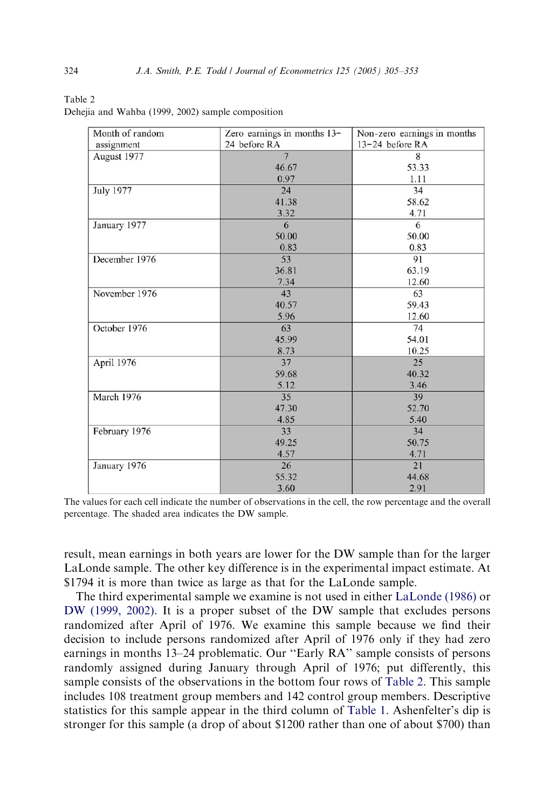#### <span id="page-19-0"></span>324 J.A. Smith, P.E. Todd / Journal of Econometrics 125 (2005) 305–353

Table 2

Dehejia and Wahba (1999, 2002) sample composition

| Month of random | Zero earnings in months 13- | Non-zero earnings in months |
|-----------------|-----------------------------|-----------------------------|
| assignment      | 24 before RA                | 13-24 before RA             |
| August 1977     | $\overline{7}$              | 8                           |
|                 | 46.67                       | 53.33                       |
|                 | 0.97                        | 1.11                        |
| July 1977       | 24                          | 34                          |
|                 | 41.38                       | 58.62                       |
|                 | 3.32                        | 4.71                        |
| January 1977    | 6                           | 6                           |
|                 | 50.00                       | 50.00                       |
|                 | 0.83                        | 0.83                        |
| December 1976   | 53                          | 91                          |
|                 | 36.81                       | 63.19                       |
|                 | 7.34                        | 12.60                       |
| November 1976   | 43                          | 63                          |
|                 | 40.57                       | 59.43                       |
|                 | 5.96                        | 12.60                       |
| October 1976    | 63                          | 74                          |
|                 | 45.99                       | 54.01                       |
|                 | 8.73                        | 10.25                       |
| April 1976      | 37                          | 25                          |
|                 | 59.68                       | 40.32                       |
|                 | 5.12                        | 3.46                        |
| March 1976      | 35                          | 39                          |
|                 | 47.30                       | 52.70                       |
|                 | 4.85                        | 5.40                        |
| February 1976   | 33                          | 34                          |
|                 | 49.25                       | 50.75                       |
|                 | 4.57                        | 4.71                        |
| January 1976    | 26                          | 21                          |
|                 | 55.32                       | 44.68                       |
|                 | 3.60                        | 2.91                        |

The values for each cell indicate the number of observations in the cell, the row percentage and the overall percentage. The shaded area indicates the DW sample.

result, mean earnings in both years are lower for the DW sample than for the larger LaLonde sample. The other key difference is in the experimental impact estimate. At \$1794 it is more than twice as large as that for the LaLonde sample.

The third experimental sample we examine is not used in either LaLonde (1986) or DW (1999, 2002). It is a proper subset of the DW sample that excludes persons randomized after April of 1976. We examine this sample because we find their decision to include persons randomized after April of [1976 o](#page-17-0)nly if they had zero earnings in months 13–24 problematic. Our ''Early RA'' sample consists of persons randomly assigned during January through April of 1976; put differently, this sample consists of the observations in the bottom four rows of Table 2. This sample includes 108 treatment group members and 142 control group members. Descriptive statistics for this sample appear in the third column of Table 1. Ashenfelter's dip is stronger for this sample (a drop of about \$1200 rather than one of about \$700) than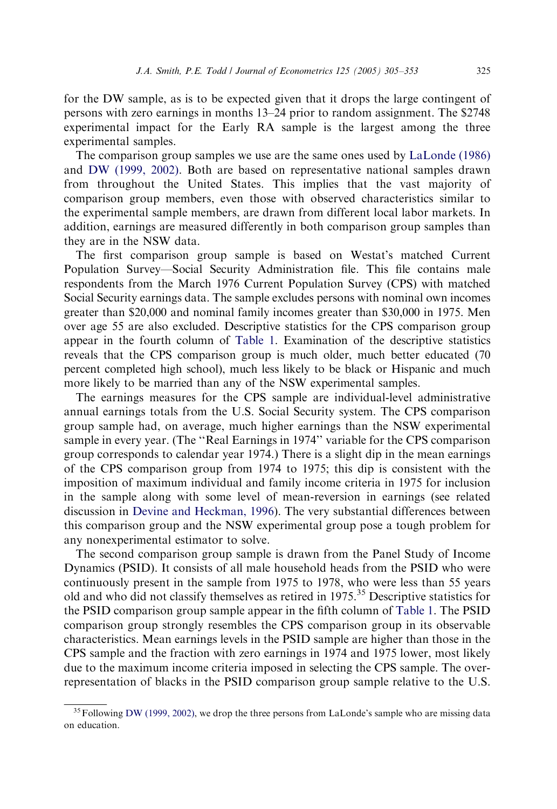for t[he DW sample, as](#page-46-0) is to be expected given that it drops the large contingent of persons with zero earnings in months 13–24 prior to random assignment. The \$2748 experimental impact for the Early RA sample is the largest among the three experimental samples.

The comparison group samples we use are the same ones used by LaLonde (1986) and DW (1999, 2002). Both are based on representative national samples drawn from throughout the United States. This implies that the vast majority of comparison group members, even those with observed characteristics similar to the experimental sample members, are drawn from different local labor markets. In addition, earnings are measured differently in both comparison group samples than they are in the NSW data.

The first comparison group sample is based on Westat's matched Current Population Survey—Social Secu[rity Adm](#page-17-0)inistration file. This file contains male respondents from the March 1976 Current Population Survey (CPS) with matched Social Security earnings data. The sample excludes persons with nominal own incomes greater than \$20,000 and nominal family incomes greater than \$30,000 in 1975. Men over age 55 are also excluded. Descriptive statistics for the CPS comparison group appear in the fourth column of Table 1. Examination of the descriptive statistics reveals that the CPS comparison group is much older, much better educated (70 percent completed high school), much less likely to be black or Hispanic and much more likely to be married than any of the NSW experimental samples.

The earnings measures for the CPS sample are individual-level administrative annual earnings totals from the U.S. Social Security system. The CPS comparison group sample had, on average, much higher earnings than the NSW experimental sample in every year. (The "Real Earnings in 1974" variable for the CPS comparison group corresponds to calendar year 1974.) There is a slight dip in the mean earnings of the CPS comparison group from 1974 to 1975; this dip is consistent with the imposition of maximum individual and family income criteria in 1975 for inclusion in the sample along with some level of mean-reversion in earnings (see related discussion in Devine and Heckman, 1996). The very substantial differences between this comparison group and the NSW experimental group pose a [tough](#page-17-0) [p](#page-17-0)roblem for any nonexperimental estimator to solve.

The second comparison group sample is drawn from the Panel Study of Income Dynamics (PSID). It consists of all male household heads from the PSID who were continuously present in the sample from 1975 to 1978, who were less than 55 years old and who did not classify themselves as retired in 1975.35 Descriptive statistics for the PSID comparison group sample appear in the fifth column of Table 1. The PSID comparison group strongly resembles the CPS comparison group in its observable characteristi[cs. Mean earn](#page-46-0)ings levels in the PSID sample are higher than those in the CPS sample and the fraction with zero earnings in 1974 and 1975 lower, most likely due to the maximum income criteria imposed in selecting the CPS sample. The overrepresentation of blacks in the PSID comparison group sample relative to the U.S.

<sup>&</sup>lt;sup>35</sup> Following DW (1999, 2002), we drop the three persons from LaLonde's sample who are missing data on education.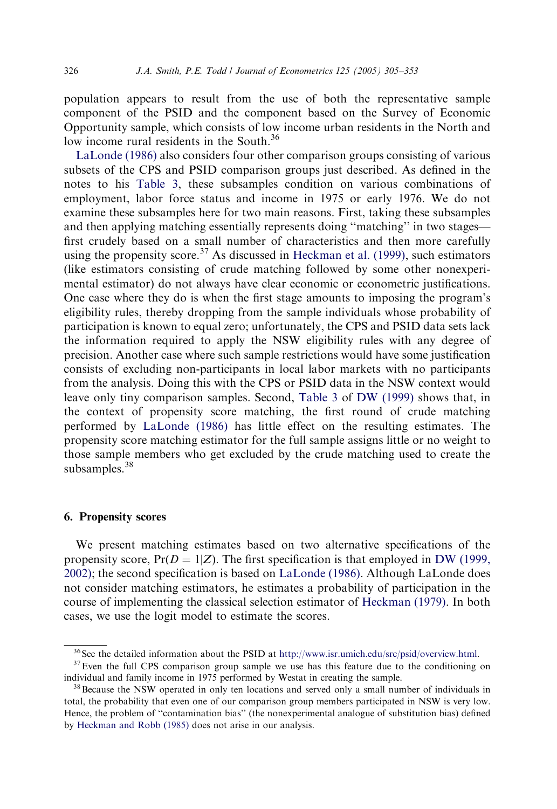population appears to result from the use of both the representative sample component o[f the PSI](#page-22-0)D and the component based on the Survey of Economic Opportunity sample, which consists of low income urban residents in the North and low income rural residents in the South.<sup>36</sup>

LaLonde (1986) also considers four other comparison groups consisting of various subsets of the CPS and PSID comparison groups just described. As defined in the notes to his Table 3, these subsamples c[ondition on various c](#page-47-0)ombinations of employment, labor force status and income in 1975 or early 1976. We do not examine these subsamples here for two main reasons. First, taking these subsamples and then applying matching essentially represents doing ''matching'' in two stages first crudely based on a small number of characteristics and then more carefully using the propensity score.<sup>37</sup> As discussed in Heckman et al. (1999), such estimators (like estimators consisting of crude matching followed by some other nonexperimental estimator) do not always have clear economic or econometric justifications. One case where they do is when the first stage amounts to imposing the program's eligibility rules, thereby dropping from the sample individuals whose probability of participation is known to equal zero; unfortun[ately, the](#page-22-0) C[PS and PSID](#page-46-0) data sets lack the information required to apply the NSW eligibility rules with any degree of precision. Anot[her case where su](#page-47-0)ch sample restrictions would have some justification consists of excluding non-participants in local labor markets with no participants from the analysis. Doing this with the CPS or PSID data in the NSW context would leave only tiny comparison samples. Second, Table 3 of DW (1999) shows that, in the context of propensity score matching, the first round of crude matching performed by LaLonde (1986) has little effect on the resulting estimates. The propensity score matching estimator for the full sample assigns little or no weight to those sample members who get excluded by the crude matching used to create the subsamples. $38$ 

#### 6. Propensity scores

We present matching estimates based on two alternative specifications of the propensity score,  $Pr(D = 1|Z)$ . The first specification is that employed in DW (1999, 2002); the second specification is based on LaLonde (1986). Although LaLonde does not consider matching estimators, he esti[mates](http://www.isr.umich.edu/src/psid/overview.html) [a](http://www.isr.umich.edu/src/psid/overview.html) [probability](http://www.isr.umich.edu/src/psid/overview.html) [of](http://www.isr.umich.edu/src/psid/overview.html) [participation](http://www.isr.umich.edu/src/psid/overview.html) [in](http://www.isr.umich.edu/src/psid/overview.html) [t](http://www.isr.umich.edu/src/psid/overview.html)he course of implementing the classical selection estimator of Heckman (1979). In both cases, we use the logit model to estimate the scores.

<sup>&</sup>lt;sup>36</sup>See the detailed information about the PSID at http://www.isr.umich.edu/src/psid/overview.html. <sup>37</sup>Even the full CPS comparison group sample we use has this feature due to the conditioning on

individual and family income in 1975 performed by Westat in creating the sample.

<sup>&</sup>lt;sup>38</sup> Because the NSW operated in only ten locations and served only a small number of individuals in total, the probability that even one of our comparison group members participated in NSW is very low. Hence, the problem of ''contamination bias'' (the nonexperimental analogue of substitution bias) defined by Heckman and Robb (1985) does not arise in our analysis.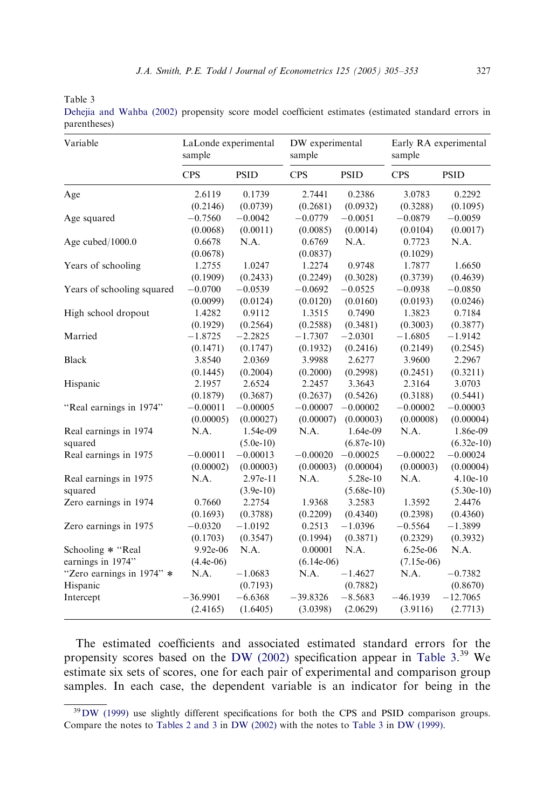<span id="page-22-0"></span>Table 3

Dehejia and Wahba (2002) propensity score model coefficient estimates (estimated standard errors in parentheses)

| Variable                   | LaLonde experimental<br>sample |             | DW experimental<br>sample |              | Early RA experimental<br>sample |              |  |
|----------------------------|--------------------------------|-------------|---------------------------|--------------|---------------------------------|--------------|--|
|                            | <b>CPS</b>                     | <b>PSID</b> | <b>CPS</b>                | <b>PSID</b>  | <b>CPS</b>                      | <b>PSID</b>  |  |
| Age                        | 2.6119                         | 0.1739      | 2.7441                    | 0.2386       | 3.0783                          | 0.2292       |  |
|                            | (0.2146)                       | (0.0739)    | (0.2681)                  | (0.0932)     | (0.3288)                        | (0.1095)     |  |
| Age squared                | $-0.7560$                      | $-0.0042$   | $-0.0779$                 | $-0.0051$    | $-0.0879$                       | $-0.0059$    |  |
|                            | (0.0068)                       | (0.0011)    | (0.0085)                  | (0.0014)     | (0.0104)                        | (0.0017)     |  |
| Age cubed/1000.0           | 0.6678                         | N.A.        | 0.6769                    | N.A.         | 0.7723                          | N.A.         |  |
|                            | (0.0678)                       |             | (0.0837)                  |              | (0.1029)                        |              |  |
| Years of schooling         | 1.2755                         | 1.0247      | 1.2274                    | 0.9748       | 1.7877                          | 1.6650       |  |
|                            | (0.1909)                       | (0.2433)    | (0.2249)                  | (0.3028)     | (0.3739)                        | (0.4639)     |  |
| Years of schooling squared | $-0.0700$                      | $-0.0539$   | $-0.0692$                 | $-0.0525$    | $-0.0938$                       | $-0.0850$    |  |
|                            | (0.0099)                       | (0.0124)    | (0.0120)                  | (0.0160)     | (0.0193)                        | (0.0246)     |  |
| High school dropout        | 1.4282                         | 0.9112      | 1.3515                    | 0.7490       | 1.3823                          | 0.7184       |  |
|                            | (0.1929)                       | (0.2564)    | (0.2588)                  | (0.3481)     | (0.3003)                        | (0.3877)     |  |
| Married                    | $-1.8725$                      | $-2.2825$   | $-1.7307$                 | $-2.0301$    | $-1.6805$                       | $-1.9142$    |  |
|                            | (0.1471)                       | (0.1747)    | (0.1932)                  | (0.2416)     | (0.2149)                        | (0.2545)     |  |
| Black                      | 3.8540                         | 2.0369      | 3.9988                    | 2.6277       | 3.9600                          | 2.2967       |  |
|                            | (0.1445)                       | (0.2004)    | (0.2000)                  | (0.2998)     | (0.2451)                        | (0.3211)     |  |
| Hispanic                   | 2.1957                         | 2.6524      | 2.2457                    | 3.3643       | 2.3164                          | 3.0703       |  |
|                            | (0.1879)                       | (0.3687)    | (0.2637)                  | (0.5426)     | (0.3188)                        | (0.5441)     |  |
| "Real earnings in 1974"    | $-0.00011$                     | $-0.00005$  | $-0.00007$                | $-0.00002$   | $-0.00002$                      | $-0.00003$   |  |
|                            | (0.00005)                      | (0.00027)   | (0.00007)                 | (0.00003)    | (0.00008)                       | (0.00004)    |  |
| Real earnings in 1974      | N.A.                           | 1.54e-09    | N.A.                      | 1.64e-09     | N.A.                            | 1.86e-09     |  |
| squared                    |                                | $(5.0e-10)$ |                           | $(6.87e-10)$ |                                 | $(6.32e-10)$ |  |
| Real earnings in 1975      | $-0.00011$                     | $-0.00013$  | $-0.00020$                | $-0.00025$   | $-0.00022$                      | $-0.00024$   |  |
|                            | (0.00002)                      | (0.00003)   | (0.00003)                 | (0.00004)    | (0.00003)                       | (0.00004)    |  |
| Real earnings in 1975      | N.A.                           | 2.97e-11    | N.A.                      | 5.28e-10     | N.A.                            | $4.10e-10$   |  |
| squared                    |                                | $(3.9e-10)$ |                           | $(5.68e-10)$ |                                 | $(5.30e-10)$ |  |
| Zero earnings in 1974      | 0.7660                         | 2.2754      | 1.9368                    | 3.2583       | 1.3592                          | 2.4476       |  |
|                            | (0.1693)                       | (0.3788)    | (0.2209)                  | (0.4340)     | (0.2398)                        | (0.4360)     |  |
| Zero earnings in 1975      | $-0.0320$                      | $-1.0192$   | 0.2513                    | $-1.0396$    | $-0.5564$                       | $-1.3899$    |  |
|                            | (0.1703)                       | (0.3547)    | (0.1994)                  | (0.3871)     | (0.2329)                        | (0.3932)     |  |
| Schooling * "Real          | 9.92e-06                       | N.A.        | 0.00001                   | N.A.         | 6.25e-06                        | N.A.         |  |
| earnings in 1974"          | $(4.4e-06)$                    |             | $(6.14e-06)$              |              | $(7.15e-06)$                    |              |  |
| "Zero earnings in 1974" *  | N.A.                           | $-1.0683$   | N.A.                      | $-1.4627$    | N.A.                            | $-0.7382$    |  |
| Hispanic                   |                                | (0.7193)    |                           | (0.7882)     |                                 | (0.8670)     |  |
| Intercept                  | $-36.9901$                     | $-6.6368$   | $-39.8326$                | $-8.5683$    | $-46.1939$                      | $-12.7065$   |  |
|                            | (2.4165)                       | (1.6405)    | (3.0398)                  | (2.0629)     | (3.9116)                        | (2.7713)     |  |
|                            |                                |             |                           |              |                                 |              |  |

[The](#page-46-0) [estim](#page-46-0)ated coefficients and associated estimated standa[rd errors](#page-46-0) for the propensity scores [based](#page-19-0) [on](#page-19-0) [th](#page-19-0)e [DW](#page-46-0) [\(200](#page-46-0)2) specification appear in Table  $3.39$  We estimate six sets of scores, one for each pair of experimental and comparison group samples. In each case, the dependent variable is an indicator for being in the

<sup>&</sup>lt;sup>39</sup>DW (1999) use slightly different specifications for both the CPS and PSID comparison groups. Compare the notes to Tables 2 and 3 in DW (2002) with the notes to Table 3 in DW (1999).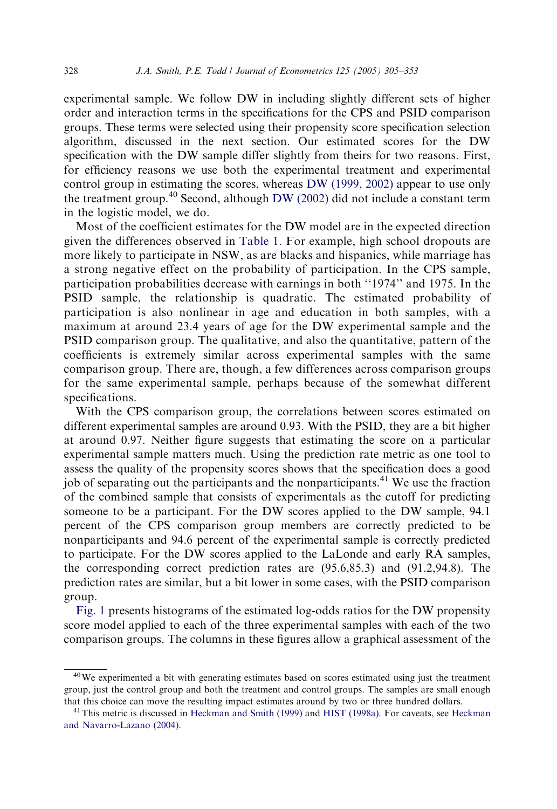#### 328 J.A. Smith, P.E. Todd / Journal of Econometrics 125 (2005) 305–353

experimental sample. We follow DW in including slightly different sets of higher order and interaction terms in the specification[s for the CPS and](#page-46-0) PSID comparison groups. These terms were selected using t[heir propen](#page-46-0)sity score specification selection algorithm, discussed in the next section. Our estimated scores for the DW specification with the DW sample differ slightly from theirs for two reasons. First, for efficiency reasons we use bo[th the e](#page-17-0)xperimental treatment and experimental control group in estimating the scores, whereas DW (1999, 2002) appear to use only the treatment group.<sup>40</sup> Second, although DW (2002) did not include a constant term in the logistic model, we do.

Most of the coefficient estimates for the DW model are in the expected direction given the differences observed in Table 1. For example, high school dropouts are more likely to participate in NSW, as are blacks and hispanics, while marriage has a strong negative effect on the probability of participation. In the CPS sample, participation probabilities decrease with earnings in both ''1974'' and 1975. In the PSID sample, the relationship is quadratic. The estimated probability of participation is also nonlinear in age and education in both samples, with a maximum at around 23.4 years of age for the DW experimental sample and the PSID comparison group. The qualitative, and also the quantitative, pattern of the coefficients is extremely similar across experimental samples with the same comparison group. There are, though, a few differences across comparison groups for the same experimental sample, perhaps because of the somewhat different specifications.

With the CPS comparison group, the correlations between scores estimated on different experimental samples are around 0.93. With the PSID, they are a bit higher at around 0.97. Neither figure suggests that estimating the score on a particular experimental sample matters much. Using the prediction rate metric as one tool to assess the quality of the propensity scores shows that the specification does a good job of separating out the participants and the nonparticipants.<sup>41</sup> We use the fraction of the combined sample that consists of experimentals as the cutoff for predicting someone to be a participant. For the DW scores applied to the DW sample, 94.1 percent of the CPS comparison group members are correctly predicted to be n[onparti](#page-24-0)cipants and 94.6 percent of the experimental sample is correctly predicted to participate. For the DW scores applied to the LaLonde and early RA samples, the corresponding correct prediction rates are (95.6,85.3) and (91.2,94.8). The prediction rates are similar, but a bit lower in some cases, with the PSID comparison group.

Fig. 1 presents histograms of the estimated log-odds ratios for the DW propensity score model applied to each of the three experimental samples with each of the two comparison groups. The [columns in these figure](#page-47-0)s al[low a graph](#page-47-0)ical assessme[nt of the](#page-47-0)

<sup>&</sup>lt;sup>40</sup>We experimented a bit with generating estimates based on scores estimated using just the treatment group, just the control group and both the treatment and control groups. The samples are small enough that this choice can move the resulting impact estimates around by two or three hundred dollars.

<sup>&</sup>lt;sup>41</sup> This metric is discussed in Heckman and Smith (1999) and HIST (1998a). For caveats, see Heckman and Navarro-Lazano (2004).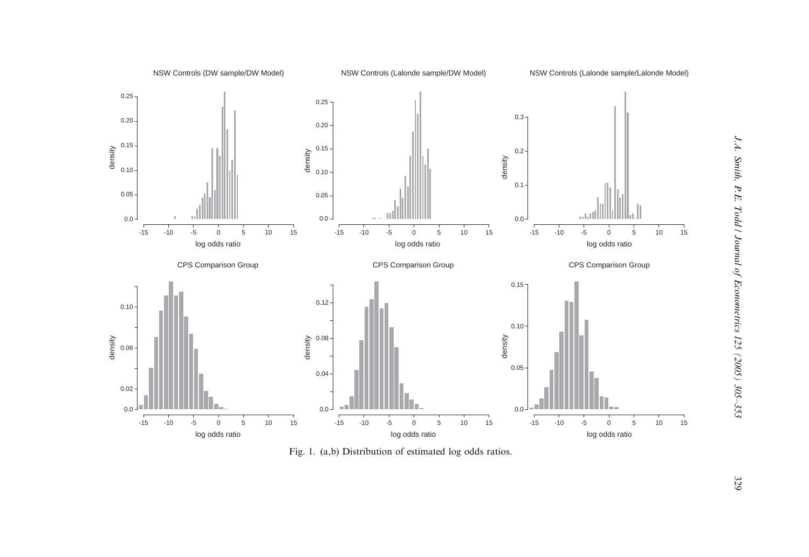<span id="page-24-0"></span>

Fig. 1. (a,b) Distribution of estimated log odds ratios.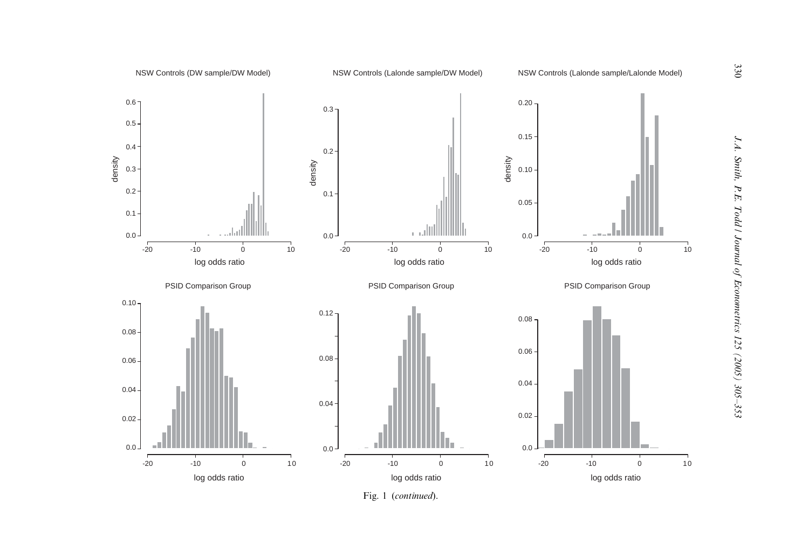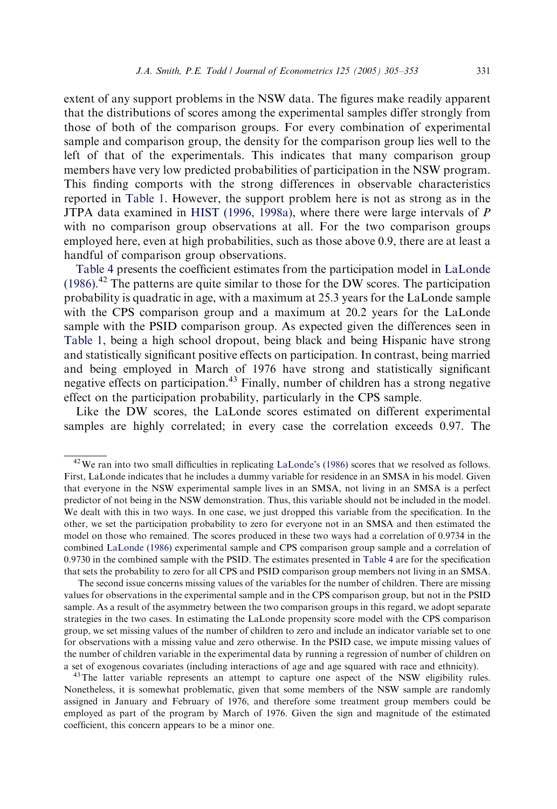extent of any support problems in the NSW data. The figures make readily apparent that the distributions of scores among the experimental samples differ strongly from those of bo[th of th](#page-17-0)e comparison groups. For every combination of experimental sample and comparison [group, the density fo](#page-47-0)r the comparison group lies well to the left of that of the experimentals. This indicates that many comparison group members have very low predicted probabilities of participation in the NSW program. This finding comports with the strong differences in observable characteristics re[ported i](#page-27-0)n Table 1. However, the support problem here is not as strong [as in the](#page-47-0) [JTPA](#page-47-0) data examined in HIST (1996, 1998a), where there were large intervals of  $P$ with no comparison group observations at all. For the two comparison groups employed here, even at high probabilities, such as those above 0.9, there are at least a handful of comparison group observations.

[Table](#page-17-0) 4 presents the coefficient estimates from the participation model in LaLonde (1986).<sup>42</sup> The patterns are quite similar to those for the DW scores. The participation probability is quadratic in age, with a maximum at 25.3 years for the LaLonde sample with the CPS comparison group and a maximum at 20.2 years for the LaLonde sample with the PSID comparison group. As expected given the differences seen in Table 1, being a high school dropout, being black and being Hispanic have strong and statistically significant positive effects on participation. In contrast, being married and being employed in March of 1976 have strong and statistically significant negative effects on participation.43 Finally, number of children has a strong negative effect on the participation probability, pa[rticularly](#page-47-0) [in](#page-47-0) [th](#page-47-0)e CPS sample.

Like the DW scores, the LaLonde scores estimated on different experimental samples are highly correlated; in every case the correlation exceeds 0.97. The

<sup>&</sup>lt;sup>42</sup> We ran into two small difficulties in replicating LaLonde's (1986) scores that we resolved as follows. First, LaL[onde indicates th](#page-47-0)at he includes a dummy variable for residence in an SMSA in his model. Given that everyone in the NSW experimental sample lives in an SMSA, not [living in](#page-27-0) an SMSA is a perfect predictor of not being in the NSW demonstration. Thus, this variable should not be included in the model. We dealt with this in two ways. In one case, we just dropped this variable from the specification. In the other, we set the participation probability to zero for everyone not in an SMSA and then estimated the model on those who remained. The scores produced in these two ways had a correlation of 0.9734 in the combined LaLonde (1986) experimental sample and CPS comparison group sample and a correlation of 0.9730 in the combined sample with the PSID. The estimates presented in Table 4 are for the specification that sets the probability to zero for all CPS and PSID comparison group members not living in an SMSA.

The second issue concerns missing values of the variables for the number of children. There are missing values for observations in the experimental sample and in the CPS comparison group, but not in the PSID sample. As a result of the asymmetry between the two comparison groups in this regard, we adopt separate strategies in the two cases. In estimating the LaLonde propensity score model with the CPS comparison group, we set missing values of the number of children to zero and include an indicator variable set to one for observations with a missing value and zero otherwise. In the PSID case, we impute missing values of the number of children variable in the experimental data by running a regression of number of children on a set of exogenous covariates (including interactions of age and age squared with race and ethnicity). 43The latter variable represents an attempt to capture one aspect of the NSW eligibility rules.

Nonetheless, it is somewhat problematic, given that some members of the NSW sample are randomly assigned in January and February of 1976, and therefore some treatment group members could be employed as part of the program by March of 1976. Given the sign and magnitude of the estimated coefficient, this concern appears to be a minor one.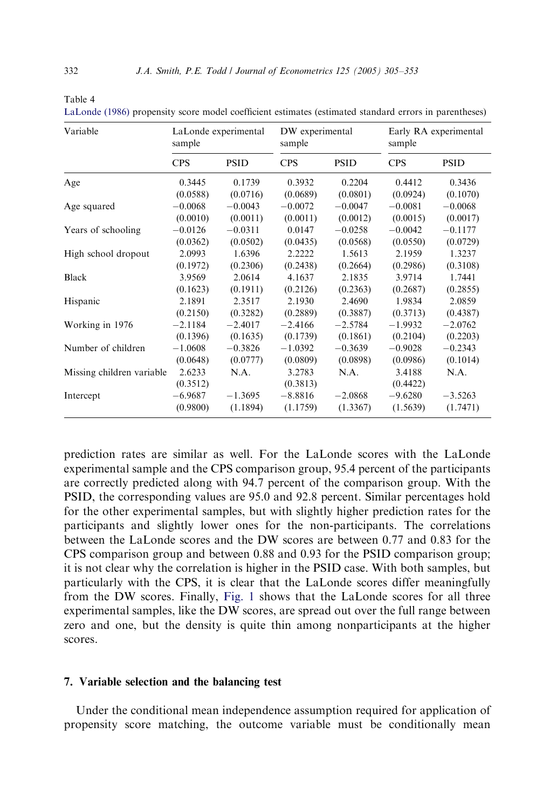|--|

LaLonde (1986) propensity score model coefficient estimates (estimated standard errors in parentheses)

| Variable                  | sample     | LaLonde experimental | DW experimental<br>sample |             | Early RA experimental<br>sample |             |  |
|---------------------------|------------|----------------------|---------------------------|-------------|---------------------------------|-------------|--|
|                           | <b>CPS</b> | <b>PSID</b>          | <b>CPS</b>                | <b>PSID</b> | <b>CPS</b>                      | <b>PSID</b> |  |
| Age                       | 0.3445     | 0.1739               | 0.3932                    | 0.2204      | 0.4412                          | 0.3436      |  |
|                           | (0.0588)   | (0.0716)             | (0.0689)                  | (0.0801)    | (0.0924)                        | (0.1070)    |  |
| Age squared               | $-0.0068$  | $-0.0043$            | $-0.0072$                 | $-0.0047$   | $-0.0081$                       | $-0.0068$   |  |
|                           | (0.0010)   | (0.0011)             | (0.0011)                  | (0.0012)    | (0.0015)                        | (0.0017)    |  |
| Years of schooling        | $-0.0126$  | $-0.0311$            | 0.0147                    | $-0.0258$   | $-0.0042$                       | $-0.1177$   |  |
|                           | (0.0362)   | (0.0502)             | (0.0435)                  | (0.0568)    | (0.0550)                        | (0.0729)    |  |
| High school dropout       | 2.0993     | 1.6396               | 2.2222                    | 1.5613      | 2.1959                          | 1.3237      |  |
|                           | (0.1972)   | (0.2306)             | (0.2438)                  | (0.2664)    | (0.2986)                        | (0.3108)    |  |
| Black                     | 3.9569     | 2.0614               | 4.1637                    | 2.1835      | 3.9714                          | 1.7441      |  |
|                           | (0.1623)   | (0.1911)             | (0.2126)                  | (0.2363)    | (0.2687)                        | (0.2855)    |  |
| Hispanic                  | 2.1891     | 2.3517               | 2.1930                    | 2.4690      | 1.9834                          | 2.0859      |  |
|                           | (0.2150)   | (0.3282)             | (0.2889)                  | (0.3887)    | (0.3713)                        | (0.4387)    |  |
| Working in 1976           | $-2.1184$  | $-2.4017$            | $-2.4166$                 | $-2.5784$   | $-1.9932$                       | $-2.0762$   |  |
|                           | (0.1396)   | (0.1635)             | (0.1739)                  | (0.1861)    | (0.2104)                        | (0.2203)    |  |
| Number of children        | $-1.0608$  | $-0.3826$            | $-1.0392$                 | $-0.3639$   | $-0.9028$                       | $-0.2343$   |  |
|                           | (0.0648)   | (0.0777)             | (0.0809)                  | (0.0898)    | (0.0986)                        | (0.1014)    |  |
| Missing children variable | 2.6233     | N.A.                 | 3.2783                    | N.A.        | 3.4188                          | N.A.        |  |
|                           | (0.3512)   |                      | (0.3813)                  |             | (0.4422)                        |             |  |
| Intercept                 | $-6.9687$  | $-1.3695$            | $-8.8816$                 | $-2.0868$   | $-9.6280$                       | $-3.5263$   |  |
|                           | (0.9800)   | (1.1894)             | (1.1759)                  | (1.3367)    | (1.5639)                        | (1.7471)    |  |

prediction rates are similar as well. For the LaLonde scores with the LaLonde experimental sample and the CPS comparison group, 95.4 percent of the participants are correctly predicted along with 94.7 percent of the comparison group. With the PSID, the corresponding values are 95.0 and 92.8 percent. Similar percentages hold for the other experimental samples, but with slightly higher prediction rates for the participants and slightly low[er ones](#page-24-0) for the non-participants. The correlations between the LaLonde scores and the DW scores are between 0.77 and 0.83 for the CPS comparison group and between 0.88 and 0.93 for the PSID comparison group; it is not clear why the correlation is higher in the PSID case. With both samples, but particularly with the CPS, it is clear that the LaLonde scores differ meaningfully from the DW scores. Finally, Fig. 1 shows that the LaLonde scores for all three experimental samples, like the DW scores, are spread out over the full range between zero and one, but the density is quite thin among nonparticipants at the higher scores.

#### 7. Variable selection and the balancing test

Under the conditional mean independence assumption required for application of propensity score matching, the outcome variable must be conditionally mean

<span id="page-27-0"></span>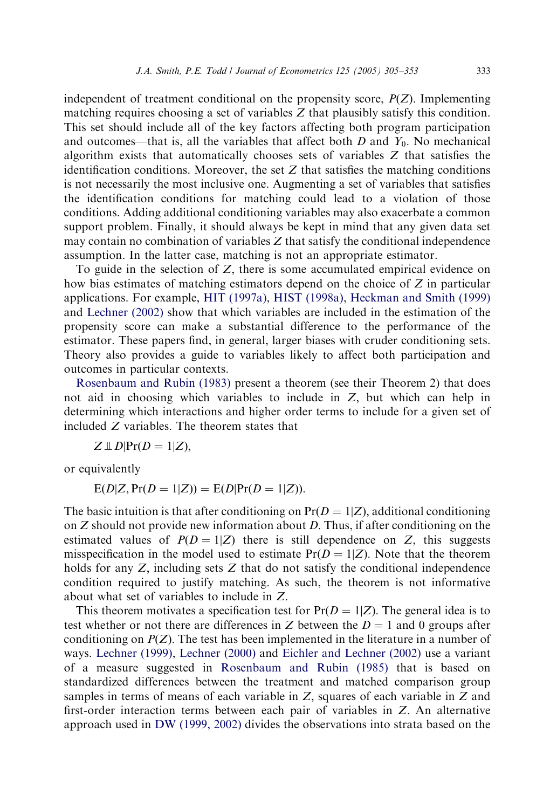independent of treatment conditional on the propensity score,  $P(Z)$ . Implementing matching requires choosing a set of variables  $Z$  that plausibly satisfy this condition. This set should include all of the key factors affecting both program participation and outcomes—that is, all the variables that affect both  $D$  and  $Y_0$ . No mechanical algorithm exists that automatically chooses sets of variables  $Z$  that satisfies the identification conditions. Moreover, the set  $Z$  that satisfies the matching conditions is not necessarily the most inclusive one. Augmenting a set of variables that satisfies the identification conditions for matching could lead to a violation of those conditions. Adding additional conditioning variables may also exacerbate a common support problem. Finally, i[t should alw](#page-47-0)a[ys be kept in mind that any given data set](#page-47-0) may [contain no com](#page-47-0)bination of variables  $Z$  that satisfy the conditional independence assumption. In the latter case, matching is not an appropriate estimator.

To guide in the selection of Z; there is some accumulated empirical evidence on how bias estimates of matching estimators depend on the choice of Z in particular applications. For example, HIT (1997a), HIST (1998a), Heckman and Smith (1999) and [Lechner \(2002\)](#page-48-0) show that which variables are included in the estimation of the propensity score can make a substantial difference to the performance of the estimator. These papers find, in general, larger biases with cruder conditioning sets. Theory also provides a guide to variables likely to affect both participation and outcomes in particular contexts.

Rosenbaum and Rubin (1983) present a theorem (see their Theorem 2) that does not aid in choosing which variables to include in  $Z$ , but which can help in determining which interactions and higher order terms to include for a given set of included Z variables. The theorem states that

 $Z \perp\!\!\!\perp D \vert Pr(D = 1 | Z),$ 

or equivalently

 $E(D|Z, Pr(D = 1|Z)) = E(D|Pr(D = 1|Z)).$ 

The basic intuition is that after conditioning on  $Pr(D = 1|Z)$ , additional conditioning on  $Z$  should not provide new information about  $D$ . Thus, if after conditioning on the estimated values of  $P(D = 1|Z)$  there is still dependence on Z, this suggests misspecification in the model used to estimate  $Pr(D = 1|Z)$ . Note that the theorem holds for any  $Z$ , including sets  $Z$  that do not satisfy the conditional independence condit[ion required to justify matchin](#page-47-0)g. [As such, the theorem is no](#page-46-0)t informative about what set of variables to [include in](#page-48-0) Z:

This theorem motivates a specification test for  $Pr(D = 1|Z)$ . The general idea is to test whether or not there are differences in Z between the  $D = 1$  and 0 groups after conditioning on  $P(Z)$ . The test has been implemented in the literature in a number of ways. Lechner (1999), [Lechner \(200](#page-46-0)0) and Eichler and Lechner (2002) use a variant of a measure suggested in Rosenbaum and Rubin (1985) that is based on standardized differences between the treatment and matched comparison group samples in terms of means of each variable in  $Z$ , squares of each variable in  $Z$  and first-order interaction terms between each pair of variables in Z: An alternative approach used in DW (1999, 2002) divides the observations into strata based on the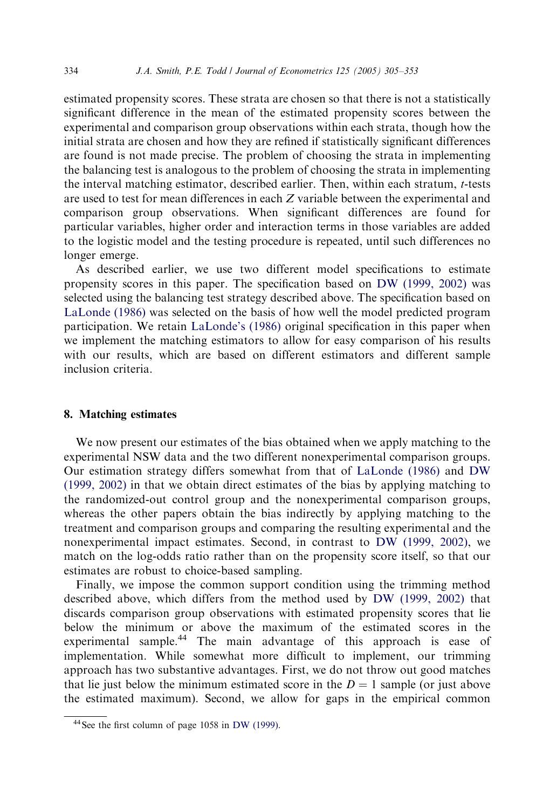#### 334 J.A. Smith, P.E. Todd / Journal of Econometrics 125 (2005) 305–353

estimated propensity scores. These strata are chosen so that there is not a statistically significant difference in the mean of the estimated propensity scores between the experimental and comparison group observations within each strata, though how the initial strata are chosen and how they are refined if statistically significant differences are found is not made precise. The problem of choosing the strata in implementing the balancing test is analogous to the problem of choosing the strata in implementing the interval matching estimator, described earlier. Then, within each stratum, t-tests are used to test for mean differences in each Z variable between the experimental and comparison group observations. When significant differ[ences are found](#page-46-0) for particular variables, higher order and interaction terms in those variables are added [to the logistic m](#page-47-0)odel and [the](#page-47-0) [testing](#page-47-0) [proced](#page-47-0)ure is repeated, until such differences no longer emerge.

As described earlier, we use two different model specifications to estimate propensity scores in this paper. The specification based on DW (1999, 2002) was selected using the balancing test strategy described above. The specification based on LaLonde (1986) was selected on the basis of how well the model predicted program participation. We retain LaLonde's (1986) original specification in this paper when we implement the matching estimators to allow for easy comparison of his results with our results, which are based on different estimators and different sample inclusion criteria.

#### [8. Matching](#page-46-0) estimates

We now present our estimates of the bias obtained when we apply matching to the experimental NSW data and the two different nonexperimental comparison groups. Our estimation strategy differs somewhat from that of La[Londe \(1986\)](#page-46-0) and DW (1999, 2002) in that we obtain direct estimates of the bias by applying matching to the randomized-out control group and the nonexperimental comparison groups, whereas the other papers obtain the bias indirectly by applying matching to the treatment and comparison groups and comparing the resulti[ng experimental an](#page-46-0)d the nonexperimental impact estimates. Second, in contrast to DW (1999, 2002), we match on the log-odds ratio rather than on the propensity score itself, so that our estimates are robust to choice-based sampling.

Finally, we impose the common support condition using the trimming method described above, which differs from the method used by DW (1999, 2002) that discards comparison group observations with estimated propensity scores that lie below the minimum or above the maximum of the estimated scores in the experimental sample.<sup>44</sup> The main advantage of this approach is ease of implementation. While somew[hat](#page-46-0) [more](#page-46-0) difficult to implement, our trimming approach has two substantive advantages. First, we do not throw out good matches that lie just below the minimum estimated score in the  $D = 1$  sample (or just above the estimated maximum). Second, we allow for gaps in the empirical common

 $44$  See the first column of page 1058 in DW (1999).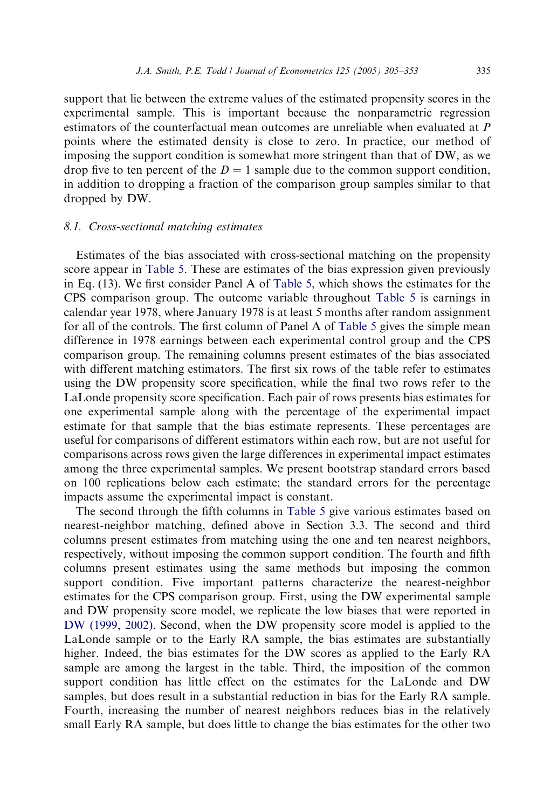support that lie between the extreme values of the estimated propensity scores in the experimental sample. This is important because the nonparametric regression estimators of the counterfactual mean outcomes are unreliable when evaluated at P points where the estimated density is close to zero. In practice, our method of imposing the support condition is somewhat more stringent than that of DW, as we drop five to ten percent of the  $D = 1$  sample due to the common support condition, in addition to dropping a fraction of the comparison group samples similar to that dropped by D[W.](#page-31-0)

#### 8.1. Cross-sectional matching estimates

Estimates of the bias associated with cross-section[al match](#page-31-0)ing on the propensity score appear in Table 5. These are estimates of the bias expression given previously in Eq. (13). We first consider Panel A of Table 5, which shows the estimates for the CPS comparison group. The outcome variable throughout Table 5 is earnings in calendar year 1978, where January 1978 is at least 5 months after random assignment for all of the controls. The first column of Panel A of Table 5 gives the simple mean difference in 1978 earnings between each experimental control group and the CPS comparison group. The remaining columns present estimates of the bias associated with different matching estimators. The first six rows of the table refer to estimates using the DW propensity score specification, while the final two rows refer to the LaLonde propensity score specification. Each pair of rows presents bias estimates for one experimental sample along with the percentage of the experimental impact estimate for that sample that the bias estimate represents. These percentages are useful for comparisons of different estimato[rs within](#page-31-0) each row, but are not useful for comparisons across rows given the large differences in experimental impact estimates among the three experimental samples. We present bootstrap standard errors based on 100 replications below each estimate; the standard errors for the percentage impacts assume the experimental impact is constant.

The second through the fifth columns in Table 5 give various estimates based on nearest-neighbor matching, defined above in Section 3.3. The second and third columns present estimates from matching using the one and ten nearest neighbors, [respectively, witho](#page-46-0)ut imposing the common support condition. The fourth and fifth columns present estimates using the same methods but imposing the common support condition. Five important patterns characterize the nearest-neighbor estimates for the CPS comparison group. First, using the DW experimental sample and DW propensity score model, we replicate the low biases that were reported in DW (1999, 2002). Second, when the DW propensity score model is applied to the LaLonde sample or to the Early RA sample, the bias estimates are substantially higher. Indeed, the bias estimates for the DW scores as applied to the Early RA sample are among the largest in the table. Third, the imposition of the common support condition has little effect on the estimates for the LaLonde and DW samples, but does result in a substantial reduction in bias for the Early RA sample. Fourth, increasing the number of nearest neighbors reduces bias in the relatively small Early RA sample, but does little to change the bias estimates for the other two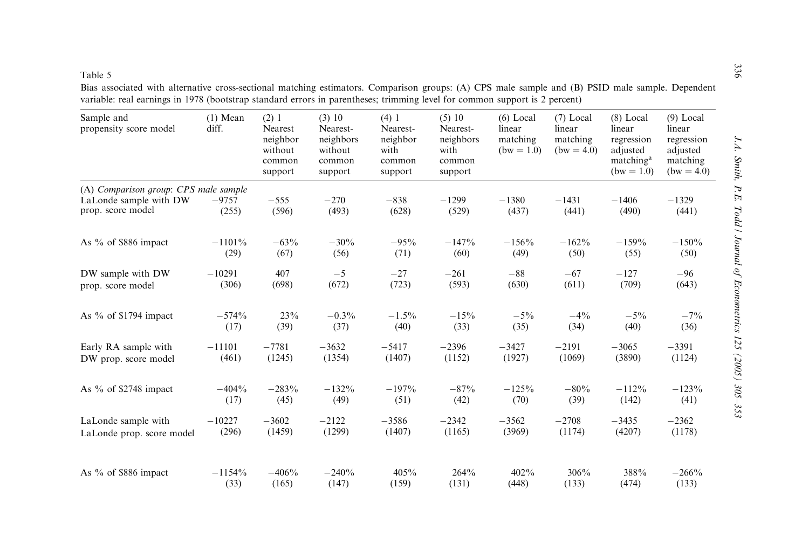#### <span id="page-31-0"></span>Table 5

Bias associated with alternative cross-sectional matching estimators. Comparison groups: (A) CPS male sample and (B) PSID male sample. Dependent variable: real earnings in 1978 (bootstrap standard errors in parentheses; trimming level for common support is 2 percent)

| Sample and<br>propensity score model  | $(1)$ Mean<br>diff. | (2) 1<br>Nearest<br>neighbor<br>without<br>common<br>support | (3) 10<br>Nearest-<br>neighbors<br>without<br>common<br>support | (4) 1<br>Nearest-<br>neighbor<br>with<br>common<br>support | (5) 10<br>Nearest-<br>neighbors<br>with<br>common<br>support | $(6)$ Local<br>linear<br>matching<br>$(bw = 1.0)$ | $(7)$ Local<br>linear<br>matching<br>$(bw = 4.0)$ | $(8)$ Local<br>linear<br>regression<br>adjusted<br>matching <sup>a</sup><br>$(bw = 1.0)$ | $(9)$ Local<br>linear<br>regression<br>adjusted<br>matching<br>$(bw = 4.0)$ |
|---------------------------------------|---------------------|--------------------------------------------------------------|-----------------------------------------------------------------|------------------------------------------------------------|--------------------------------------------------------------|---------------------------------------------------|---------------------------------------------------|------------------------------------------------------------------------------------------|-----------------------------------------------------------------------------|
| (A) Comparison group: CPS male sample |                     |                                                              |                                                                 |                                                            |                                                              |                                                   |                                                   |                                                                                          |                                                                             |
| LaLonde sample with DW                | $-9757$             | $-555$                                                       | $-270$                                                          | $-838$                                                     | $-1299$                                                      | $-1380$                                           | $-1431$                                           | $-1406$                                                                                  | $-1329$                                                                     |
| prop. score model                     | (255)               | (596)                                                        | (493)                                                           | (628)                                                      | (529)                                                        | (437)                                             | (441)                                             | (490)                                                                                    | (441)                                                                       |
| As $\%$ of \$886 impact               | $-1101%$            | $-63%$                                                       | $-30%$                                                          | $-95%$                                                     | $-147%$                                                      | $-156%$                                           | $-162%$                                           | $-159%$                                                                                  | $-150%$                                                                     |
|                                       | (29)                | (67)                                                         | (56)                                                            | (71)                                                       | (60)                                                         | (49)                                              | (50)                                              | (55)                                                                                     | (50)                                                                        |
| DW sample with DW                     | $-10291$            | 407                                                          | $-5$                                                            | $-27$                                                      | $-261$                                                       | $-88$                                             | $-67$                                             | $-127$                                                                                   | $-96$                                                                       |
| prop. score model                     | (306)               | (698)                                                        | (672)                                                           | (723)                                                      | (593)                                                        | (630)                                             | (611)                                             | (709)                                                                                    | (643)                                                                       |
| As $\%$ of \$1794 impact              | $-574%$             | 23%                                                          | $-0.3\%$                                                        | $-1.5%$                                                    | $-15%$                                                       | $-5%$                                             | $-4%$                                             | $-5\%$                                                                                   | $-7%$                                                                       |
|                                       | (17)                | (39)                                                         | (37)                                                            | (40)                                                       | (33)                                                         | (35)                                              | (34)                                              | (40)                                                                                     | (36)                                                                        |
| Early RA sample with                  | $-11101$            | $-7781$                                                      | $-3632$                                                         | $-5417$                                                    | $-2396$                                                      | $-3427$                                           | $-2191$                                           | $-3065$                                                                                  | $-3391$                                                                     |
| DW prop. score model                  | (461)               | (1245)                                                       | (1354)                                                          | (1407)                                                     | (1152)                                                       | (1927)                                            | (1069)                                            | (3890)                                                                                   | (1124)                                                                      |
| As $\%$ of \$2748 impact              | $-404%$             | $-283%$                                                      | $-132%$                                                         | $-197%$                                                    | $-87%$                                                       | $-125%$                                           | $-80%$                                            | $-112%$                                                                                  | $-123%$                                                                     |
|                                       | (17)                | (45)                                                         | (49)                                                            | (51)                                                       | (42)                                                         | (70)                                              | (39)                                              | (142)                                                                                    | (41)                                                                        |
| LaLonde sample with                   | $-10227$            | $-3602$                                                      | $-2122$                                                         | $-3586$                                                    | $-2342$                                                      | $-3562$                                           | $-2708$                                           | $-3435$                                                                                  | $-2362$                                                                     |
| LaLonde prop. score model             | (296)               | (1459)                                                       | (1299)                                                          | (1407)                                                     | (1165)                                                       | (3969)                                            | (1174)                                            | (4207)                                                                                   | (1178)                                                                      |
| As $\%$ of \$886 impact               | $-1154%$            | $-406%$                                                      | $-240%$                                                         | 405%                                                       | 264%                                                         | 402%                                              | 306%                                              | 388%                                                                                     | $-266%$                                                                     |
|                                       | (33)                | (165)                                                        | (147)                                                           | (159)                                                      | (131)                                                        | (448)                                             | (133)                                             | (474)                                                                                    | (133)                                                                       |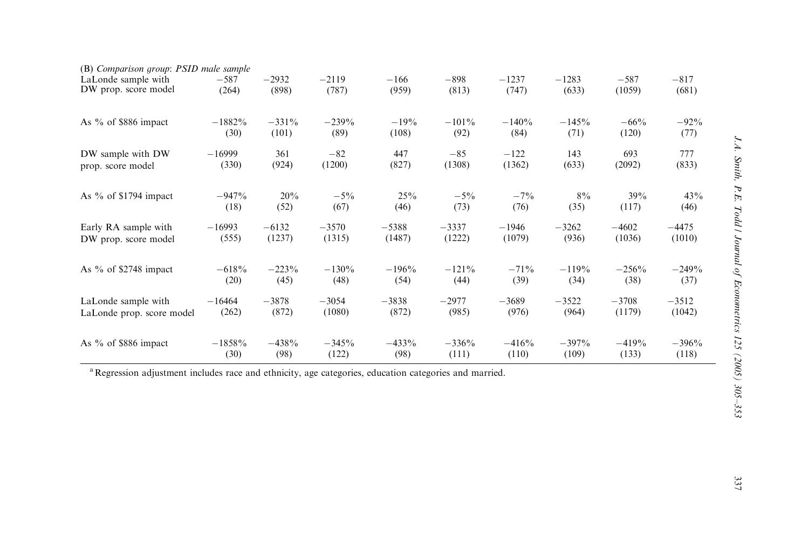| (B) Comparison group: PSID male sample |                  |                   |                 |                 |                 |                 |                 |                 |                |
|----------------------------------------|------------------|-------------------|-----------------|-----------------|-----------------|-----------------|-----------------|-----------------|----------------|
| LaLonde sample with                    | $-587$           | $-2932$           | $-2119$         | $-166$          | $-898$          | $-1237$         | $-1283$         | $-587$          | $-817$         |
| DW prop. score model                   | (264)            | (898)             | (787)           | (959)           | (813)           | (747)           | (633)           | (1059)          | (681)          |
| As $\%$ of \$886 impact                | $-1882%$<br>(30) | $-331\%$<br>(101) | $-239%$<br>(89) | $-19%$<br>(108) | $-101%$<br>(92) | $-140%$<br>(84) | $-145%$<br>(71) | $-66%$<br>(120) | $-92%$<br>(77) |
| DW sample with DW                      | $-16999$         | 361               | $-82$           | 447             | $-85$           | $-122$          | 143             | 693             | 777            |
| prop. score model                      | (330)            | (924)             | (1200)          | (827)           | (1308)          | (1362)          | (633)           | (2092)          | (833)          |
|                                        |                  |                   |                 |                 |                 |                 |                 |                 |                |
| As $\%$ of \$1794 impact               | $-947%$          | 20%               | $-5\%$          | 25%             | $-5\%$          | $-7\%$          | $8\%$           | 39%             | 43%            |
|                                        | (18)             | (52)              | (67)            | (46)            | (73)            | (76)            | (35)            | (117)           | (46)           |
| Early RA sample with                   | $-16993$         | $-6132$           | $-3570$         | $-5388$         | $-3337$         | $-1946$         | $-3262$         | $-4602$         | $-4475$        |
| DW prop. score model                   | (555)            | (1237)            | (1315)          | (1487)          | (1222)          | (1079)          | (936)           | (1036)          | (1010)         |
|                                        |                  |                   |                 |                 |                 |                 |                 |                 |                |
| As $\%$ of \$2748 impact               | $-618%$          | $-223%$           | $-130%$         | $-196%$         | $-121%$         | $-71%$          | $-119%$         | $-256%$         | $-249%$        |
|                                        | (20)             | (45)              | (48)            | (54)            | (44)            | (39)            | (34)            | (38)            | (37)           |
| LaLonde sample with                    | $-16464$         | $-3878$           | $-3054$         | $-3838$         | $-2977$         | $-3689$         | $-3522$         | $-3708$         | $-3512$        |
| LaLonde prop. score model              | (262)            | (872)             | (1080)          | (872)           | (985)           | (976)           | (964)           | (1179)          | (1042)         |
|                                        |                  |                   |                 |                 |                 |                 |                 |                 |                |
| As $\%$ of \$886 impact                | $-1858%$         | $-438%$           | $-345%$         | $-433%$         | $-336%$         | $-416%$         | $-397%$         | $-419%$         | $-396%$        |
|                                        | (30)             | (98)              | (122)           | (98)            | (111)           | (110)           | (109)           | (133)           | (118)          |

<sup>a</sup>Regression adjustment includes race and ethnicity, age categories, education categories and married.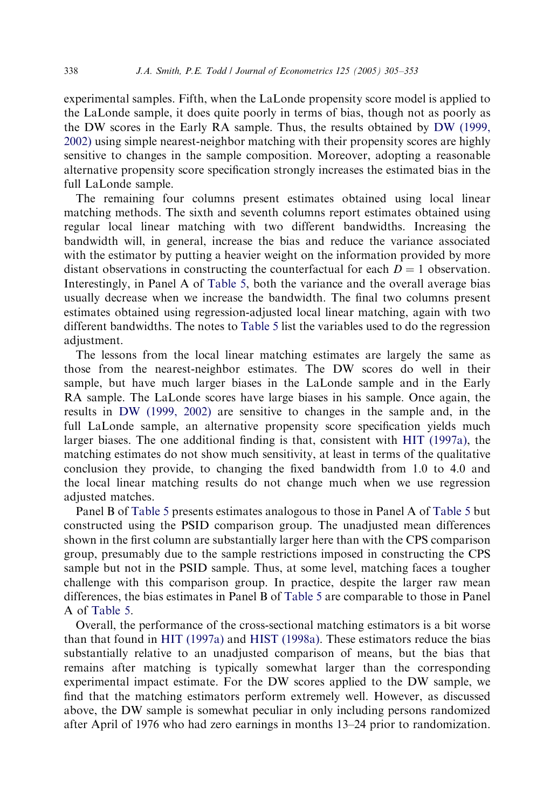experimental samples. Fifth, when the LaLonde propensity score model is applied to the LaLonde sample, it does quite poorly in terms of bias, though not as poorly as the DW scores in the Early RA sample. Thus, the results obtained by DW (1999, 2002) using simple nearest-neighbor matching with their propensity scores are highly sensitive to changes in the sample composition. Moreover, adopting a reasonable alternative propensity score specification strongly increases the estimated bias in the full LaLonde sample.

The remaining four columns present estimates obtained using local linear matching methods. The six[th and se](#page-31-0)venth columns report estimates obtained using regular local linear matching with two different bandwidths. Increasing the bandwidth will, in general, increase the bias and reduce the variance associated with the estimator by putting a he[avier wei](#page-31-0)ght on the information provided by more distant observations in constructing the counterfactual for each  $D = 1$  observation. Interestingly, in Panel A of Table 5, both the variance and the overall average bias usually decrease when we increase the bandwidth. The final two columns present estimates obtained using regression-adjusted local linear matching, again with two different bandwidths. The notes to Table 5 list the variables used to do the regression adjustmen[t.](#page-46-0)

The lessons from the local linear matching estimates are largely the same as those from the nearest-neighbor estimates. The DW scores [do well in t](#page-47-0)heir sample, but have much larger biases in the LaLonde sample and in the Early RA sample. The LaLonde scores have large biases in his sample. Once again, the results in DW (1999, 2002) are sensitive to changes in the sample and, in the full LaLonde sample, an alternative propensity score specification yields much larger biases[. The on](#page-31-0)e additional finding is that, consistent with HIT [\(1997a\),](#page-31-0) the matching estimates do not show much sensitivity, at least in terms of the qualitative conclusion they provide, to changing the fixed bandwidth from 1.0 to 4.0 and the local linear matching results do not change much when we use regression adjusted matches.

Panel B of Table 5 presents estimates analogous to those in Panel A of Table 5 but constructed using the PSID comparison [group. T](#page-31-0)he unadjusted mean differences show[n in the fi](#page-31-0)rst column are substantially larger here than with the CPS comparison group, presumably due to the sample restrictions imposed in constructing the CPS sample but not in [the PSID sam](#page-47-0)ple[. Thus, at som](#page-47-0)e level, matching faces a tougher challenge with this comparison group. In practice, despite the larger raw mean differences, the bias estimates in Panel B of Table 5 are comparable to those in Panel A of Table 5.

Overall, the performance of the cross-sectional matching estimators is a bit worse than that found in HIT (1997a) and HIST (1998a). These estimators reduce the bias substantially relative to an unadjusted comparison of means, but the bias that remains after matching is typically somewhat larger than the corresponding experimental impact estimate. For the DW scores applied to the DW sample, we find that the matching estimators perform extremely well. However, as discussed above, the DW sample is somewhat peculiar in only including persons randomized after April of 1976 who had zero earnings in months 13–24 prior to randomization.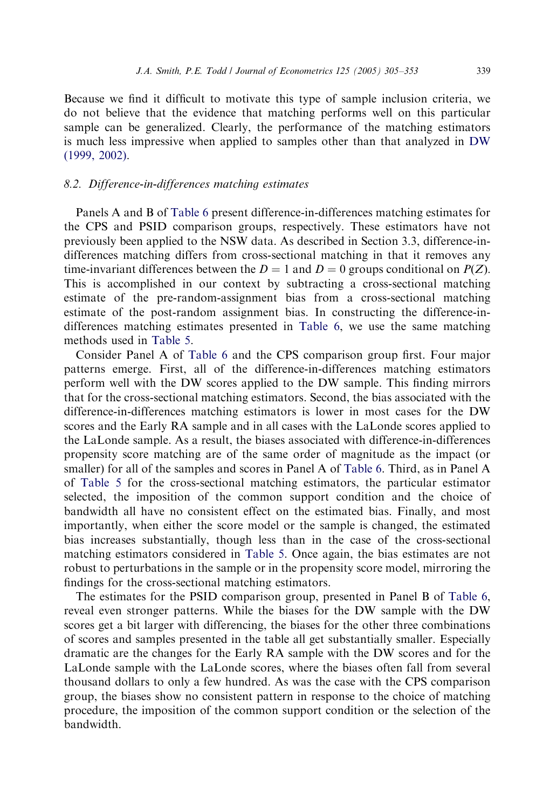Because we find it difficult to motivate this type of sample inclusion criteria, we do not believe that the evidence that matching performs well on this particular sample can be generalized. Clearly, the performance of the matching estimators is much less impress[ive whe](#page-35-0)n applied to samples other than that analyzed in DW (1999, 2002).

#### 8.2. Difference-in-differences matching estimates

Panels A and B of Table 6 present difference-in-differences matching estimates for the CPS and PSID comparison groups, respectively. These estimators have not previously been applied to the NSW data. As described in Section 3.3, difference-indifferences matching differs from cross-secti[onal mat](#page-35-0)ching in that it removes any time-invariant di[fferences](#page-31-0) between the  $D = 1$  and  $D = 0$  groups conditional on  $P(Z)$ . This is accomplished i[n our c](#page-35-0)ontext by subtracting a cross-sectional matching estimate of the pre-random-assignment bias from a cross-sectional matching estimate of the post-random assignment bias. In constructing the difference-indifferences matching estimates presented in Table 6, we use the same matching methods used in Table 5.

Consider Panel A of Table 6 and the CPS comparison group first. Four major patterns emerge. First, all of the difference-in-differences matching estimators perform well with the DW scores applied to the DW sample. This finding mirrors that for the cross-sectional matching estimators. Secon[d, the bia](#page-35-0)s associated with the dif[ference-in](#page-31-0)-differences matching estimators is lower in most cases for the DW scores and the Early RA sample and in all cases with the LaLonde scores applied to the LaLonde sample. As a result, the biases associated with difference-in-differences propensity score matching are of the same order of magnitude as the impact (or smaller) for all of the samples and scores in Panel A of Table 6. Third, as in Panel A of Table 5 for the cross-sectional [matchi](#page-31-0)ng estimators, the particular estimator selected, the imposition of the common support condition and the choice of bandwidth all have no consistent effect on the estimated bias. Finally, and most importantly, when either the score model or the sample is changed, the e[stimated](#page-35-0) bias increases substantially, though less than in the case of the cross-sectional matching estimators considered in Table 5. Once again, the bias estimates are not robust to perturbations in the sample or in the propensity score model, mirroring the findings for the cross-sectional matching estimators.

The estimates for the PSID comparison group, presented in Panel B of Table 6, reveal even stronger patterns. While the biases for the DW sample with the DW scores get a bit larger with differencing, the biases for the other three combinations of scores and samples presented in the table all get substantially smaller. Especially dramatic are the changes for the Early RA sample with the DW scores and for the LaLonde sample with the LaLonde scores, where the biases often fall from several thousand dollars to only a few hundred. As was the case with the CPS comparison group, the biases show no consistent pattern in response to the choice of matching procedure, the imposition of the common support condition or the selection of the bandwidth.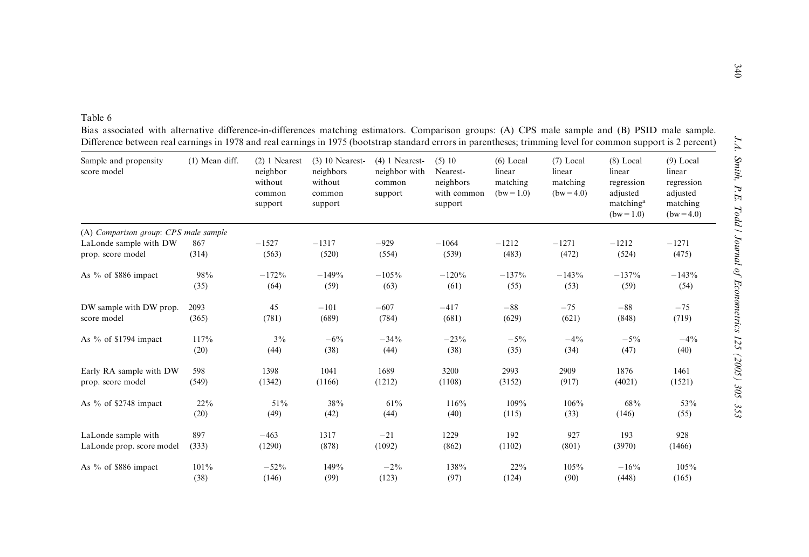<span id="page-35-0"></span> Bias associated with alternative difference-in-differences matching estimators. Comparison groups: (A) CPS male sample and (B) PSID male sample. Difference between real earnings in 1978 and real earnings in 1975 (bootstrap standard errors in parentheses; trimming level for common support is 2 percent)

| Sample and propensity<br>score model  | $(1)$ Mean diff. | $(2)$ 1 Nearest<br>neighbor<br>without<br>common<br>support | $(3)$ 10 Nearest-<br>neighbors<br>without<br>common<br>support | $(4)$ 1 Nearest-<br>neighbor with<br>common<br>support | (5) 10<br>Nearest-<br>neighbors<br>with common<br>support | $(6)$ Local<br>linear<br>matching<br>$(bw=1.0)$ | $(7)$ Local<br>linear<br>matching<br>$(bw = 4.0)$ | $(8)$ Local<br>linear<br>regression<br>adjusted<br>matching <sup>a</sup><br>$(bw = 1.0)$ | $(9)$ Local<br>linear<br>regression<br>adjusted<br>matching<br>$(bw = 4.0)$ |
|---------------------------------------|------------------|-------------------------------------------------------------|----------------------------------------------------------------|--------------------------------------------------------|-----------------------------------------------------------|-------------------------------------------------|---------------------------------------------------|------------------------------------------------------------------------------------------|-----------------------------------------------------------------------------|
| (A) Comparison group: CPS male sample |                  |                                                             |                                                                |                                                        |                                                           |                                                 |                                                   |                                                                                          |                                                                             |
| LaLonde sample with DW                | 867              | $-1527$                                                     | $-1317$                                                        | $-929$                                                 | $-1064$                                                   | $-1212$                                         | $-1271$                                           | $-1212$                                                                                  | $-1271$                                                                     |
| prop. score model                     | (314)            | (563)                                                       | (520)                                                          | (554)                                                  | (539)                                                     | (483)                                           | (472)                                             | (524)                                                                                    | (475)                                                                       |
| As $\%$ of \$886 impact               | 98%              | $-172%$                                                     | $-149%$                                                        | $-105%$                                                | $-120%$                                                   | $-137%$                                         | $-143%$                                           | $-137%$                                                                                  | $-143%$                                                                     |
|                                       | (35)             | (64)                                                        | (59)                                                           | (63)                                                   | (61)                                                      | (55)                                            | (53)                                              | (59)                                                                                     | (54)                                                                        |
| DW sample with DW prop.               | 2093             | 45                                                          | $-101$                                                         | $-607$                                                 | $-417$                                                    | $-88$                                           | $-75$                                             | $-88$                                                                                    | $-75$                                                                       |
| score model                           | (365)            | (781)                                                       | (689)                                                          | (784)                                                  | (681)                                                     | (629)                                           | (621)                                             | (848)                                                                                    | (719)                                                                       |
| As $\%$ of \$1794 impact              | 117%             | 3%                                                          | $-6%$                                                          | $-34%$                                                 | $-23%$                                                    | $-5\%$                                          | $-4%$                                             | $-5%$                                                                                    | $-4%$                                                                       |
|                                       | (20)             | (44)                                                        | (38)                                                           | (44)                                                   | (38)                                                      | (35)                                            | (34)                                              | (47)                                                                                     | (40)                                                                        |
| Early RA sample with DW               | 598              | 1398                                                        | 1041                                                           | 1689                                                   | 3200                                                      | 2993                                            | 2909                                              | 1876                                                                                     | 1461                                                                        |
| prop. score model                     | (549)            | (1342)                                                      | (1166)                                                         | (1212)                                                 | (1108)                                                    | (3152)                                          | (917)                                             | (4021)                                                                                   | (1521)                                                                      |
| As $\%$ of \$2748 impact              | 22%              | 51%                                                         | 38%                                                            | 61%                                                    | 116%                                                      | 109%                                            | 106%                                              | 68%                                                                                      | 53%                                                                         |
|                                       | (20)             | (49)                                                        | (42)                                                           | (44)                                                   | (40)                                                      | (115)                                           | (33)                                              | (146)                                                                                    | (55)                                                                        |
| LaLonde sample with                   | 897              | $-463$                                                      | 1317                                                           | $-21$                                                  | 1229                                                      | 192                                             | 927                                               | 193                                                                                      | 928                                                                         |
| LaLonde prop. score model             | (333)            | (1290)                                                      | (878)                                                          | (1092)                                                 | (862)                                                     | (1102)                                          | (801)                                             | (3970)                                                                                   | (1466)                                                                      |
| As $\%$ of \$886 impact               | 101%             | $-52%$                                                      | 149%                                                           | $-2\%$                                                 | 138%                                                      | 22%                                             | 105%                                              | $-16%$                                                                                   | 105%                                                                        |
|                                       | (38)             | (146)                                                       | (99)                                                           | (123)                                                  | (97)                                                      | (124)                                           | (90)                                              | (448)                                                                                    | (165)                                                                       |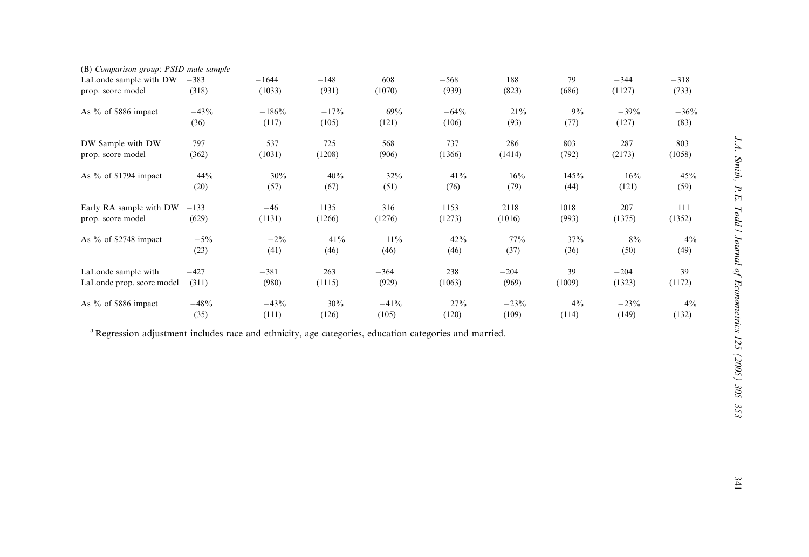| (B) Comparison group: PSID male sample |        |         |        |        |        |        |        |        |        |
|----------------------------------------|--------|---------|--------|--------|--------|--------|--------|--------|--------|
| LaLonde sample with DW                 | $-383$ | $-1644$ | $-148$ | 608    | $-568$ | 188    | 79     | $-344$ | $-318$ |
| prop. score model                      | (318)  | (1033)  | (931)  | (1070) | (939)  | (823)  | (686)  | (1127) | (733)  |
| As $\%$ of \$886 impact                | $-43%$ | $-186%$ | $-17%$ | 69%    | $-64%$ | 21%    | 9%     | $-39%$ | $-36%$ |
|                                        | (36)   | (117)   | (105)  | (121)  | (106)  | (93)   | (77)   | (127)  | (83)   |
| DW Sample with DW                      | 797    | 537     | 725    | 568    | 737    | 286    | 803    | 287    | 803    |
| prop. score model                      | (362)  | (1031)  | (1208) | (906)  | (1366) | (1414) | (792)  | (2173) | (1058) |
| As $\%$ of \$1794 impact               | 44%    | 30%     | 40%    | 32%    | 41%    | 16%    | 145%   | 16%    | 45%    |
|                                        | (20)   | (57)    | (67)   | (51)   | (76)   | (79)   | (44)   | (121)  | (59)   |
| Early RA sample with DW                | $-133$ | $-46$   | 1135   | 316    | 1153   | 2118   | 1018   | 207    | 111    |
| prop. score model                      | (629)  | (1131)  | (1266) | (1276) | (1273) | (1016) | (993)  | (1375) | (1352) |
| As $\%$ of \$2748 impact               | $-5\%$ | $-2\%$  | 41%    | $11\%$ | 42%    | 77%    | 37%    | $8\%$  | $4\%$  |
|                                        | (23)   | (41)    | (46)   | (46)   | (46)   | (37)   | (36)   | (50)   | (49)   |
| LaLonde sample with                    | $-427$ | $-381$  | 263    | $-364$ | 238    | $-204$ | 39     | $-204$ | 39     |
| LaLonde prop. score model              | (311)  | (980)   | (1115) | (929)  | (1063) | (969)  | (1009) | (1323) | (1172) |
| As $\%$ of \$886 impact                | $-48%$ | $-43%$  | 30%    | $-41%$ | 27%    | $-23%$ | $4\%$  | $-23%$ | $4\%$  |
|                                        | (35)   | (111)   | (126)  | (105)  | (120)  | (109)  | (114)  | (149)  | (132)  |

<sup>a</sup>Regression adjustment includes race and ethnicity, age categories, education categories and married.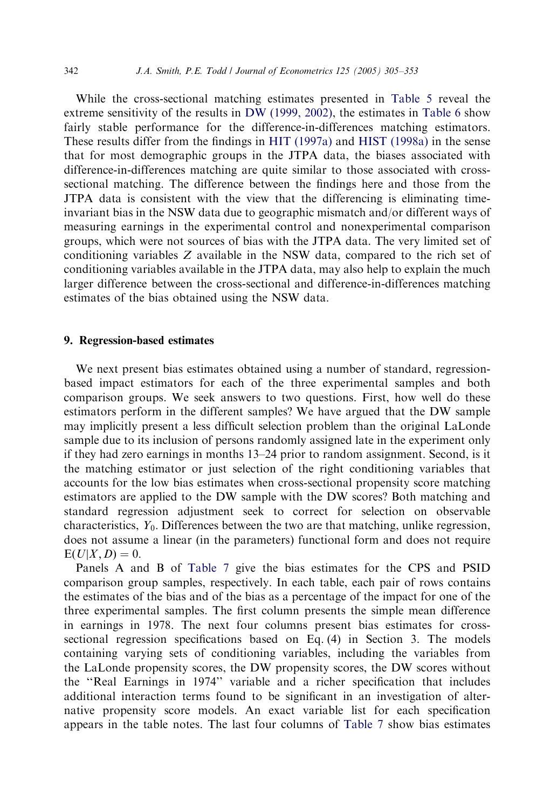#### 342 J.A. Smith, P.E. Todd / Journal [of Econometrics](#page-47-0) 125 ([2005\) 305–353](#page-47-0)

While the cross-sectional matching estimates presented in Table 5 reveal the extreme sensitivity of the results in DW (1999, 2002), the estimates in Table 6 show fairly stable performance for the difference-in-differences matching estimators. These results differ from the findings in HIT (1997a) and HIST (1998a) in the sense that for most demographic groups in the JTPA data, the biases associated with difference-in-differences matching are quite similar to those associated with crosssectional matching. The difference between the findings here and those from the JTPA data is consistent with the view that the differencing is eliminating timeinvariant bias in the NSW data due to geographic mismatch and/or different ways of measuring earnings in the experimental control and nonexperimental comparison groups, which were not sources of bias with the JTPA data. The very limited set of conditioning variables Z available in the NSW data, compared to the rich set of conditioning variables available in the JTPA data, may also help to explain the much larger difference between the cross-sectional and difference-in-differences matching estimates of the bias obtained using the NSW data.

#### 9. Regression-based estimates

We next present bias estimates obtained using a number of standard, regressionbased impact estimators for each of the three experimental samples and both comparison groups. We seek answers to two questions. First, how well do these estimators perform in the different samples? We have argued that the DW sample may implicitly present a less difficult selection problem than the original LaLonde sample due to its inclusion of persons randomly assigned late in the experiment only if they had zero earnings in months 13–24 prior to random assignment. Second, is it the matching estimator or just selection of the right conditioning variables that accounts for the low bias estimates when cross-sectional propensity score matching estimators are applied t[o the DW](#page-39-0) sample with the DW scores? Both matching and standard regression adjustment seek to correct for selection on observable characteristics,  $Y_0$ . Differences between the two are that matching, unlike regression, does not assume a linear (in the parameters) functional form and does not require  $E(U|X,D) = 0.$ 

Panels A and B of Table 7 give the bias estimates for the CPS and PSID comparison group samples, respectively. In each table, each pair of rows contains the estimates of the bias and of the bias as a percentage of the impact for one of the three experimental samples. The first column presents the simple mean difference in earnings in 1978. The next four columns present bias estimates for crosssectional regression specifications based on Eq. (4) in Section 3. The models containing varying sets of conditioning variables, i[ncluding](#page-39-0) the variables from the LaLonde propensity scores, the DW propensity scores, the DW scores without the ''Real Earnings in 1974'' variable and a richer specification that includes additional interaction terms found to be significant in an investigation of alternative propensity score models. An exact variable list for each specification appears in the table notes. The last four columns of Table 7 show bias estimates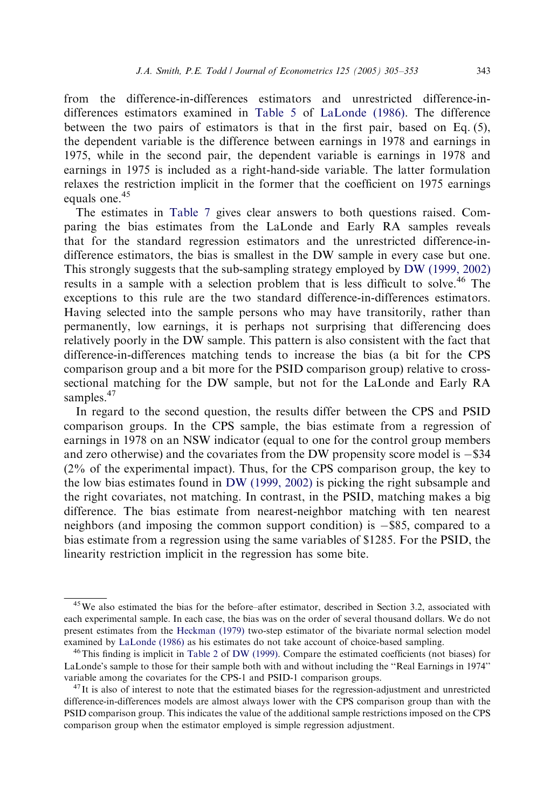from the difference-in-differences estimators and unrestricted difference-indifferences estimators examined in Table 5 of LaLonde (1986). The difference between the two pairs of estimators is that in the first pair, based on Eq. (5), the dependent varia[ble is the](#page-39-0) difference between earnings in 1978 and earnings in 1975, while in the second pair, the dependent variable is earnings in 1978 and earnings in 1975 is included as a right-hand-side variable. The latter formulation relaxes the restriction implicit in the former that the coefficient [on](#page-46-0) [1975](#page-46-0) [earnings](#page-46-0) equals one.<sup>45</sup>

The estimates in Table 7 gives clear answers to both questions raised. Comparing the bias estimates from the LaLonde and Early RA samples reveals that for the standard regression estimators and the unrestricted difference-indifference estimators, the bias is smallest in the DW sample in every case but one. This strongly suggests that the sub-sampling strategy employed by DW (1999, 2002) results in a sample with a selection problem that is less difficult to solve.<sup>46</sup> The exceptions to this rule are the two standard difference-in-differences estimators. Having selected into the sample persons who may have transitorily, rather than permanently, low earnings, it is perhaps not surprising that differencing does relatively poorly in the DW sample. This pattern is also consistent with the fact that difference-in-differences matching tends to increase the bias (a bit for the CPS comparison group and a bit more for the PSID comparison group) relative to crosssectional matching for the DW sample, but not for the LaLonde and Early RA samples.<sup>47</sup>

In regard to the second que[stion, the results](#page-46-0) differ between the CPS and PSID comparison groups. In the CPS sample, the bias estimate from a regression of earnings in 1978 on an NSW indicator (equal to one for the control group members and zero otherwise) and the covariates from the DW propensity score model is -\$34 (2% of the experimental impact). Thus, for the CPS comparison group, the key to the low bias estimates found in DW (1999, 2002) is picking the right subsample and the right covariates, not matching. In contrast, in the PSID, matching makes a big difference. The bias estimate from nearest-neighbor matching with ten nearest neighbors (and imposing the common support condition) is -\$85; compared to a bias estimate from a regression using the same variables of \$1285. For the PSID, the linearity restriction i[mplicit in the r](#page-46-0)egression has some bite.

<sup>&</sup>lt;sup>45</sup>We also estimated the bias for the before–after estimator, described in Section 3.2, associated with each experimental sample. In each case, the bias was on the order of several thousand dollars. We do not present estimates from the Heckman (1979) two-step estimator of the bivariate normal selection model examined by LaLonde (1986) as his estimates do not take account of choice-based sampling.

<sup>46</sup>This finding is implicit in Table 2 of DW (1999). Compare the estimated coefficients (not biases) for LaLonde's sample to those for their sample both with and without including the ''Real Earnings in 1974'' variable among the covariates for the CPS-1 and PSID-1 comparison groups.

 $47$  It is also of interest to note that the estimated biases for the regression-adjustment and unrestricted difference-in-differences models are almost always lower with the CPS comparison group than with the PSID comparison group. This indicates the value of the additional sample restrictions imposed on the CPS comparison group when the estimator employed is simple regression adjustment.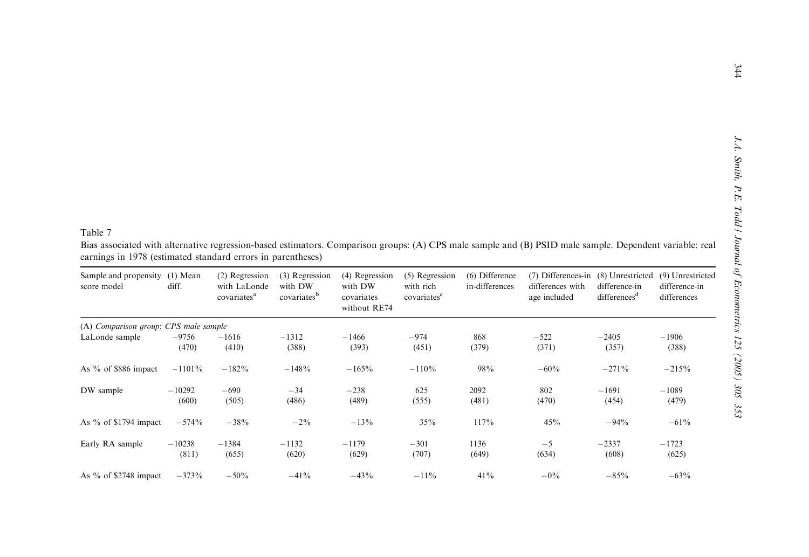<span id="page-39-0"></span>

| Table 7<br>Journal<br>Bias associated with alternative regression-based estimators. Comparison groups: (A) CPS male sample and (B) PSID male sample. Dependent variable: real<br>earnings in 1978 (estimated standard errors in parentheses)<br>$\mathcal{O}$ |                   |                                                           |                                                      |                                                         |                                                        |                                  |                                                        |                                                               |                                                  |  |  |
|---------------------------------------------------------------------------------------------------------------------------------------------------------------------------------------------------------------------------------------------------------------|-------------------|-----------------------------------------------------------|------------------------------------------------------|---------------------------------------------------------|--------------------------------------------------------|----------------------------------|--------------------------------------------------------|---------------------------------------------------------------|--------------------------------------------------|--|--|
| Sample and propensity (1) Mean<br>score model                                                                                                                                                                                                                 | diff.             | (2) Regression<br>with LaLonde<br>covariates <sup>a</sup> | (3) Regression<br>with DW<br>covariates <sup>b</sup> | (4) Regression<br>with DW<br>covariates<br>without RE74 | (5) Regression<br>with rich<br>covariates <sup>c</sup> | (6) Difference<br>in-differences | (7) Differences-in<br>differences with<br>age included | (8) Unrestricted<br>difference-in<br>differences <sup>d</sup> | (9) Unrestricted<br>difference-in<br>differences |  |  |
| (A) Comparison group: CPS male sample                                                                                                                                                                                                                         |                   |                                                           |                                                      |                                                         |                                                        |                                  |                                                        |                                                               |                                                  |  |  |
| LaLonde sample                                                                                                                                                                                                                                                | $-9756$<br>(470)  | $-1616$<br>(410)                                          | $-1312$<br>(388)                                     | $-1466$<br>(393)                                        | $-974$<br>(451)                                        | 868<br>(379)                     | $-522$<br>(371)                                        | $-2405$<br>(357)                                              | $-1906$<br>(388)                                 |  |  |
| As $\%$ of \$886 impact                                                                                                                                                                                                                                       | $-1101\%$         | $-182%$                                                   | $-148%$                                              | $-165%$                                                 | $-110%$                                                | 98%                              | $-60%$                                                 | $-271%$                                                       | $-215%$                                          |  |  |
| DW sample                                                                                                                                                                                                                                                     | $-10292$<br>(600) | $-690$<br>(505)                                           | $-34$<br>(486)                                       | $-238$<br>(489)                                         | 625<br>(555)                                           | 2092<br>(481)                    | 802<br>(470)                                           | $-1691$<br>(454)                                              | $-1089$<br>(479)                                 |  |  |
| As $\%$ of \$1794 impact                                                                                                                                                                                                                                      | $-574%$           | $-38%$                                                    | $-2\%$                                               | $-13%$                                                  | 35%                                                    | 117%                             | 45%                                                    | $-94%$                                                        | $-61\%$                                          |  |  |
| Early RA sample                                                                                                                                                                                                                                               | $-10238$<br>(811) | $-1384$<br>(655)                                          | $-1132$<br>(620)                                     | $-1179$<br>(629)                                        | $-301$<br>(707)                                        | 1136<br>(649)                    | $-5$<br>(634)                                          | $-2337$<br>(608)                                              | $-1723$<br>(625)                                 |  |  |
| As % of \$2748 impact                                                                                                                                                                                                                                         | $-373%$           | $-50%$                                                    | $-41%$                                               | $-43%$                                                  | $-11\%$                                                | 41%                              | $-0\%$                                                 | $-85%$                                                        | $-63%$                                           |  |  |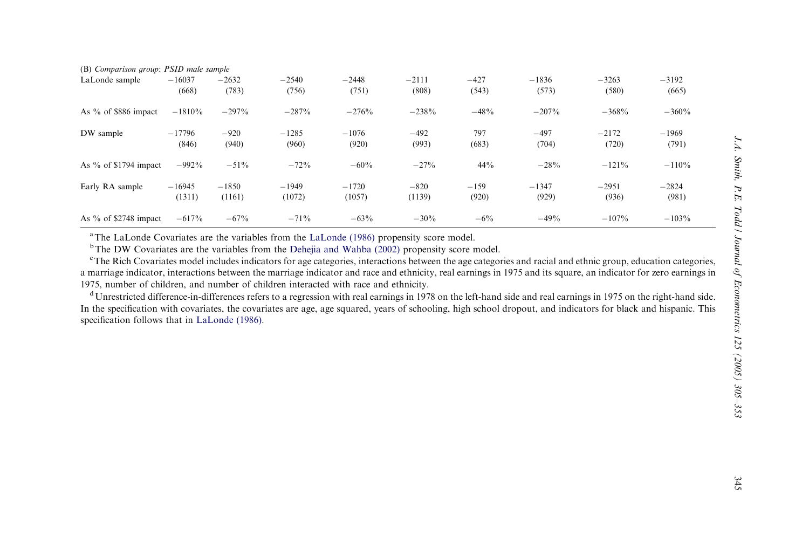| (B) Comparison group: PSID male sample |          |         |         |         |         |        |         |         |         |
|----------------------------------------|----------|---------|---------|---------|---------|--------|---------|---------|---------|
| LaLonde sample                         | $-16037$ | $-2632$ | $-2540$ | $-2448$ | $-2111$ | $-427$ | $-1836$ | $-3263$ | $-3192$ |
|                                        | (668)    | (783)   | (756)   | (751)   | (808)   | (543)  | (573)   | (580)   | (665)   |
| As $\%$ of \$886 impact                | $-1810%$ | $-297%$ | $-287%$ | $-276%$ | $-238%$ | $-48%$ | $-207%$ | $-368%$ | $-360%$ |
| DW sample                              | $-17796$ | $-920$  | $-1285$ | $-1076$ | $-492$  | 797    | $-497$  | $-2172$ | $-1969$ |
|                                        | (846)    | (940)   | (960)   | (920)   | (993)   | (683)  | (704)   | (720)   | (791)   |
| As $\%$ of \$1794 impact               | $-992%$  | $-51\%$ | $-72%$  | $-60%$  | $-27%$  | 44%    | $-28%$  | $-121%$ | $-110%$ |
| Early RA sample                        | $-16945$ | $-1850$ | $-1949$ | $-1720$ | $-820$  | $-159$ | $-1347$ | $-2951$ | $-2824$ |
|                                        | (1311)   | (1161)  | (1072)  | (1057)  | (1139)  | (920)  | (929)   | (936)   | (981)   |
| As $\%$ of \$2748 impact               | $-617%$  | $-67%$  | $-71%$  | $-63%$  | $-30%$  | $-6\%$ | $-49%$  | $-107%$ | $-103%$ |

<sup>a</sup>The [LaLonde](#page-47-0) Covariates are the variables from the LaLonde (1986) propensity score model.

 $b$ The DW Covariates are the variables from the [Dehejia](#page-46-0) and Wahba (2002) propensity score model.

<sup>c</sup>The Rich Covariates model includes indicators for age categories, interactions between the age categories and racial and ethnic group, education categories, <sup>a</sup> marriage indicator, interactions between the marriage indicator and race and ethnicity, real earnings in 1975 and its square, an indicator for zero earnings in 1975, number of children, and number of children interacted with race and ethnicity.

<sup>d</sup>Unrestricted difference-in-differences refers to a regression with real earnings in 1978 on the left-hand side and real earnings in 1975 on the right-hand side. In the specification with covariates, the covariates are age, age squared, years of schooling, high school dropout, and indicators for black and hispanic. This specification follows that in [LaLonde](#page-47-0) (1986).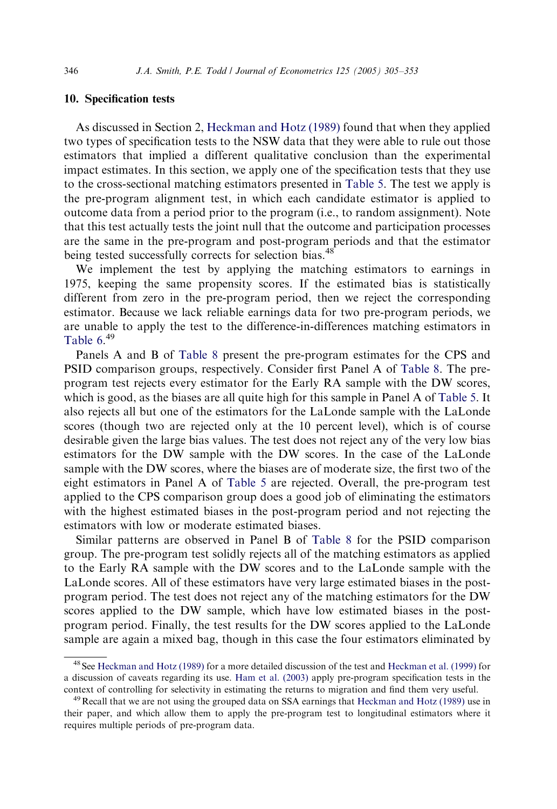#### 10. Specification tests

As discussed in Section 2, Heckman and Hotz (1989) found that when they applied two types of specification tests to the NSW data that they were able to rule out those estimators that implied a different qualitative conclusion than the experimental impact estimates. In this section, we apply one of the specification tests that they use to the cross-sectional matching estimators presented in Table 5. The test we apply is the pre-program alignment test, in which each candidate estimator is applied to outcome data from a period prior to the program (i.e., to random assignment). Note that this test actually tests the joint null that the outcome and participation processes are the same in the pre-program and post-program periods and that the estimator being tested successfully corrects for selection bias.<sup>48</sup>

[We i](#page-35-0)mplement the test by applying the matching estimators to earnings in 1975, keeping the sa[me prop](#page-43-0)ensity scores. If the estimated bias is statistically different from zero in the pre-program period, then we reject t[he corre](#page-43-0)sponding estimator. Because we lack reliable earnings data for two pre-program periods, we are unable to apply the test to the difference-in-differences matching es[timators](#page-31-0) in Table 6. 49

Panels A and B of Table 8 present the pre-program estimates for the CPS and PSID comparison groups, respectively. Consider first Panel A of Table 8. The preprogram test rejects every estimator for the Early RA sample with the DW scores, which is good, as the biases are all quite high for this sample in Panel A of Table 5. It also rejects all but one of the es[timators](#page-31-0) for the LaLonde sample with the LaLonde scores (though two are rejected only at the 10 percent level), which is of course desirable given the large bias values. The test does not reject any of the very low bias estimators for the DW sample with the DW scores. In the case of the LaLonde sample with the DW scores, where the biases are [of moder](#page-43-0)ate size, the first two of the eight estimators in Panel A of Table 5 are rejected. Overall, the pre-program test applied to the CPS comparison group does a good job of eliminating the estimators with the highest estimated biases in the post-program period and not rejecting the estimators with low or moderate estimated biases.

Similar patterns are observed in Panel B of Table 8 for the PSID comparison group. The pre-program test solidly rejects all of the matching estimators as applied to the Early RA sample with the DW scores and to the LaLonde sample with the LaLonde scores. All of these estimators have very large estimated biases in the postprogr[am](#page-47-0) [period.](#page-47-0) [The](#page-47-0) [test](#page-47-0) [do](#page-47-0)es not reject any of the matching es[timators](#page-47-0) [for](#page-47-0) [the](#page-47-0) [D](#page-47-0)W scores applied to the DW samp[le,](#page-46-0) [which](#page-46-0) [have](#page-46-0) low estimated biases in the postprogram period. Finally, the test results for the DW scor[es applied to the LaL](#page-47-0)onde sample are again a mixed bag, though in this case the four estimators eliminated by

<sup>&</sup>lt;sup>48</sup> See Heckman and Hotz (1989) for a more detailed discussion of the test and Heckman et al. (1999) for a discussion of caveats regarding its use. Ham et al. (2003) apply pre-program specification tests in the context of controlling for selectivity in estimating the returns to migration and find them very useful. 49Recall that we are not using the grouped data on SSA earnings that Heckman and Hotz (1989) use in

their paper, and which allow them to apply the pre-program test to longitudinal estimators where it requires multiple periods of pre-program data.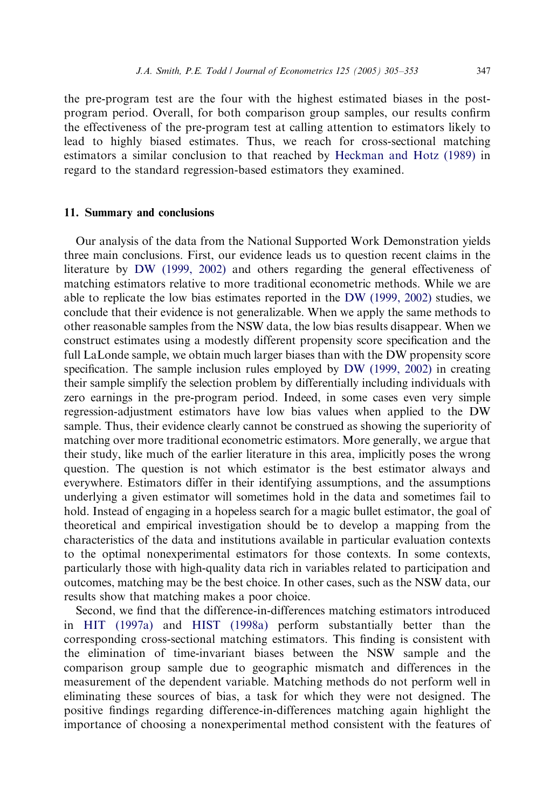the pre-program test are the four with the highest estimated biases in the postprogram period. Overall, for both comparison group samples, our results confirm the effectiveness of the pre-program test at calling attention to estimators likely to lead to highly biased estimates. Thus, we reach for cross-sectional matching estimators a similar conclusion to that reached by Heckman and Hotz (1989) in regard to the standard regression-based estimators they examined.

#### 11. Summary and conclusions

Our analysis of the data from the National Supported Work Demonstration yields three main conclusions. First, our evidence leads us to question recent claims in the literature by DW (1999, 2002) and others regarding the general effectiveness of matching estimators relative to more traditional econometric methods. While we are able to replicate the low bias estimates reported in the [DW \(1999, 2002\)](#page-46-0) studies, we conclude that their evidence is not generalizable. When we apply the same methods to other reasonable samples from the NSW data, the low bias results disappear. When we construct estimates using a modestly different propensity score specification and the full LaLonde sample, we obtain much larger biases than with the DW propensity score specification. The sample inclusion rules employed by DW (1999, 2002) in creating their sample simplify the selection problem by differentially including individuals with zero earnings in the pre-program period. Indeed, in some cases even very simple regression-adjustment estimators have low bias values when applied to the DW sample. Thus, their evidence clearly cannot be construed as showing the superiority of matching over more traditional econometric estimators. More generally, we argue that their study, like much of the earlier literature in this area, implicitly poses the wrong question. The question is not which estimator is the best estimator always and everywhere. Estimators differ in their identifying assumptions, and the assumptions underlying a given estimator will sometimes hold in the data and sometimes fail to hold. Instead of engaging in a hopeless search for a magic bullet estimator, the goal of theoretical and empirical investigation should be to develop a mapping from the characteristics of the data and institutions available in particular evaluation contexts to [the optimal no](#page-47-0)nexpe[rimental estima](#page-47-0)tors for those contexts. In some contexts, particularly those with high-quality data rich in variables related to participation and outcomes, matching may be the best choice. In other cases, such as the NSW data, our results show that matching makes a poor choice.

Second, we find that the difference-in-differences matching estimators introduced in HIT (1997a) and HIST (1998a) perform substantially better than the corresponding cross-sectional matching estimators. This finding is consistent with the elimination of time-invariant biases between the NSW sample and the comparison group sample due to geographic mismatch and differences in the measurement of the dependent variable. Matching methods do not perform well in eliminating these sources of bias, a task for which they were not designed. The positive findings regarding difference-in-differences matching again highlight the importance of choosing a nonexperimental method consistent with the features of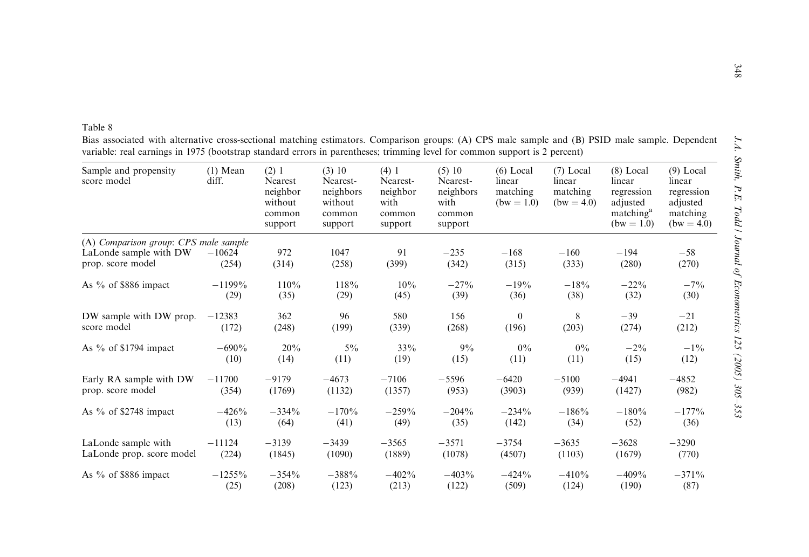<span id="page-43-0"></span>Table 8

 Bias associated with alternative cross-sectional matching estimators. Comparison groups: (A) CPS male sample and (B) PSID male sample. Dependent variable: real earnings in 1975 (bootstrap standard errors in parentheses; trimming level for common support is 2 percent)

| Sample and propensity<br>score model  | $(1)$ Mean<br>diff. | (2) 1<br>Nearest<br>neighbor<br>without<br>common<br>support | (3) 10<br>Nearest-<br>neighbors<br>without<br>common<br>support | (4) 1<br>Nearest-<br>neighbor<br>with<br>common<br>support | (5) 10<br>Nearest-<br>neighbors<br>with<br>common<br>support | $(6)$ Local<br>linear<br>matching<br>$(bw = 1.0)$ | $(7)$ Local<br>linear<br>matching<br>$(bw = 4.0)$ | $(8)$ Local<br>linear<br>regression<br>adjusted<br>matching <sup>a</sup><br>$(bw = 1.0)$ | $(9)$ Local<br>linear<br>regression<br>adjusted<br>matching<br>$(bw = 4.0)$ |
|---------------------------------------|---------------------|--------------------------------------------------------------|-----------------------------------------------------------------|------------------------------------------------------------|--------------------------------------------------------------|---------------------------------------------------|---------------------------------------------------|------------------------------------------------------------------------------------------|-----------------------------------------------------------------------------|
| (A) Comparison group: CPS male sample |                     |                                                              |                                                                 |                                                            |                                                              |                                                   |                                                   |                                                                                          |                                                                             |
| LaLonde sample with DW                | $-10624$            | 972                                                          | 1047                                                            | 91                                                         | $-235$                                                       | $-168$                                            | $-160$                                            | $-194$                                                                                   | $-58$                                                                       |
| prop. score model                     | (254)               | (314)                                                        | (258)                                                           | (399)                                                      | (342)                                                        | (315)                                             | (333)                                             | (280)                                                                                    | (270)                                                                       |
| As $\%$ of \$886 impact               | $-1199%$            | 110%                                                         | 118%                                                            | 10%                                                        | $-27%$                                                       | $-19%$                                            | $-18%$                                            | $-22%$                                                                                   | $-7%$                                                                       |
|                                       | (29)                | (35)                                                         | (29)                                                            | (45)                                                       | (39)                                                         | (36)                                              | (38)                                              | (32)                                                                                     | (30)                                                                        |
| DW sample with DW prop.               | $-12383$            | 362                                                          | 96                                                              | 580                                                        | 156                                                          | $\theta$                                          | 8                                                 | $-39$                                                                                    | $-21$                                                                       |
| score model                           | (172)               | (248)                                                        | (199)                                                           | (339)                                                      | (268)                                                        | (196)                                             | (203)                                             | (274)                                                                                    | (212)                                                                       |
| As $\%$ of \$1794 impact              | $-690%$             | 20%                                                          | $5\%$                                                           | 33%                                                        | 9%                                                           | $0\%$                                             | $0\%$                                             | $-2\%$                                                                                   | $-1\%$                                                                      |
|                                       | (10)                | (14)                                                         | (11)                                                            | (19)                                                       | (15)                                                         | (11)                                              | (11)                                              | (15)                                                                                     | (12)                                                                        |
| Early RA sample with DW               | $-11700$            | $-9179$                                                      | $-4673$                                                         | $-7106$                                                    | $-5596$                                                      | $-6420$                                           | $-5100$                                           | $-4941$                                                                                  | $-4852$                                                                     |
| prop. score model                     | (354)               | (1769)                                                       | (1132)                                                          | (1357)                                                     | (953)                                                        | (3903)                                            | (939)                                             | (1427)                                                                                   | (982)                                                                       |
| As $\%$ of \$2748 impact              | $-426%$             | $-334%$                                                      | $-170%$                                                         | $-259%$                                                    | $-204%$                                                      | $-234%$                                           | $-186%$                                           | $-180%$                                                                                  | $-177%$                                                                     |
|                                       | (13)                | (64)                                                         | (41)                                                            | (49)                                                       | (35)                                                         | (142)                                             | (34)                                              | (52)                                                                                     | (36)                                                                        |
| LaLonde sample with                   | $-11124$            | $-3139$                                                      | $-3439$                                                         | $-3565$                                                    | $-3571$                                                      | $-3754$                                           | $-3635$                                           | $-3628$                                                                                  | $-3290$                                                                     |
| LaLonde prop. score model             | (224)               | (1845)                                                       | (1090)                                                          | (1889)                                                     | (1078)                                                       | (4507)                                            | (1103)                                            | (1679)                                                                                   | (770)                                                                       |
| As $\%$ of \$886 impact               | $-1255%$            | $-354%$                                                      | $-388%$                                                         | $-402%$                                                    | $-403%$                                                      | $-424%$                                           | $-410%$                                           | $-409%$                                                                                  | $-371%$                                                                     |
|                                       | (25)                | (208)                                                        | (123)                                                           | (213)                                                      | (122)                                                        | (509)                                             | (124)                                             | (190)                                                                                    | (87)                                                                        |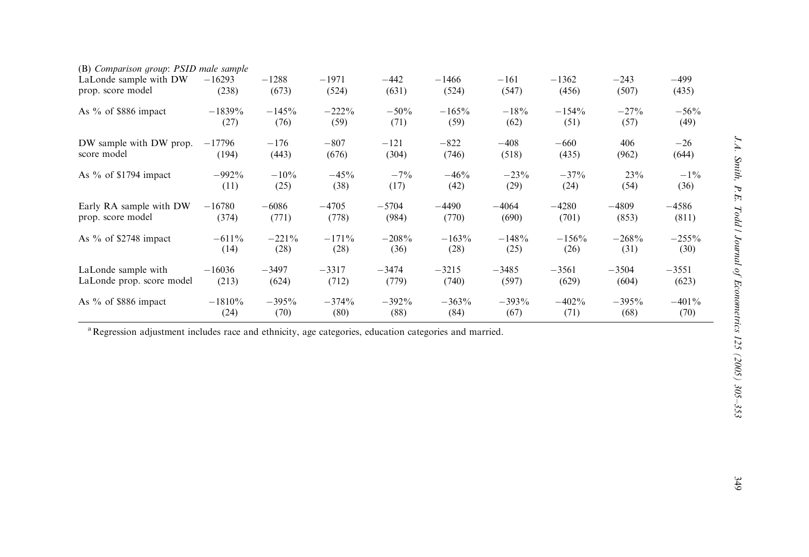| (B) Comparison group: PSID male sample<br>LaLonde sample with DW<br>prop. score model | $-16293$<br>(238) | $-1288$<br>(673) | $-1971$<br>(524) | $-442$<br>(631) | $-1466$<br>(524) | $-161$<br>(547) | $-1362$<br>(456) | $-243$<br>(507) | -499<br>(435) |
|---------------------------------------------------------------------------------------|-------------------|------------------|------------------|-----------------|------------------|-----------------|------------------|-----------------|---------------|
| As $\%$ of \$886 impact                                                               | $-1839%$          | $-145%$          | $-222\%$         | $-50\%$         | $-165%$          | $-18%$          | $-154%$          | $-27%$          | $-56%$        |
|                                                                                       | (27)              | (76)             | (59)             | (71)            | (59)             | (62)            | (51)             | (57)            | (49)          |
| DW sample with DW prop.                                                               | $-17796$          | $-176$           | $-807$           | $-121$          | $-822$           | $-408$          | $-660$           | 406             | $-26$         |
| score model                                                                           | (194)             | (443)            | (676)            | (304)           | (746)            | (518)           | (435)            | (962)           | (644)         |
| As $\%$ of \$1794 impact                                                              | $-992%$           | $-10%$           | $-45%$           | $-7\%$          | $-46%$           | $-23%$          | $-37%$           | 23%             | $-1\%$        |
|                                                                                       | (11)              | (25)             | (38)             | (17)            | (42)             | (29)            | (24)             | (54)            | (36)          |
| Early RA sample with DW                                                               | $-16780$          | $-6086$          | $-4705$          | $-5704$         | $-4490$          | $-4064$         | $-4280$          | $-4809$         | $-4586$       |
| prop. score model                                                                     | (374)             | (771)            | (778)            | (984)           | (770)            | (690)           | (701)            | (853)           | (811)         |
| As $\%$ of \$2748 impact                                                              | $-611\%$          | $-221\%$         | $-171%$          | $-208%$         | $-163%$          | $-148%$         | $-156%$          | $-268%$         | $-255%$       |
|                                                                                       | (14)              | (28)             | (28)             | (36)            | (28)             | (25)            | (26)             | (31)            | (30)          |
| LaLonde sample with                                                                   | $-16036$          | $-3497$          | $-3317$          | $-3474$         | $-3215$          | $-3485$         | $-3561$          | $-3504$         | $-3551$       |
| LaLonde prop. score model                                                             | (213)             | (624)            | (712)            | (779)           | (740)            | (597)           | (629)            | (604)           | (623)         |
| As $\%$ of \$886 impact                                                               | $-1810%$          | $-395%$          | $-374%$          | $-392%$         | $-363%$          | $-393%$         | $-402%$          | $-395%$         | $-401\%$      |
|                                                                                       | (24)              | (70)             | (80)             | (88)            | (84)             | (67)            | (71)             | (68)            | (70)          |

<sup>a</sup>Regression adjustment includes race and ethnicity, age categories, education categories and married.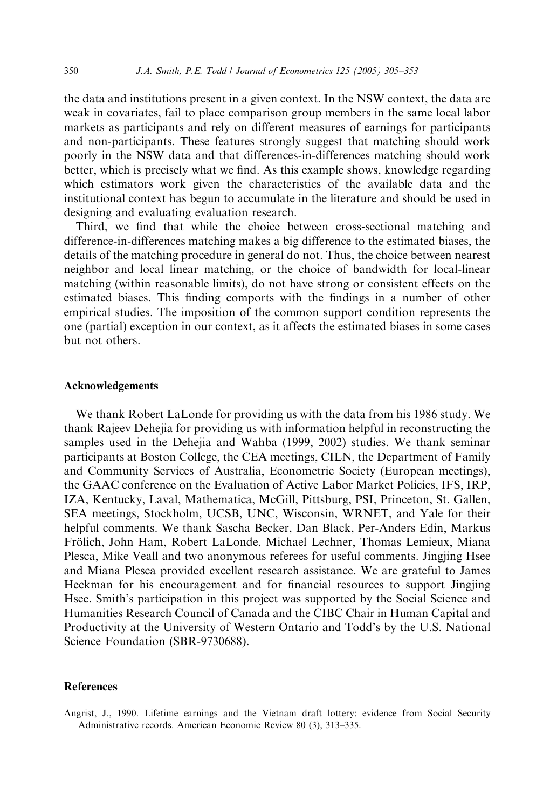<span id="page-45-0"></span>the data and institutions present in a given context. In the NSW context, the data are weak in covariates, fail to place comparison group members in the same local labor markets as participants and rely on different measures of earnings for participants and non-participants. These features strongly suggest that matching should work poorly in the NSW data and that differences-in-differences matching should work better, which is precisely what we find. As this example shows, knowledge regarding which estimators work given the characteristics of the available data and the institutional context has begun to accumulate in the literature and should be used in designing and evaluating evaluation research.

Third, we find that while the choice between cross-sectional matching and difference-in-differences matching makes a big difference to the estimated biases, the details of the matching procedure in general do not. Thus, the choice between nearest neighbor and local linear matching, or the choice of bandwidth for local-linear matching (within reasonable limits), do not have strong or consistent effects on the estimated biases. This finding comports with the findings in a number of other empirical studies. The imposition of the common support condition represents the one (partial) exception in our context, as it affects the estimated biases in some cases but not others.

#### Acknowledgements

We thank Robert LaLonde for providing us with the data from his 1986 study. We thank Rajeev Dehejia for providing us with information helpful in reconstructing the samples used in the Dehejia and Wahba (1999, 2002) studies. We thank seminar participants at Boston College, the CEA meetings, CILN, the Department of Family and Community Services of Australia, Econometric Society (European meetings), the GAAC conference on the Evaluation of Active Labor Market Policies, IFS, IRP, IZA, Kentucky, Laval, Mathematica, McGill, Pittsburg, PSI, Princeton, St. Gallen, SEA meetings, Stockholm, UCSB, UNC, Wisconsin, WRNET, and Yale for their helpful comments. We thank Sascha Becker, Dan Black, Per-Anders Edin, Markus Frolich, John Ham, Robert LaLonde, Michael Lechner, Thomas Lemieux, Miana . Plesca, Mike Veall and two anonymous referees for useful comments. Jingjing Hsee and Miana Plesca provided excellent research assistance. We are grateful to James Heckman for his encouragement and for financial resources to support Jingjing Hsee. Smith's participation in this project was supported by the Social Science and Humanities Research Council of Canada and the CIBC Chair in Human Capital and Productivity at the University of Western Ontario and Todd's by the U.S. National Science Foundation (SBR-9730688).

#### References

Angrist, J., 1990. Lifetime earnings and the Vietnam draft lottery: evidence from Social Security Administrative records. American Economic Review 80 (3), 313–335.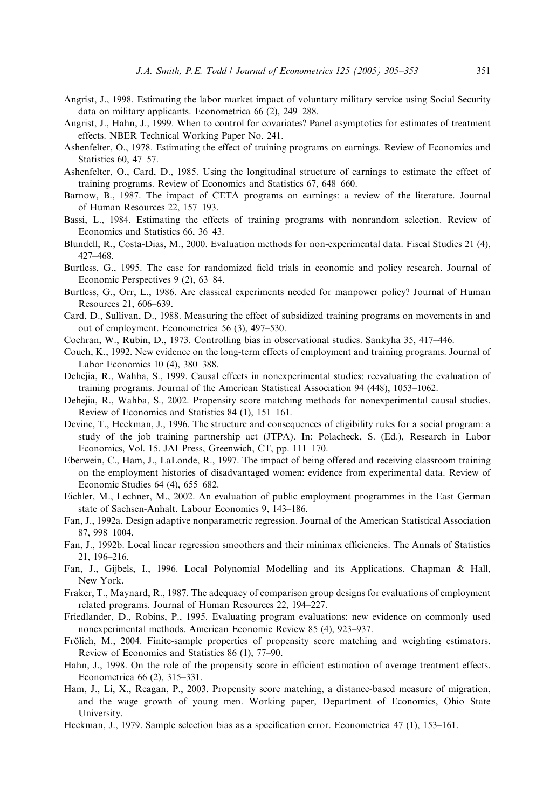- <span id="page-46-0"></span>Angrist, J., 1998. Estimating the labor market impact of voluntary military service using Social Security data on military applicants. Econometrica 66 (2), 249–288.
- Angrist, J., Hahn, J., 1999. When to control for covariates? Panel asymptotics for estimates of treatment effects. NBER Technical Working Paper No. 241.
- Ashenfelter, O., 1978. Estimating the effect of training programs on earnings. Review of Economics and Statistics 60, 47–57.
- Ashenfelter, O., Card, D., 1985. Using the longitudinal structure of earnings to estimate the effect of training programs. Review of Economics and Statistics 67, 648–660.
- Barnow, B., 1987. The impact of CETA programs on earnings: a review of the literature. Journal of Human Resources 22, 157–193.
- Bassi, L., 1984. Estimating the effects of training programs with nonrandom selection. Review of Economics and Statistics 66, 36–43.
- Blundell, R., Costa-Dias, M., 2000. Evaluation methods for non-experimental data. Fiscal Studies 21 (4), 427–468.
- Burtless, G., 1995. The case for randomized field trials in economic and policy research. Journal of Economic Perspectives 9 (2), 63–84.
- Burtless, G., Orr, L., 1986. Are classical experiments needed for manpower policy? Journal of Human Resources 21, 606–639.
- Card, D., Sullivan, D., 1988. Measuring the effect of subsidized training programs on movements in and out of employment. Econometrica 56 (3), 497–530.
- Cochran, W., Rubin, D., 1973. Controlling bias in observational studies. Sankyha 35, 417–446.
- Couch, K., 1992. New evidence on the long-term effects of employment and training programs. Journal of Labor Economics 10 (4), 380–388.
- Dehejia, R., Wahba, S., 1999. Causal effects in nonexperimental studies: reevaluating the evaluation of training programs. Journal of the American Statistical Association 94 (448), 1053–1062.
- Dehejia, R., Wahba, S., 2002. Propensity score matching methods for nonexperimental causal studies. Review of Economics and Statistics 84 (1), 151–161.
- Devine, T., Heckman, J., 1996. The structure and consequences of eligibility rules for a social program: a study of the job training partnership act (JTPA). In: Polacheck, S. (Ed.), Research in Labor Economics, Vol. 15. JAI Press, Greenwich, CT, pp. 111–170.
- Eberwein, C., Ham, J., LaLonde, R., 1997. The impact of being offered and receiving classroom training on the employment histories of disadvantaged women: evidence from experimental data. Review of Economic Studies 64 (4), 655–682.
- Eichler, M., Lechner, M., 2002. An evaluation of public employment programmes in the East German state of Sachsen-Anhalt. Labour Economics 9, 143–186.
- Fan, J., 1992a. Design adaptive nonparametric regression. Journal of the American Statistical Association 87, 998–1004.
- Fan, J., 1992b. Local linear regression smoothers and their minimaxefficiencies. The Annals of Statistics 21, 196–216.
- Fan, J., Gijbels, I., 1996. Local Polynomial Modelling and its Applications. Chapman & Hall, New York.
- Fraker, T., Maynard, R., 1987. The adequacy of comparison group designs for evaluations of employment related programs. Journal of Human Resources 22, 194–227.
- Friedlander, D., Robins, P., 1995. Evaluating program evaluations: new evidence on commonly used nonexperimental methods. American Economic Review 85 (4), 923–937.
- Frölich, M., 2004. Finite-sample properties of propensity score matching and weighting estimators. Review of Economics and Statistics 86 (1), 77–90.
- Hahn, J., 1998. On the role of the propensity score in efficient estimation of average treatment effects. Econometrica 66 (2), 315–331.
- Ham, J., Li, X., Reagan, P., 2003. Propensity score matching, a distance-based measure of migration, and the wage growth of young men. Working paper, Department of Economics, Ohio State University.
- Heckman, J., 1979. Sample selection bias as a specification error. Econometrica 47 (1), 153–161.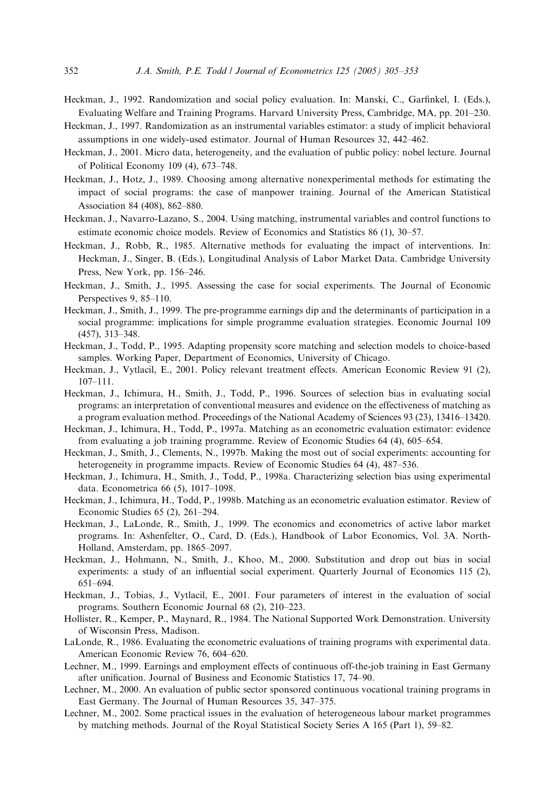- <span id="page-47-0"></span>Heckman, J., 1992. Randomization and social policy evaluation. In: Manski, C., Garfinkel, I. (Eds.), Evaluating Welfare and Training Programs. Harvard University Press, Cambridge, MA, pp. 201–230.
- Heckman, J., 1997. Randomization as an instrumental variables estimator: a study of implicit behavioral assumptions in one widely-used estimator. Journal of Human Resources 32, 442–462.
- Heckman, J., 2001. Micro data, heterogeneity, and the evaluation of public policy: nobel lecture. Journal of Political Economy 109 (4), 673–748.
- Heckman, J., Hotz, J., 1989. Choosing among alternative nonexperimental methods for estimating the impact of social programs: the case of manpower training. Journal of the American Statistical Association 84 (408), 862–880.
- Heckman, J., Navarro-Lazano, S., 2004. Using matching, instrumental variables and control functions to estimate economic choice models. Review of Economics and Statistics 86 (1), 30–57.
- Heckman, J., Robb, R., 1985. Alternative methods for evaluating the impact of interventions. In: Heckman, J., Singer, B. (Eds.), Longitudinal Analysis of Labor Market Data. Cambridge University Press, New York, pp. 156–246.
- Heckman, J., Smith, J., 1995. Assessing the case for social experiments. The Journal of Economic Perspectives 9, 85–110.
- Heckman, J., Smith, J., 1999. The pre-programme earnings dip and the determinants of participation in a social programme: implications for simple programme evaluation strategies. Economic Journal 109 (457), 313–348.
- Heckman, J., Todd, P., 1995. Adapting propensity score matching and selection models to choice-based samples. Working Paper, Department of Economics, University of Chicago.
- Heckman, J., Vytlacil, E., 2001. Policy relevant treatment effects. American Economic Review 91 (2), 107–111.
- Heckman, J., Ichimura, H., Smith, J., Todd, P., 1996. Sources of selection bias in evaluating social programs: an interpretation of conventional measures and evidence on the effectiveness of matching as a program evaluation method. Proceedings of the National Academy of Sciences 93 (23), 13416–13420.
- Heckman, J., Ichimura, H., Todd, P., 1997a. Matching as an econometric evaluation estimator: evidence from evaluating a job training programme. Review of Economic Studies 64 (4), 605–654.
- Heckman, J., Smith, J., Clements, N., 1997b. Making the most out of social experiments: accounting for heterogeneity in programme impacts. Review of Economic Studies 64 (4), 487–536.
- Heckman, J., Ichimura, H., Smith, J., Todd, P., 1998a. Characterizing selection bias using experimental data. Econometrica 66 (5), 1017–1098.
- Heckman, J., Ichimura, H., Todd, P., 1998b. Matching as an econometric evaluation estimator. Review of Economic Studies 65 (2), 261–294.
- Heckman, J., LaLonde, R., Smith, J., 1999. The economics and econometrics of active labor market programs. In: Ashenfelter, O., Card, D. (Eds.), Handbook of Labor Economics, Vol. 3A. North-Holland, Amsterdam, pp. 1865–2097.
- Heckman, J., Hohmann, N., Smith, J., Khoo, M., 2000. Substitution and drop out bias in social experiments: a study of an influential social experiment. Quarterly Journal of Economics 115 (2), 651–694.
- Heckman, J., Tobias, J., Vytlacil, E., 2001. Four parameters of interest in the evaluation of social programs. Southern Economic Journal 68 (2), 210–223.
- Hollister, R., Kemper, P., Maynard, R., 1984. The National Supported Work Demonstration. University of Wisconsin Press, Madison.
- LaLonde, R., 1986. Evaluating the econometric evaluations of training programs with experimental data. American Economic Review 76, 604–620.
- Lechner, M., 1999. Earnings and employment effects of continuous off-the-job training in East Germany after unification. Journal of Business and Economic Statistics 17, 74–90.
- Lechner, M., 2000. An evaluation of public sector sponsored continuous vocational training programs in East Germany. The Journal of Human Resources 35, 347–375.
- Lechner, M., 2002. Some practical issues in the evaluation of heterogeneous labour market programmes by matching methods. Journal of the Royal Statistical Society Series A 165 (Part 1), 59–82.